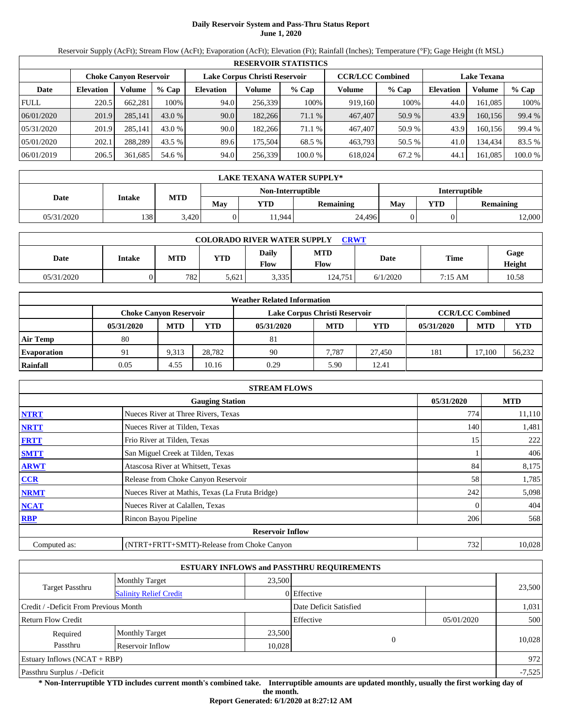# **Daily Reservoir System and Pass-Thru Status Report June 1, 2020**

Reservoir Supply (AcFt); Stream Flow (AcFt); Evaporation (AcFt); Elevation (Ft); Rainfall (Inches); Temperature (°F); Gage Height (ft MSL)

|             | <b>RESERVOIR STATISTICS</b> |                               |         |                  |                               |         |                         |        |                    |         |         |  |
|-------------|-----------------------------|-------------------------------|---------|------------------|-------------------------------|---------|-------------------------|--------|--------------------|---------|---------|--|
|             |                             | <b>Choke Canvon Reservoir</b> |         |                  | Lake Corpus Christi Reservoir |         | <b>CCR/LCC Combined</b> |        | <b>Lake Texana</b> |         |         |  |
| Date        | <b>Elevation</b>            | Volume                        | $%$ Cap | <b>Elevation</b> | Volume                        | $%$ Cap | Volume                  | % Cap  | <b>Elevation</b>   | Volume  | $%$ Cap |  |
| <b>FULL</b> | 220.5                       | 662.281                       | 100%    | 94.0             | 256,339                       | 100%    | 919,160                 | 100%   | 44.0               | 161.085 | 100%    |  |
| 06/01/2020  | 201.9                       | 285,141                       | 43.0 %  | 90.0             | 182,266                       | 71.1 %  | 467,407                 | 50.9 % | 43.9               | 160.156 | 99.4 %  |  |
| 05/31/2020  | 201.9                       | 285.141                       | 43.0 %  | 90.0             | 182,266                       | 71.1 %  | 467,407                 | 50.9 % | 43.9               | 160.156 | 99.4 %  |  |
| 05/01/2020  | 202.1                       | 288.289                       | 43.5 %  | 89.6             | 175.504                       | 68.5 %  | 463,793                 | 50.5 % | 41.0               | 134,434 | 83.5 %  |  |
| 06/01/2019  | 206.5                       | 361,685                       | 54.6 %  | 94.0             | 256,339                       | 100.0%  | 618,024                 | 67.2 % | 44.1               | 161,085 | 100.0 % |  |

|            | <b>LAKE TEXANA WATER SUPPLY*</b> |            |     |                   |                  |                      |     |                  |  |  |  |
|------------|----------------------------------|------------|-----|-------------------|------------------|----------------------|-----|------------------|--|--|--|
|            |                                  |            |     | Non-Interruptible |                  | <b>Interruptible</b> |     |                  |  |  |  |
| Date       | Intake                           | <b>MTD</b> | May | YTD               | <b>Remaining</b> | May                  | YTD | <b>Remaining</b> |  |  |  |
| 05/31/2020 | 138                              | 3,420      |     | 1,944             | 24,496           |                      |     | 12,000           |  |  |  |

| <b>COLORADO RIVER WATER SUPPLY</b><br><b>CRWT</b> |        |            |            |                      |                           |          |         |                |  |  |
|---------------------------------------------------|--------|------------|------------|----------------------|---------------------------|----------|---------|----------------|--|--|
| Date                                              | Intake | <b>MTD</b> | <b>YTD</b> | Daily<br><b>Flow</b> | <b>MTD</b><br><b>Flow</b> | Date     | Time    | Gage<br>Height |  |  |
| 05/31/2020                                        |        | 782        | 5,621      | 3,335                | 124.751                   | 6/1/2020 | 7:15 AM | 10.58          |  |  |

|                    | <b>Weather Related Information</b> |            |        |                               |                         |        |            |            |            |  |  |
|--------------------|------------------------------------|------------|--------|-------------------------------|-------------------------|--------|------------|------------|------------|--|--|
|                    | <b>Choke Canvon Reservoir</b>      |            |        | Lake Corpus Christi Reservoir | <b>CCR/LCC Combined</b> |        |            |            |            |  |  |
|                    | 05/31/2020                         | <b>MTD</b> | YTD    | 05/31/2020                    | <b>MTD</b>              | YTD    | 05/31/2020 | <b>MTD</b> | <b>YTD</b> |  |  |
| <b>Air Temp</b>    | 80                                 |            |        | 81                            |                         |        |            |            |            |  |  |
| <b>Evaporation</b> | 91                                 | 9.313      | 28.782 | 90                            | 7.787                   | 27.450 | 181        | 17.100     | 56,232     |  |  |
| Rainfall           | 0.05                               | 4.55       | 10.16  | 0.29                          | 5.90                    | 12.41  |            |            |            |  |  |

|              | <b>STREAM FLOWS</b>                             |            |            |
|--------------|-------------------------------------------------|------------|------------|
|              | <b>Gauging Station</b>                          | 05/31/2020 | <b>MTD</b> |
| <b>NTRT</b>  | Nueces River at Three Rivers, Texas             | 774        | 11,110     |
| <b>NRTT</b>  | Nueces River at Tilden, Texas                   | 140        | 1,481      |
| <b>FRTT</b>  | Frio River at Tilden, Texas                     | 15         | 222        |
| <b>SMTT</b>  | San Miguel Creek at Tilden, Texas               |            | 406        |
| <b>ARWT</b>  | Atascosa River at Whitsett, Texas               | 84         | 8,175      |
| <b>CCR</b>   | Release from Choke Canyon Reservoir             | 58         | 1,785      |
| <b>NRMT</b>  | Nueces River at Mathis, Texas (La Fruta Bridge) | 242        | 5,098      |
| <b>NCAT</b>  | Nueces River at Calallen, Texas                 |            | 404        |
| <b>RBP</b>   | Rincon Bayou Pipeline                           | 206        | 568        |
|              | <b>Reservoir Inflow</b>                         |            |            |
| Computed as: | (NTRT+FRTT+SMTT)-Release from Choke Canyon      | 732        | 10,028     |

|                                       |                               |        | <b>ESTUARY INFLOWS and PASSTHRU REQUIREMENTS</b> |            |          |
|---------------------------------------|-------------------------------|--------|--------------------------------------------------|------------|----------|
|                                       | <b>Monthly Target</b>         | 23,500 |                                                  |            |          |
| Target Passthru                       | <b>Salinity Relief Credit</b> |        | 0 Effective                                      |            | 23,500   |
| Credit / -Deficit From Previous Month |                               |        | Date Deficit Satisfied                           |            | 1,031    |
| <b>Return Flow Credit</b>             |                               |        | Effective                                        | 05/01/2020 | 500      |
| Required                              | <b>Monthly Target</b>         | 23,500 |                                                  |            |          |
| Passthru                              | Reservoir Inflow              | 10,028 |                                                  | $\Omega$   | 10,028   |
| Estuary Inflows $(NCAT + RBP)$        |                               |        |                                                  |            | 972      |
| Passthru Surplus / -Deficit           |                               |        |                                                  |            | $-7,525$ |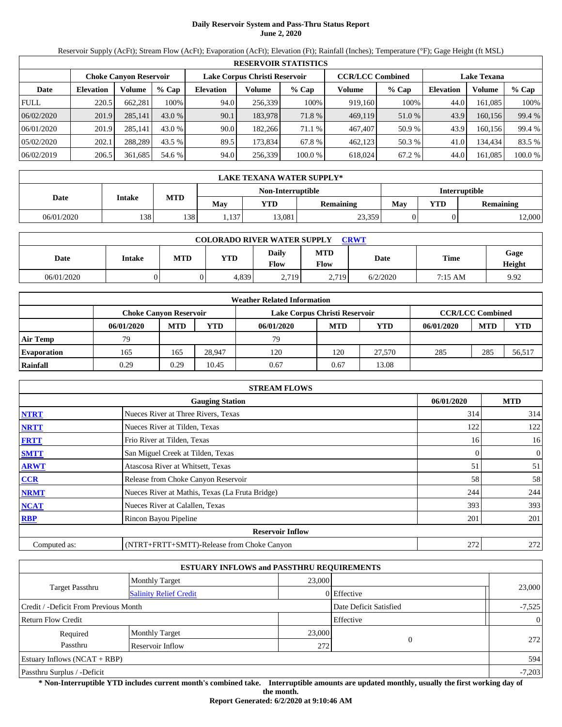# **Daily Reservoir System and Pass-Thru Status Report June 2, 2020**

Reservoir Supply (AcFt); Stream Flow (AcFt); Evaporation (AcFt); Elevation (Ft); Rainfall (Inches); Temperature (°F); Gage Height (ft MSL)

|             | <b>RESERVOIR STATISTICS</b> |                               |         |                  |         |                                                          |         |        |                    |         |         |  |
|-------------|-----------------------------|-------------------------------|---------|------------------|---------|----------------------------------------------------------|---------|--------|--------------------|---------|---------|--|
|             |                             | <b>Choke Canvon Reservoir</b> |         |                  |         | Lake Corpus Christi Reservoir<br><b>CCR/LCC Combined</b> |         |        | <b>Lake Texana</b> |         |         |  |
| Date        | <b>Elevation</b>            | Volume                        | $%$ Cap | <b>Elevation</b> | Volume  | $%$ Cap                                                  | Volume  | % Cap  | <b>Elevation</b>   | Volume  | $%$ Cap |  |
| <b>FULL</b> | 220.5                       | 662.281                       | 100%    | 94.0             | 256,339 | 100%                                                     | 919,160 | 100%   | 44.0               | 161.085 | 100%    |  |
| 06/02/2020  | 201.9                       | 285,141                       | 43.0 %  | 90.1             | 183.978 | 71.8 %                                                   | 469,119 | 51.0 % | 43.9               | 160.156 | 99.4 %  |  |
| 06/01/2020  | 201.9                       | 285.141                       | 43.0 %  | 90.0             | 182,266 | 71.1 %                                                   | 467,407 | 50.9 % | 43.9               | 160.156 | 99.4 %  |  |
| 05/02/2020  | 202.1                       | 288.289                       | 43.5 %  | 89.5             | 173.834 | 67.8 %                                                   | 462,123 | 50.3%  | 41.0               | 134,434 | 83.5 %  |  |
| 06/02/2019  | 206.5                       | 361,685                       | 54.6 %  | 94.0             | 256,339 | 100.0%                                                   | 618,024 | 67.2 % | 44.0               | 161,085 | 100.0 % |  |

|            | LAKE TEXANA WATER SUPPLY* |            |      |                   |                  |                      |     |                  |  |  |  |
|------------|---------------------------|------------|------|-------------------|------------------|----------------------|-----|------------------|--|--|--|
|            |                           |            |      | Non-Interruptible |                  | <b>Interruptible</b> |     |                  |  |  |  |
| Date       | <b>Intake</b>             | <b>MTD</b> | Mav  | YTD               | <b>Remaining</b> | Mav                  | YTD | <b>Remaining</b> |  |  |  |
| 06/01/2020 | 138                       | 138        | .137 | 13,081            | 23,359           |                      |     | 12,000           |  |  |  |

| <b>COLORADO RIVER WATER SUPPLY</b><br><b>CRWT</b> |        |     |            |                      |             |          |             |                |  |  |
|---------------------------------------------------|--------|-----|------------|----------------------|-------------|----------|-------------|----------------|--|--|
| Date                                              | Intake | MTD | <b>YTD</b> | <b>Daily</b><br>Flow | MTD<br>Flow | Date     | <b>Time</b> | Gage<br>Height |  |  |
| 06/01/2020                                        |        |     | 4,839      | 2,719                | 2,719       | 6/2/2020 | 7:15 AM     | 9.92           |  |  |

|                    | <b>Weather Related Information</b>                                                        |            |            |            |            |            |            |            |            |  |  |
|--------------------|-------------------------------------------------------------------------------------------|------------|------------|------------|------------|------------|------------|------------|------------|--|--|
|                    | <b>CCR/LCC Combined</b><br>Lake Corpus Christi Reservoir<br><b>Choke Canvon Reservoir</b> |            |            |            |            |            |            |            |            |  |  |
|                    | 06/01/2020                                                                                | <b>MTD</b> | <b>YTD</b> | 06/01/2020 | <b>MTD</b> | <b>YTD</b> | 06/01/2020 | <b>MTD</b> | <b>YTD</b> |  |  |
| Air Temp           | 79                                                                                        |            |            | 79         |            |            |            |            |            |  |  |
| <b>Evaporation</b> | 165                                                                                       | 165        | 28.947     | 120        | 120        | 27,570     | 285        | 285        | 56,517     |  |  |
| Rainfall           | 0.29                                                                                      | 0.29       | 10.45      | 0.67       | 0.67       | 13.08      |            |            |            |  |  |

|              | <b>STREAM FLOWS</b>                             |  |     |              |  |  |  |
|--------------|-------------------------------------------------|--|-----|--------------|--|--|--|
|              | <b>Gauging Station</b>                          |  |     |              |  |  |  |
| <b>NTRT</b>  | Nueces River at Three Rivers, Texas             |  | 314 | 314          |  |  |  |
| <b>NRTT</b>  | Nueces River at Tilden, Texas                   |  | 122 | 122          |  |  |  |
| <b>FRTT</b>  | Frio River at Tilden, Texas                     |  | 16  | 16           |  |  |  |
| <b>SMTT</b>  | San Miguel Creek at Tilden, Texas               |  |     | $\mathbf{0}$ |  |  |  |
| <b>ARWT</b>  | Atascosa River at Whitsett, Texas               |  | 51  | 51           |  |  |  |
| <b>CCR</b>   | Release from Choke Canyon Reservoir             |  | 58  | 58           |  |  |  |
| <b>NRMT</b>  | Nueces River at Mathis, Texas (La Fruta Bridge) |  | 244 | 244          |  |  |  |
| <b>NCAT</b>  | Nueces River at Calallen, Texas                 |  | 393 | 393          |  |  |  |
| <b>RBP</b>   | Rincon Bayou Pipeline                           |  | 201 | 201          |  |  |  |
|              | <b>Reservoir Inflow</b>                         |  |     |              |  |  |  |
| Computed as: | (NTRT+FRTT+SMTT)-Release from Choke Canyon      |  | 272 | 272          |  |  |  |

|                                                         |                       | <b>ESTUARY INFLOWS and PASSTHRU REQUIREMENTS</b> |                        |                |
|---------------------------------------------------------|-----------------------|--------------------------------------------------|------------------------|----------------|
|                                                         | <b>Monthly Target</b> | 23,000                                           |                        |                |
| <b>Target Passthru</b><br><b>Salinity Relief Credit</b> |                       |                                                  | 0 Effective            | 23,000         |
| Credit / -Deficit From Previous Month                   |                       |                                                  | Date Deficit Satisfied | $-7,525$       |
| <b>Return Flow Credit</b>                               |                       |                                                  | Effective              | $\overline{0}$ |
| Required                                                | <b>Monthly Target</b> | 23,000                                           |                        |                |
| Passthru                                                | Reservoir Inflow      | 272                                              | $\theta$               | 272            |
| Estuary Inflows $(NCAT + RBP)$                          |                       |                                                  |                        | 594            |
| Passthru Surplus / -Deficit                             |                       |                                                  |                        | $-7,203$       |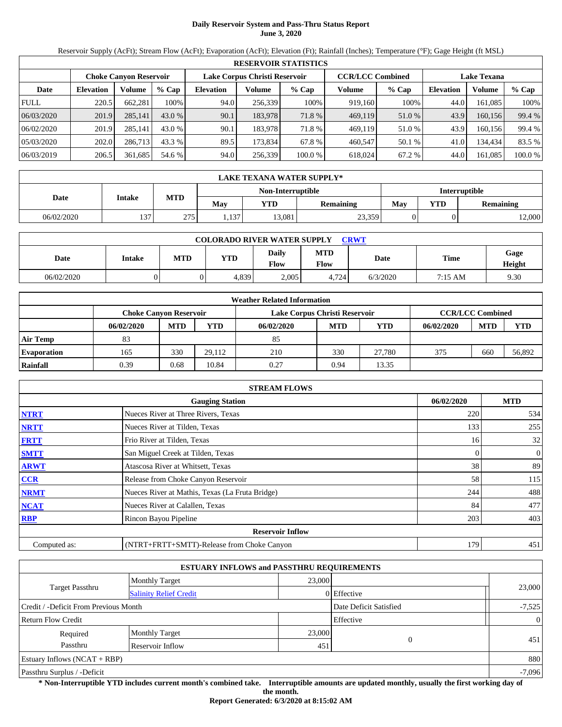# **Daily Reservoir System and Pass-Thru Status Report June 3, 2020**

Reservoir Supply (AcFt); Stream Flow (AcFt); Evaporation (AcFt); Elevation (Ft); Rainfall (Inches); Temperature (°F); Gage Height (ft MSL)

| <b>RESERVOIR STATISTICS</b> |                                                                |         |         |                  |         |         |         |                                               |                  |          |         |  |
|-----------------------------|----------------------------------------------------------------|---------|---------|------------------|---------|---------|---------|-----------------------------------------------|------------------|----------|---------|--|
|                             | Lake Corpus Christi Reservoir<br><b>Choke Canvon Reservoir</b> |         |         |                  |         |         |         | <b>CCR/LCC Combined</b><br><b>Lake Texana</b> |                  |          |         |  |
| Date                        | <b>Elevation</b>                                               | Volume  | $%$ Cap | <b>Elevation</b> | Volume  | $%$ Cap | Volume  | $%$ Cap                                       | <b>Elevation</b> | Volume   | % Cap   |  |
| <b>FULL</b>                 | 220.5                                                          | 662.281 | 100%    | 94.0             | 256,339 | 100%    | 919,160 | 100%                                          | 44.0             | 161.085  | 100%    |  |
| 06/03/2020                  | 201.9                                                          | 285,141 | 43.0 %  | 90.1             | 183.978 | 71.8 %  | 469,119 | 51.0 %                                        | 43.9             | 160.156  | 99.4 %  |  |
| 06/02/2020                  | 201.9                                                          | 285.141 | 43.0 %  | 90.1             | 183.978 | 71.8 %  | 469.119 | 51.0 %                                        | 43.9             | 160.1561 | 99.4 %  |  |
| 05/03/2020                  | 202.0                                                          | 286.713 | 43.3 %  | 89.5             | 173.834 | 67.8 %  | 460,547 | 50.1 %                                        | 41.0             | 134.434  | 83.5 %  |  |
| 06/03/2019                  | 206.5                                                          | 361,685 | 54.6 %  | 94.0             | 256,339 | 100.0%  | 618,024 | 67.2 %                                        | 44.0             | 161,085  | 100.0 % |  |

| LAKE TEXANA WATER SUPPLY* |               |            |      |                   |                  |                      |     |                  |  |  |
|---------------------------|---------------|------------|------|-------------------|------------------|----------------------|-----|------------------|--|--|
|                           |               |            |      | Non-Interruptible |                  | <b>Interruptible</b> |     |                  |  |  |
| Date                      | <b>Intake</b> | <b>MTD</b> | Mav  | YTD               | <b>Remaining</b> | Mav                  | YTD | <b>Remaining</b> |  |  |
| 06/02/2020                | 137           | 275        | .137 | 13,081            | 23,359           |                      |     | 12,000           |  |  |

| <b>COLORADO RIVER WATER SUPPLY</b><br><b>CRWT</b> |        |     |            |                      |             |          |         |                |  |  |
|---------------------------------------------------|--------|-----|------------|----------------------|-------------|----------|---------|----------------|--|--|
| Date                                              | Intake | MTD | <b>YTD</b> | <b>Daily</b><br>Flow | MTD<br>Flow | Date     | Time    | Gage<br>Height |  |  |
| 06/02/2020                                        |        |     | 4,839      | 2,005                | 4,724       | 6/3/2020 | 7:15 AM | 9.30           |  |  |

| <b>Weather Related Information</b> |                               |            |            |                               |                         |            |            |            |            |  |  |
|------------------------------------|-------------------------------|------------|------------|-------------------------------|-------------------------|------------|------------|------------|------------|--|--|
|                                    | <b>Choke Canvon Reservoir</b> |            |            | Lake Corpus Christi Reservoir | <b>CCR/LCC Combined</b> |            |            |            |            |  |  |
|                                    | 06/02/2020                    | <b>MTD</b> | <b>YTD</b> | 06/02/2020                    | <b>MTD</b>              | <b>YTD</b> | 06/02/2020 | <b>MTD</b> | <b>YTD</b> |  |  |
| Air Temp                           | 83                            |            |            | 85                            |                         |            |            |            |            |  |  |
| <b>Evaporation</b>                 | 165                           | 330        | 29.112     | 210                           | 330                     | 27.780     | 375        | 660        | 56,892     |  |  |
| Rainfall                           | 0.39                          | 0.68       | 10.84      | 0.27                          | 0.94                    | 13.35      |            |            |            |  |  |

| <b>STREAM FLOWS</b> |                                                 |            |              |  |  |  |  |  |  |
|---------------------|-------------------------------------------------|------------|--------------|--|--|--|--|--|--|
|                     | <b>Gauging Station</b>                          | 06/02/2020 | <b>MTD</b>   |  |  |  |  |  |  |
| <b>NTRT</b>         | Nueces River at Three Rivers, Texas             | 220        | 534          |  |  |  |  |  |  |
| <b>NRTT</b>         | Nueces River at Tilden, Texas                   | 133        | 255          |  |  |  |  |  |  |
| <b>FRTT</b>         | Frio River at Tilden, Texas                     | 16         | 32           |  |  |  |  |  |  |
| <b>SMTT</b>         | San Miguel Creek at Tilden, Texas               |            | $\mathbf{0}$ |  |  |  |  |  |  |
| <b>ARWT</b>         | Atascosa River at Whitsett, Texas               | 38         | 89           |  |  |  |  |  |  |
| <b>CCR</b>          | Release from Choke Canyon Reservoir             | 58         | 115          |  |  |  |  |  |  |
| <b>NRMT</b>         | Nueces River at Mathis, Texas (La Fruta Bridge) | 244        | 488          |  |  |  |  |  |  |
| <b>NCAT</b>         | Nueces River at Calallen, Texas                 | 84         | 477          |  |  |  |  |  |  |
| <b>RBP</b>          | Rincon Bayou Pipeline                           | 203        | 403          |  |  |  |  |  |  |
|                     | <b>Reservoir Inflow</b>                         |            |              |  |  |  |  |  |  |
| Computed as:        | (NTRT+FRTT+SMTT)-Release from Choke Canyon      | 179        | 451          |  |  |  |  |  |  |

|                                       |                                 | <b>ESTUARY INFLOWS and PASSTHRU REQUIREMENTS</b> |                        |                |
|---------------------------------------|---------------------------------|--------------------------------------------------|------------------------|----------------|
|                                       | 23,000<br><b>Monthly Target</b> |                                                  |                        |                |
| Target Passthru                       | <b>Salinity Relief Credit</b>   |                                                  | $0$ Effective          | 23,000         |
| Credit / -Deficit From Previous Month |                                 |                                                  | Date Deficit Satisfied | $-7,525$       |
| <b>Return Flow Credit</b>             |                                 |                                                  | Effective              | $\overline{0}$ |
| Required                              | <b>Monthly Target</b>           | 23,000                                           |                        |                |
| Passthru                              | Reservoir Inflow                | 451                                              | $\Omega$               | 451            |
| Estuary Inflows $(NCAT + RBP)$        |                                 |                                                  |                        | 880            |
| Passthru Surplus / -Deficit           |                                 |                                                  |                        | $-7,096$       |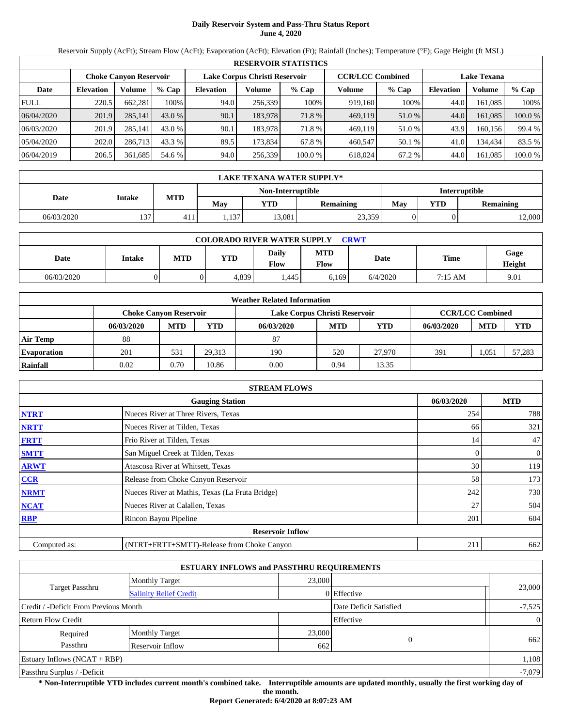# **Daily Reservoir System and Pass-Thru Status Report June 4, 2020**

Reservoir Supply (AcFt); Stream Flow (AcFt); Evaporation (AcFt); Elevation (Ft); Rainfall (Inches); Temperature (°F); Gage Height (ft MSL)

| <b>RESERVOIR STATISTICS</b> |                  |                               |         |                               |         |         |                         |        |                    |         |         |  |
|-----------------------------|------------------|-------------------------------|---------|-------------------------------|---------|---------|-------------------------|--------|--------------------|---------|---------|--|
|                             |                  | <b>Choke Canvon Reservoir</b> |         | Lake Corpus Christi Reservoir |         |         | <b>CCR/LCC Combined</b> |        | <b>Lake Texana</b> |         |         |  |
| Date                        | <b>Elevation</b> | Volume                        | $%$ Cap | <b>Elevation</b>              | Volume  | $%$ Cap | Volume                  | % Cap  | <b>Elevation</b>   | Volume  | $%$ Cap |  |
| <b>FULL</b>                 | 220.5            | 662.281                       | 100%    | 94.0                          | 256,339 | 100%    | 919,160                 | 100%   | 44.0               | 161.085 | 100%    |  |
| 06/04/2020                  | 201.9            | 285,141                       | 43.0 %  | 90.1                          | 183.978 | 71.8 %  | 469,119                 | 51.0 % | 44.0               | 161.085 | 100.0 % |  |
| 06/03/2020                  | 201.9            | 285.141                       | 43.0 %  | 90.1                          | 183.978 | 71.8 %  | 469.119                 | 51.0 % | 43.9               | 160.156 | 99.4 %  |  |
| 05/04/2020                  | 202.0            | 286.713                       | 43.3 %  | 89.5                          | 173.834 | 67.8 %  | 460,547                 | 50.1 % | 41.0               | 134,434 | 83.5 %  |  |
| 06/04/2019                  | 206.5            | 361,685                       | 54.6 %  | 94.0                          | 256,339 | 100.0%  | 618,024                 | 67.2 % | 44.0               | 161,085 | 100.0 % |  |

| LAKE TEXANA WATER SUPPLY* |               |            |      |                   |                  |                      |     |                  |  |  |
|---------------------------|---------------|------------|------|-------------------|------------------|----------------------|-----|------------------|--|--|
|                           |               |            |      | Non-Interruptible |                  | <b>Interruptible</b> |     |                  |  |  |
| Date                      | <b>Intake</b> | <b>MTD</b> | Mav  | YTD               | <b>Remaining</b> | Mav                  | YTD | <b>Remaining</b> |  |  |
| 06/03/2020                | 137           | 411        | .137 | 13,081            | 23,359           |                      |     | 12,000           |  |  |

| <b>COLORADO RIVER WATER SUPPLY</b><br><b>CRWT</b> |        |     |            |                      |             |          |         |                |  |  |
|---------------------------------------------------|--------|-----|------------|----------------------|-------------|----------|---------|----------------|--|--|
| Date                                              | Intake | MTD | <b>YTD</b> | <b>Daily</b><br>Flow | MTD<br>Flow | Date     | Time    | Gage<br>Height |  |  |
| 06/03/2020                                        |        |     | 4,839      | .445                 | 6,169       | 6/4/2020 | 7:15 AM | 9.01           |  |  |

| <b>Weather Related Information</b> |                               |            |            |                               |                         |        |            |            |            |  |  |
|------------------------------------|-------------------------------|------------|------------|-------------------------------|-------------------------|--------|------------|------------|------------|--|--|
|                                    | <b>Choke Canvon Reservoir</b> |            |            | Lake Corpus Christi Reservoir | <b>CCR/LCC Combined</b> |        |            |            |            |  |  |
|                                    | 06/03/2020                    | <b>MTD</b> | <b>YTD</b> | 06/03/2020                    | <b>MTD</b>              | YTD    | 06/03/2020 | <b>MTD</b> | <b>YTD</b> |  |  |
| <b>Air Temp</b>                    | 88                            |            |            | 87                            |                         |        |            |            |            |  |  |
| <b>Evaporation</b>                 | 201                           | 531        | 29.313     | 190                           | 520                     | 27,970 | 391        | ,051       | 57,283     |  |  |
| Rainfall                           | 0.02                          | 0.70       | 10.86      | 0.00                          | 0.94                    | 13.35  |            |            |            |  |  |

| <b>STREAM FLOWS</b> |                                                 |            |                |  |  |  |  |  |  |
|---------------------|-------------------------------------------------|------------|----------------|--|--|--|--|--|--|
|                     | 06/03/2020                                      | <b>MTD</b> |                |  |  |  |  |  |  |
| <b>NTRT</b>         | Nueces River at Three Rivers, Texas             | 254        | 788            |  |  |  |  |  |  |
| <b>NRTT</b>         | Nueces River at Tilden, Texas                   | 66         | 321            |  |  |  |  |  |  |
| <b>FRTT</b>         | Frio River at Tilden, Texas                     | 14         | 47             |  |  |  |  |  |  |
| <b>SMTT</b>         | San Miguel Creek at Tilden, Texas               | 0          | $\overline{0}$ |  |  |  |  |  |  |
| <b>ARWT</b>         | Atascosa River at Whitsett, Texas               | 30         | 119            |  |  |  |  |  |  |
| <b>CCR</b>          | Release from Choke Canyon Reservoir             | 58         | 173            |  |  |  |  |  |  |
| <b>NRMT</b>         | Nueces River at Mathis, Texas (La Fruta Bridge) | 242        | 730            |  |  |  |  |  |  |
| <b>NCAT</b>         | Nueces River at Calallen, Texas                 | 27         | 504            |  |  |  |  |  |  |
| <b>RBP</b>          | Rincon Bayou Pipeline                           | 201        | 604            |  |  |  |  |  |  |
|                     | <b>Reservoir Inflow</b>                         |            |                |  |  |  |  |  |  |
| Computed as:        | (NTRT+FRTT+SMTT)-Release from Choke Canyon      | 211        | 662            |  |  |  |  |  |  |

|                                       |                               | <b>ESTUARY INFLOWS and PASSTHRU REQUIREMENTS</b> |                        |                |
|---------------------------------------|-------------------------------|--------------------------------------------------|------------------------|----------------|
|                                       | <b>Monthly Target</b>         | 23,000                                           |                        |                |
| <b>Target Passthru</b>                | <b>Salinity Relief Credit</b> |                                                  | 0 Effective            | 23,000         |
| Credit / -Deficit From Previous Month |                               |                                                  | Date Deficit Satisfied | $-7,525$       |
| <b>Return Flow Credit</b>             |                               |                                                  | Effective              | $\overline{0}$ |
| Required                              | <b>Monthly Target</b>         | 23,000                                           |                        |                |
| Passthru                              | Reservoir Inflow              | 662                                              | $\theta$               | 662            |
| Estuary Inflows $(NCAT + RBP)$        |                               |                                                  |                        | 1,108          |
| Passthru Surplus / -Deficit           |                               |                                                  |                        | $-7,079$       |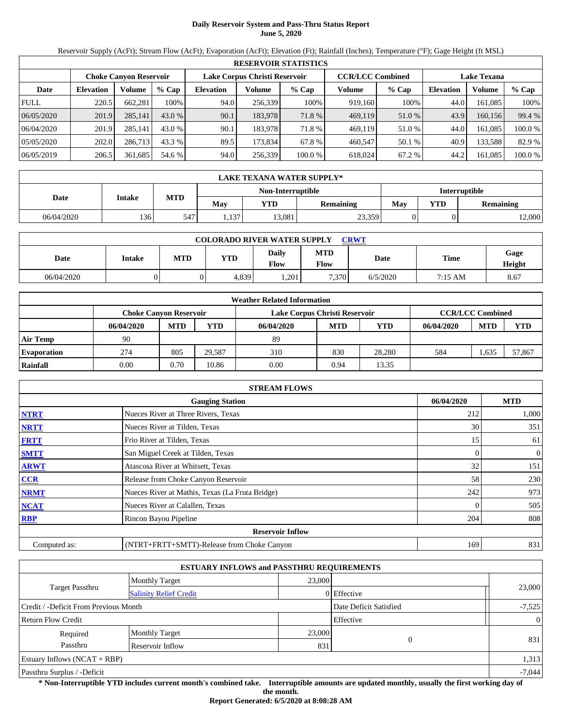# **Daily Reservoir System and Pass-Thru Status Report June 5, 2020**

Reservoir Supply (AcFt); Stream Flow (AcFt); Evaporation (AcFt); Elevation (Ft); Rainfall (Inches); Temperature (°F); Gage Height (ft MSL)

| <b>RESERVOIR STATISTICS</b> |                  |                               |         |                               |         |         |                         |        |                    |         |         |  |
|-----------------------------|------------------|-------------------------------|---------|-------------------------------|---------|---------|-------------------------|--------|--------------------|---------|---------|--|
|                             |                  | <b>Choke Canvon Reservoir</b> |         | Lake Corpus Christi Reservoir |         |         | <b>CCR/LCC Combined</b> |        | <b>Lake Texana</b> |         |         |  |
| Date                        | <b>Elevation</b> | Volume                        | $%$ Cap | <b>Elevation</b>              | Volume  | $%$ Cap | Volume                  | % Cap  | <b>Elevation</b>   | Volume  | $%$ Cap |  |
| <b>FULL</b>                 | 220.5            | 662.281                       | 100%    | 94.0                          | 256,339 | 100%    | 919,160                 | 100%   | 44.0               | 161.085 | 100%    |  |
| 06/05/2020                  | 201.9            | 285,141                       | 43.0 %  | 90.1                          | 183.978 | 71.8 %  | 469,119                 | 51.0 % | 43.9               | 160.156 | 99.4 %  |  |
| 06/04/2020                  | 201.9            | 285.141                       | 43.0 %  | 90.1                          | 183.978 | 71.8 %  | 469.119                 | 51.0 % | 44.0               | 161.085 | 100.0 % |  |
| 05/05/2020                  | 202.0            | 286.713                       | 43.3 %  | 89.5                          | 173.834 | 67.8 %  | 460,547                 | 50.1 % | 40.9               | 133,588 | 82.9 %  |  |
| 06/05/2019                  | 206.5            | 361,685                       | 54.6 %  | 94.0                          | 256,339 | 100.0%  | 618,024                 | 67.2 % | 44.2               | 161,085 | 100.0 % |  |

| LAKE TEXANA WATER SUPPLY* |               |            |       |                   |                  |                      |            |                  |  |  |
|---------------------------|---------------|------------|-------|-------------------|------------------|----------------------|------------|------------------|--|--|
|                           |               |            |       | Non-Interruptible |                  | <b>Interruptible</b> |            |                  |  |  |
| Date                      | <b>Intake</b> | <b>MTD</b> | Mav   | YTD               | <b>Remaining</b> | Mav                  | <b>YTD</b> | <b>Remaining</b> |  |  |
| 06/04/2020                | 136           | 547        | 1,137 | 13,081            | 23,359           |                      | 0          | 12,000           |  |  |

| <b>COLORADO RIVER WATER SUPPLY</b><br><b>CRWT</b> |        |     |            |                      |             |          |             |                |  |  |
|---------------------------------------------------|--------|-----|------------|----------------------|-------------|----------|-------------|----------------|--|--|
| Date                                              | Intake | MTD | <b>YTD</b> | <b>Daily</b><br>Flow | MTD<br>Flow | Date     | <b>Time</b> | Gage<br>Height |  |  |
| 06/04/2020                                        |        |     | 4,839      | ,201                 | 7.370       | 6/5/2020 | 7:15 AM     | 8.67           |  |  |

| <b>Weather Related Information</b> |                               |            |            |                               |                         |            |            |            |            |  |  |
|------------------------------------|-------------------------------|------------|------------|-------------------------------|-------------------------|------------|------------|------------|------------|--|--|
|                                    | <b>Choke Canvon Reservoir</b> |            |            | Lake Corpus Christi Reservoir | <b>CCR/LCC Combined</b> |            |            |            |            |  |  |
|                                    | 06/04/2020                    | <b>MTD</b> | <b>YTD</b> | 06/04/2020                    | <b>MTD</b>              | <b>YTD</b> | 06/04/2020 | <b>MTD</b> | <b>YTD</b> |  |  |
| Air Temp                           | 90                            |            |            | -89                           |                         |            |            |            |            |  |  |
| <b>Evaporation</b>                 | 274                           | 805        | 29.587     | 310                           | 830                     | 28,280     | 584        | .635       | 57,867     |  |  |
| Rainfall                           | 0.00                          | 0.70       | 10.86      | 0.00                          | 0.94                    | 13.35      |            |            |            |  |  |

| <b>STREAM FLOWS</b> |                                                 |            |                  |  |  |  |  |  |  |
|---------------------|-------------------------------------------------|------------|------------------|--|--|--|--|--|--|
|                     | 06/04/2020                                      | <b>MTD</b> |                  |  |  |  |  |  |  |
| <b>NTRT</b>         | Nueces River at Three Rivers, Texas             | 212        | 1,000            |  |  |  |  |  |  |
| <b>NRTT</b>         | Nueces River at Tilden, Texas                   | 30         | 351              |  |  |  |  |  |  |
| <b>FRTT</b>         | Frio River at Tilden, Texas                     | 15         | 61               |  |  |  |  |  |  |
| <b>SMTT</b>         | San Miguel Creek at Tilden, Texas               | 0          | $\boldsymbol{0}$ |  |  |  |  |  |  |
| <b>ARWT</b>         | Atascosa River at Whitsett, Texas               | 32         | 151              |  |  |  |  |  |  |
| <b>CCR</b>          | Release from Choke Canyon Reservoir             | 58         | 230              |  |  |  |  |  |  |
| <b>NRMT</b>         | Nueces River at Mathis, Texas (La Fruta Bridge) | 242        | 973              |  |  |  |  |  |  |
| <b>NCAT</b>         | Nueces River at Calallen, Texas                 |            | 505              |  |  |  |  |  |  |
| <b>RBP</b>          | Rincon Bayou Pipeline                           | 204        | 808              |  |  |  |  |  |  |
|                     | <b>Reservoir Inflow</b>                         |            |                  |  |  |  |  |  |  |
| Computed as:        | (NTRT+FRTT+SMTT)-Release from Choke Canyon      | 169        | 831              |  |  |  |  |  |  |

|                                       |                               | <b>ESTUARY INFLOWS and PASSTHRU REQUIREMENTS</b> |                        |                |
|---------------------------------------|-------------------------------|--------------------------------------------------|------------------------|----------------|
|                                       | <b>Monthly Target</b>         | 23,000                                           |                        |                |
| Target Passthru                       | <b>Salinity Relief Credit</b> |                                                  | $0$ Effective          | 23,000         |
| Credit / -Deficit From Previous Month |                               |                                                  | Date Deficit Satisfied | $-7,525$       |
| <b>Return Flow Credit</b>             |                               |                                                  | Effective              | $\overline{0}$ |
| Required                              | <b>Monthly Target</b>         | 23,000                                           |                        | 831            |
| Passthru                              | Reservoir Inflow              | 831                                              | $\Omega$               |                |
| Estuary Inflows $(NCAT + RBP)$        |                               |                                                  |                        | 1,313          |
| Passthru Surplus / -Deficit           |                               |                                                  |                        | $-7,044$       |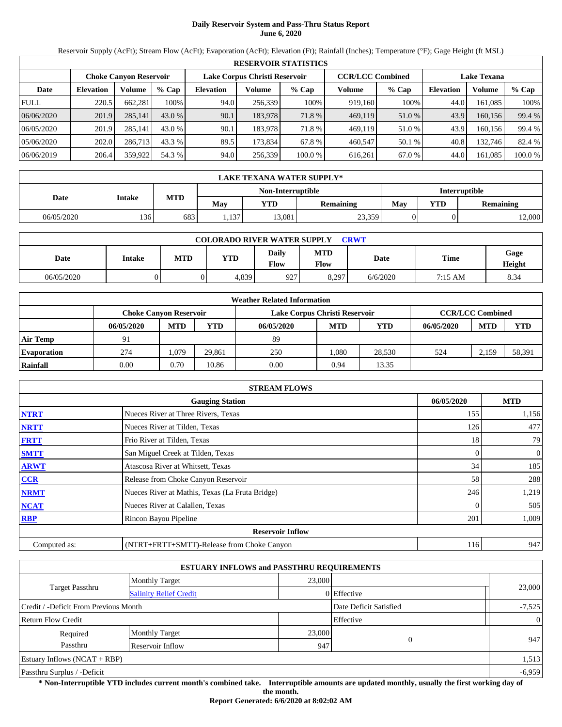# **Daily Reservoir System and Pass-Thru Status Report June 6, 2020**

Reservoir Supply (AcFt); Stream Flow (AcFt); Evaporation (AcFt); Elevation (Ft); Rainfall (Inches); Temperature (°F); Gage Height (ft MSL)

| <b>RESERVOIR STATISTICS</b> |                  |                               |         |                               |         |         |                         |        |                    |         |         |  |
|-----------------------------|------------------|-------------------------------|---------|-------------------------------|---------|---------|-------------------------|--------|--------------------|---------|---------|--|
|                             |                  | <b>Choke Canvon Reservoir</b> |         | Lake Corpus Christi Reservoir |         |         | <b>CCR/LCC Combined</b> |        | <b>Lake Texana</b> |         |         |  |
| Date                        | <b>Elevation</b> | Volume                        | $%$ Cap | <b>Elevation</b>              | Volume  | $%$ Cap | Volume                  | % Cap  | <b>Elevation</b>   | Volume  | $%$ Cap |  |
| <b>FULL</b>                 | 220.5            | 662.281                       | 100%    | 94.0                          | 256,339 | 100%    | 919,160                 | 100%   | 44.0               | 161.085 | 100%    |  |
| 06/06/2020                  | 201.9            | 285,141                       | 43.0 %  | 90.1                          | 183.978 | 71.8 %  | 469,119                 | 51.0 % | 43.9               | 160.156 | 99.4 %  |  |
| 06/05/2020                  | 201.9            | 285.141                       | 43.0 %  | 90.1                          | 183.978 | 71.8 %  | 469.119                 | 51.0 % | 43.9               | 160.156 | 99.4 %  |  |
| 05/06/2020                  | 202.0            | 286.713                       | 43.3 %  | 89.5                          | 173.834 | 67.8 %  | 460,547                 | 50.1 % | 40.8               | 132.746 | 82.4 %  |  |
| 06/06/2019                  | 206.4            | 359,922                       | 54.3 %  | 94.0                          | 256,339 | 100.0%  | 616,261                 | 67.0 % | 44.0               | 161,085 | 100.0 % |  |

| LAKE TEXANA WATER SUPPLY* |               |            |      |                   |                  |                      |     |                  |  |  |
|---------------------------|---------------|------------|------|-------------------|------------------|----------------------|-----|------------------|--|--|
|                           |               |            |      | Non-Interruptible |                  | <b>Interruptible</b> |     |                  |  |  |
| Date                      | <b>Intake</b> | <b>MTD</b> | Mav  | YTD               | <b>Remaining</b> | Mav                  | YTD | <b>Remaining</b> |  |  |
| 06/05/2020                | 136           | 683        | .137 | 13,081            | 23,359           |                      |     | 12,000           |  |  |

| <b>COLORADO RIVER WATER SUPPLY</b><br><b>CRWT</b> |        |            |       |                      |                    |             |         |                |  |  |
|---------------------------------------------------|--------|------------|-------|----------------------|--------------------|-------------|---------|----------------|--|--|
| Date                                              | Intake | <b>MTD</b> | YTD   | <b>Daily</b><br>Flow | MTD<br><b>Flow</b> | <b>Date</b> | Time    | Gage<br>Height |  |  |
| 06/05/2020                                        |        |            | 4,839 | 927                  | 8.297              | 6/6/2020    | 7:15 AM | 8.34           |  |  |

| <b>Weather Related Information</b> |                               |            |            |                               |                         |            |            |            |            |  |  |
|------------------------------------|-------------------------------|------------|------------|-------------------------------|-------------------------|------------|------------|------------|------------|--|--|
|                                    | <b>Choke Canvon Reservoir</b> |            |            | Lake Corpus Christi Reservoir | <b>CCR/LCC Combined</b> |            |            |            |            |  |  |
|                                    | 06/05/2020                    | <b>MTD</b> | <b>YTD</b> | 06/05/2020                    | <b>MTD</b>              | <b>YTD</b> | 06/05/2020 | <b>MTD</b> | <b>YTD</b> |  |  |
| Air Temp                           | 91                            |            |            | 89                            |                         |            |            |            |            |  |  |
| <b>Evaporation</b>                 | 274                           | .079       | 29.861     | 250                           | .080                    | 28.530     | 524        | 2.159      | 58,391     |  |  |
| Rainfall                           | 0.00                          | 0.70       | 10.86      | 0.00                          | 0.94                    | 13.35      |            |            |            |  |  |

| <b>STREAM FLOWS</b> |                                                 |            |                |  |  |  |  |  |  |
|---------------------|-------------------------------------------------|------------|----------------|--|--|--|--|--|--|
|                     | 06/05/2020                                      | <b>MTD</b> |                |  |  |  |  |  |  |
| <b>NTRT</b>         | Nueces River at Three Rivers, Texas             | 155        | 1,156          |  |  |  |  |  |  |
| <b>NRTT</b>         | Nueces River at Tilden, Texas                   | 126        | 477            |  |  |  |  |  |  |
| <b>FRTT</b>         | Frio River at Tilden, Texas                     | 18         | 79             |  |  |  |  |  |  |
| <b>SMTT</b>         | San Miguel Creek at Tilden, Texas               | 0          | $\overline{0}$ |  |  |  |  |  |  |
| <b>ARWT</b>         | Atascosa River at Whitsett, Texas               | 34         | 185            |  |  |  |  |  |  |
| CCR                 | Release from Choke Canyon Reservoir             | 58         | 288            |  |  |  |  |  |  |
| <b>NRMT</b>         | Nueces River at Mathis, Texas (La Fruta Bridge) | 246        | 1,219          |  |  |  |  |  |  |
| <b>NCAT</b>         | Nueces River at Calallen, Texas                 |            | 505            |  |  |  |  |  |  |
| <b>RBP</b>          | Rincon Bayou Pipeline                           | 201        | 1,009          |  |  |  |  |  |  |
|                     | <b>Reservoir Inflow</b>                         |            |                |  |  |  |  |  |  |
| Computed as:        | (NTRT+FRTT+SMTT)-Release from Choke Canyon      | 116        | 947            |  |  |  |  |  |  |

|                                       |                               | <b>ESTUARY INFLOWS and PASSTHRU REQUIREMENTS</b> |                        |                |
|---------------------------------------|-------------------------------|--------------------------------------------------|------------------------|----------------|
|                                       | <b>Monthly Target</b>         | 23,000                                           |                        |                |
| <b>Target Passthru</b>                | <b>Salinity Relief Credit</b> |                                                  | 0 Effective            | 23,000         |
| Credit / -Deficit From Previous Month |                               |                                                  | Date Deficit Satisfied | $-7,525$       |
| <b>Return Flow Credit</b>             |                               |                                                  | Effective              | $\overline{0}$ |
| Required                              | <b>Monthly Target</b>         | 23,000                                           |                        | 947            |
| Passthru                              | Reservoir Inflow              | 947                                              | $\theta$               |                |
| Estuary Inflows $(NCAT + RBP)$        |                               |                                                  |                        | 1,513          |
| Passthru Surplus / -Deficit           |                               |                                                  |                        | $-6,959$       |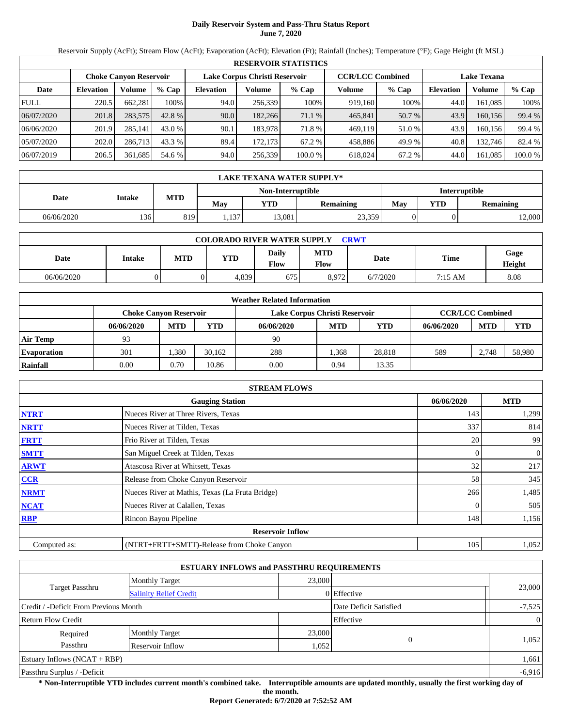# **Daily Reservoir System and Pass-Thru Status Report June 7, 2020**

Reservoir Supply (AcFt); Stream Flow (AcFt); Evaporation (AcFt); Elevation (Ft); Rainfall (Inches); Temperature (°F); Gage Height (ft MSL)

| <b>RESERVOIR STATISTICS</b> |                                                                |         |         |                  |         |         |         |                                               |                  |         |         |
|-----------------------------|----------------------------------------------------------------|---------|---------|------------------|---------|---------|---------|-----------------------------------------------|------------------|---------|---------|
|                             | Lake Corpus Christi Reservoir<br><b>Choke Canvon Reservoir</b> |         |         |                  |         |         |         | <b>CCR/LCC Combined</b><br><b>Lake Texana</b> |                  |         |         |
| Date                        | <b>Elevation</b>                                               | Volume  | $%$ Cap | <b>Elevation</b> | Volume  | $%$ Cap | Volume  | $%$ Cap                                       | <b>Elevation</b> | Volume  | % Cap   |
| <b>FULL</b>                 | 220.5                                                          | 662.281 | 100%    | 94.0             | 256,339 | 100%    | 919.160 | 100%                                          | 44.0             | 161.085 | 100%    |
| 06/07/2020                  | 201.8                                                          | 283,575 | 42.8 %  | 90.0             | 182,266 | 71.1 %  | 465,841 | 50.7 %                                        | 43.9             | 160,156 | 99.4 %  |
| 06/06/2020                  | 201.9                                                          | 285,141 | 43.0 %  | 90.1             | 183.978 | 71.8 %  | 469,119 | 51.0 %                                        | 43.9             | 160.156 | 99.4 %  |
| 05/07/2020                  | 202.0                                                          | 286,713 | 43.3 %  | 89.4             | 172,173 | 67.2 %  | 458,886 | 49.9 %                                        | 40.8             | 132,746 | 82.4 %  |
| 06/07/2019                  | 206.5                                                          | 361,685 | 54.6 %  | 94.0             | 256,339 | 100.0 % | 618,024 | 67.2 %                                        | 44.0             | 161.085 | 100.0 % |

|            | LAKE TEXANA WATER SUPPLY* |            |       |                   |                      |     |            |                  |  |  |
|------------|---------------------------|------------|-------|-------------------|----------------------|-----|------------|------------------|--|--|
|            |                           |            |       | Non-Interruptible | <b>Interruptible</b> |     |            |                  |  |  |
| Date       | Intake                    | <b>MTD</b> | May   | YTD               | <b>Remaining</b>     | Mav | <b>YTD</b> | <b>Remaining</b> |  |  |
| 06/06/2020 | 136                       | 819        | .,137 | 13,081            | 23,359               |     |            | 12,000           |  |  |

| <b>COLORADO RIVER WATER SUPPLY</b><br><b>CRWT</b> |        |            |       |                      |                    |             |         |                |  |  |
|---------------------------------------------------|--------|------------|-------|----------------------|--------------------|-------------|---------|----------------|--|--|
| Date                                              | Intake | <b>MTD</b> | YTD   | <b>Daily</b><br>Flow | MTD<br><b>Flow</b> | <b>Date</b> | Time    | Gage<br>Height |  |  |
| 06/06/2020                                        |        |            | 4,839 | 675                  | 8,972              | 6/7/2020    | 7:15 AM | 8.08           |  |  |

| <b>Weather Related Information</b> |            |                                                                |            |            |            |        |            |            |            |  |  |
|------------------------------------|------------|----------------------------------------------------------------|------------|------------|------------|--------|------------|------------|------------|--|--|
|                                    |            | Lake Corpus Christi Reservoir<br><b>Choke Canvon Reservoir</b> |            |            |            |        |            |            |            |  |  |
|                                    | 06/06/2020 | <b>MTD</b>                                                     | <b>YTD</b> | 06/06/2020 | <b>MTD</b> | YTD    | 06/06/2020 | <b>MTD</b> | <b>YTD</b> |  |  |
| <b>Air Temp</b>                    | 93         |                                                                |            | 90         |            |        |            |            |            |  |  |
| <b>Evaporation</b>                 | 301        | .380                                                           | 30.162     | 288        | .368       | 28.818 | 589        | 2.748      | 58,980     |  |  |
| Rainfall                           | 0.00       | 0.70                                                           | 10.86      | 0.00       | 0.94       | 13.35  |            |            |            |  |  |

|              | <b>STREAM FLOWS</b>                             |            |                |  |  |  |  |  |  |
|--------------|-------------------------------------------------|------------|----------------|--|--|--|--|--|--|
|              | 06/06/2020                                      | <b>MTD</b> |                |  |  |  |  |  |  |
| <b>NTRT</b>  | Nueces River at Three Rivers, Texas             | 143        | 1,299          |  |  |  |  |  |  |
| <b>NRTT</b>  | Nueces River at Tilden, Texas                   | 337        | 814            |  |  |  |  |  |  |
| <b>FRTT</b>  | Frio River at Tilden, Texas                     | 20         | 99             |  |  |  |  |  |  |
| <b>SMTT</b>  | San Miguel Creek at Tilden, Texas               | 0          | $\overline{0}$ |  |  |  |  |  |  |
| <b>ARWT</b>  | Atascosa River at Whitsett, Texas               | 32         | 217            |  |  |  |  |  |  |
| <b>CCR</b>   | Release from Choke Canyon Reservoir             | 58         | 345            |  |  |  |  |  |  |
| <b>NRMT</b>  | Nueces River at Mathis, Texas (La Fruta Bridge) | 266        | 1,485          |  |  |  |  |  |  |
| <b>NCAT</b>  | Nueces River at Calallen, Texas                 |            | 505            |  |  |  |  |  |  |
| <b>RBP</b>   | Rincon Bayou Pipeline                           | 148        | 1,156          |  |  |  |  |  |  |
|              | <b>Reservoir Inflow</b>                         |            |                |  |  |  |  |  |  |
| Computed as: | (NTRT+FRTT+SMTT)-Release from Choke Canyon      | 105        | 1,052          |  |  |  |  |  |  |

|                                       |                               | <b>ESTUARY INFLOWS and PASSTHRU REQUIREMENTS</b> |                        |                |
|---------------------------------------|-------------------------------|--------------------------------------------------|------------------------|----------------|
|                                       | <b>Monthly Target</b>         | 23,000                                           |                        |                |
| Target Passthru                       | <b>Salinity Relief Credit</b> |                                                  | 0 Effective            | 23,000         |
| Credit / -Deficit From Previous Month |                               |                                                  | Date Deficit Satisfied | $-7,525$       |
| <b>Return Flow Credit</b>             |                               |                                                  | Effective              | $\overline{0}$ |
| Required                              | <b>Monthly Target</b>         | 23,000                                           |                        |                |
| Passthru                              | Reservoir Inflow              | 1,052                                            | $\Omega$               | 1,052          |
| Estuary Inflows $(NCAT + RBP)$        |                               |                                                  |                        | 1,661          |
| Passthru Surplus / -Deficit           |                               |                                                  |                        | $-6,916$       |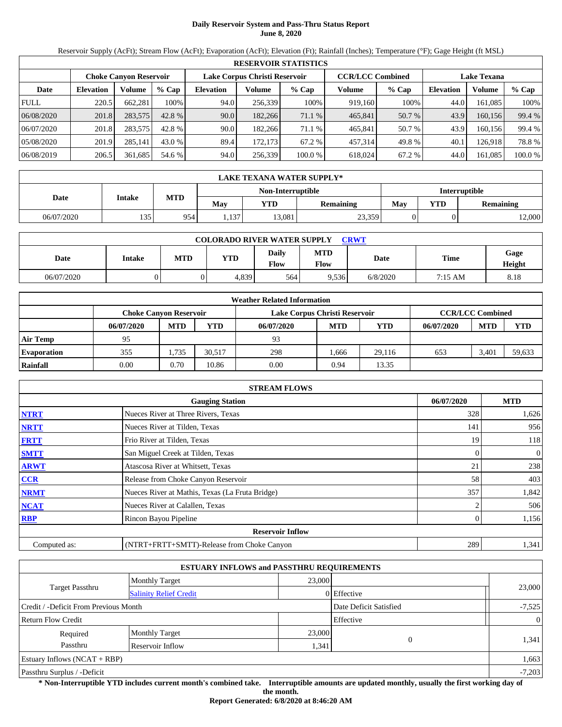# **Daily Reservoir System and Pass-Thru Status Report June 8, 2020**

Reservoir Supply (AcFt); Stream Flow (AcFt); Evaporation (AcFt); Elevation (Ft); Rainfall (Inches); Temperature (°F); Gage Height (ft MSL)

|             | <b>RESERVOIR STATISTICS</b> |                               |         |                               |          |                                               |         |         |                  |         |        |  |
|-------------|-----------------------------|-------------------------------|---------|-------------------------------|----------|-----------------------------------------------|---------|---------|------------------|---------|--------|--|
|             |                             | <b>Choke Canvon Reservoir</b> |         | Lake Corpus Christi Reservoir |          | <b>CCR/LCC Combined</b><br><b>Lake Texana</b> |         |         |                  |         |        |  |
| Date        | <b>Elevation</b>            | Volume                        | $%$ Cap | <b>Elevation</b>              | Volume   | $%$ Cap                                       | Volume  | $%$ Cap | <b>Elevation</b> | Volume  | % Cap  |  |
| <b>FULL</b> | 220.5                       | 662,281                       | 100%    | 94.0                          | 256,339  | 100%                                          | 919,160 | 100%    | 44.0             | 161,085 | 100%   |  |
| 06/08/2020  | 201.8                       | 283,575                       | 42.8 %  | 90.0                          | 182,266  | 71.1 %                                        | 465,841 | 50.7 %  | 43.9             | 160,156 | 99.4 % |  |
| 06/07/2020  | 201.8                       | 283,575                       | 42.8 %  | 90.0                          | 182,266  | 71.1 %                                        | 465.841 | 50.7 %  | 43.9             | 160.156 | 99.4 % |  |
| 05/08/2020  | 201.9                       | 285,141                       | 43.0 %  | 89.4                          | 172,1731 | 67.2 %                                        | 457,314 | 49.8%   | 40.1             | 126,918 | 78.8%  |  |
| 06/08/2019  | 206.5                       | 361,685                       | 54.6 %  | 94.0                          | 256,339  | 100.0 %                                       | 618,024 | 67.2 %  | 44.0             | 161,085 | 100.0% |  |

|            | LAKE TEXANA WATER SUPPLY* |            |       |                   |                      |     |            |                  |  |  |  |
|------------|---------------------------|------------|-------|-------------------|----------------------|-----|------------|------------------|--|--|--|
|            |                           |            |       | Non-Interruptible | <b>Interruptible</b> |     |            |                  |  |  |  |
| Date       | <b>Intake</b>             | <b>MTD</b> | Mav   | YTD               | <b>Remaining</b>     | Mav | <b>YTD</b> | <b>Remaining</b> |  |  |  |
| 06/07/2020 | 135                       | 954.       | 1,137 | 13,081            | 23,359               |     |            | 12,000           |  |  |  |

| <b>COLORADO RIVER WATER SUPPLY</b><br><b>CRWT</b> |        |            |       |                      |                    |             |         |                |  |  |
|---------------------------------------------------|--------|------------|-------|----------------------|--------------------|-------------|---------|----------------|--|--|
| Date                                              | Intake | <b>MTD</b> | YTD   | <b>Daily</b><br>Flow | MTD<br><b>Flow</b> | <b>Date</b> | Time    | Gage<br>Height |  |  |
| 06/07/2020                                        |        |            | 4,839 | 564                  | 9,536              | 6/8/2020    | 7:15 AM | 8.18           |  |  |

| <b>Weather Related Information</b> |                               |            |            |            |                                                          |        |            |            |            |  |  |
|------------------------------------|-------------------------------|------------|------------|------------|----------------------------------------------------------|--------|------------|------------|------------|--|--|
|                                    | <b>Choke Canvon Reservoir</b> |            |            |            | <b>CCR/LCC Combined</b><br>Lake Corpus Christi Reservoir |        |            |            |            |  |  |
|                                    | 06/07/2020                    | <b>MTD</b> | <b>YTD</b> | 06/07/2020 | <b>MTD</b>                                               | YTD    | 06/07/2020 | <b>MTD</b> | <b>YTD</b> |  |  |
| <b>Air Temp</b>                    | 95                            |            |            | 93         |                                                          |        |            |            |            |  |  |
| <b>Evaporation</b>                 | 355                           | .735       | 30.517     | 298        | .666                                                     | 29.116 | 653        | 3.401      | 59,633     |  |  |
| Rainfall                           | 0.00                          | 0.70       | 10.86      | 0.00       | 0.94                                                     | 13.35  |            |            |            |  |  |

|              | <b>STREAM FLOWS</b>                             |  |            |              |  |  |  |  |
|--------------|-------------------------------------------------|--|------------|--------------|--|--|--|--|
|              | 06/07/2020                                      |  | <b>MTD</b> |              |  |  |  |  |
| <b>NTRT</b>  | Nueces River at Three Rivers, Texas             |  | 328        | 1,626        |  |  |  |  |
| <b>NRTT</b>  | Nueces River at Tilden, Texas                   |  | 141        | 956          |  |  |  |  |
| <b>FRTT</b>  | Frio River at Tilden, Texas                     |  | 19         | 118          |  |  |  |  |
| <b>SMTT</b>  | San Miguel Creek at Tilden, Texas               |  |            | $\mathbf{0}$ |  |  |  |  |
| <b>ARWT</b>  | Atascosa River at Whitsett, Texas               |  | 21         | 238          |  |  |  |  |
| <b>CCR</b>   | Release from Choke Canyon Reservoir             |  | 58         | 403          |  |  |  |  |
| <b>NRMT</b>  | Nueces River at Mathis, Texas (La Fruta Bridge) |  | 357        | 1,842        |  |  |  |  |
| <b>NCAT</b>  | Nueces River at Calallen, Texas                 |  |            | 506          |  |  |  |  |
| <b>RBP</b>   | Rincon Bayou Pipeline                           |  |            | 1,156        |  |  |  |  |
|              | <b>Reservoir Inflow</b>                         |  |            |              |  |  |  |  |
| Computed as: | (NTRT+FRTT+SMTT)-Release from Choke Canyon      |  | 289        | 1,341        |  |  |  |  |

|                                       |                                 | <b>ESTUARY INFLOWS and PASSTHRU REQUIREMENTS</b> |                        |                |
|---------------------------------------|---------------------------------|--------------------------------------------------|------------------------|----------------|
|                                       | 23,000<br><b>Monthly Target</b> |                                                  |                        |                |
| <b>Target Passthru</b>                | <b>Salinity Relief Credit</b>   |                                                  | 0 Effective            | 23,000         |
| Credit / -Deficit From Previous Month |                                 |                                                  | Date Deficit Satisfied | $-7,525$       |
| <b>Return Flow Credit</b>             |                                 |                                                  | Effective              | $\overline{0}$ |
| Required                              | <b>Monthly Target</b>           | 23,000                                           |                        |                |
| Passthru                              | Reservoir Inflow                | 1,341                                            | $\Omega$               | 1,341          |
| Estuary Inflows $(NCAT + RBP)$        |                                 |                                                  |                        | 1,663          |
| Passthru Surplus / -Deficit           |                                 |                                                  |                        | $-7,203$       |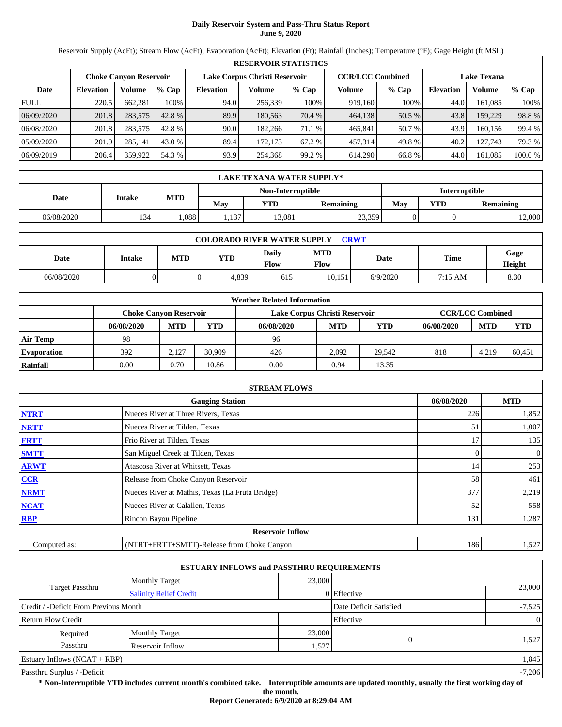# **Daily Reservoir System and Pass-Thru Status Report June 9, 2020**

Reservoir Supply (AcFt); Stream Flow (AcFt); Evaporation (AcFt); Elevation (Ft); Rainfall (Inches); Temperature (°F); Gage Height (ft MSL)

|             | <b>RESERVOIR STATISTICS</b> |                               |         |                               |         |         |                         |        |                    |         |         |  |  |
|-------------|-----------------------------|-------------------------------|---------|-------------------------------|---------|---------|-------------------------|--------|--------------------|---------|---------|--|--|
|             |                             | <b>Choke Canvon Reservoir</b> |         | Lake Corpus Christi Reservoir |         |         | <b>CCR/LCC Combined</b> |        | <b>Lake Texana</b> |         |         |  |  |
| Date        | <b>Elevation</b>            | Volume                        | $%$ Cap | <b>Elevation</b>              | Volume  | $%$ Cap | Volume                  | % Cap  | <b>Elevation</b>   | Volume  | $%$ Cap |  |  |
| <b>FULL</b> | 220.5                       | 662.281                       | 100%    | 94.0                          | 256.339 | 100%    | 919,160                 | 100%   | 44.0               | 161.085 | 100%    |  |  |
| 06/09/2020  | 201.8                       | 283,575                       | 42.8 %  | 89.9                          | 180.563 | 70.4 %  | 464,138                 | 50.5 % | 43.8               | 159.229 | 98.8%   |  |  |
| 06/08/2020  | 201.8                       | 283,575                       | 42.8 %  | 90.0                          | 182.266 | 71.1 %  | 465.841                 | 50.7 % | 43.9               | 160.156 | 99.4 %  |  |  |
| 05/09/2020  | 201.9                       | 285.141                       | 43.0 %  | 89.4                          | 172.173 | 67.2 %  | 457,314                 | 49.8%  | 40.2               | 127.743 | 79.3 %  |  |  |
| 06/09/2019  | 206.4                       | 359,922                       | 54.3 %  | 93.9                          | 254.368 | 99.2%   | 614,290                 | 66.8%  | 44.0               | 161,085 | 100.0 % |  |  |

|            | LAKE TEXANA WATER SUPPLY* |            |       |                   |                  |               |            |           |  |  |  |  |
|------------|---------------------------|------------|-------|-------------------|------------------|---------------|------------|-----------|--|--|--|--|
|            |                           |            |       | Non-Interruptible |                  | Interruptible |            |           |  |  |  |  |
| Date       | <b>Intake</b>             | <b>MTD</b> | Mav   | YTD               | <b>Remaining</b> | Mav           | <b>YTD</b> | Remaining |  |  |  |  |
| 06/08/2020 | 134                       | .088       | 1,137 | 13,081            | 23,359           |               |            | 12,000    |  |  |  |  |

| <b>COLORADO RIVER WATER SUPPLY</b><br><b>CRWT</b> |        |            |       |               |                    |          |             |                |  |  |  |
|---------------------------------------------------|--------|------------|-------|---------------|--------------------|----------|-------------|----------------|--|--|--|
| Date                                              | Intake | <b>MTD</b> | YTD   | Daily<br>Flow | <b>MTD</b><br>Flow | Date     | <b>Time</b> | Gage<br>Height |  |  |  |
| 06/08/2020                                        |        |            | 4,839 | 615           | 10.151             | 6/9/2020 | 7:15 AM     | 8.30           |  |  |  |

| <b>Weather Related Information</b> |                               |            |            |                               |                         |        |            |            |            |  |  |
|------------------------------------|-------------------------------|------------|------------|-------------------------------|-------------------------|--------|------------|------------|------------|--|--|
|                                    | <b>Choke Canvon Reservoir</b> |            |            | Lake Corpus Christi Reservoir | <b>CCR/LCC Combined</b> |        |            |            |            |  |  |
|                                    | 06/08/2020                    | <b>MTD</b> | <b>YTD</b> | 06/08/2020                    | <b>MTD</b>              | YTD    | 06/08/2020 | <b>MTD</b> | <b>YTD</b> |  |  |
| <b>Air Temp</b>                    | 98                            |            |            | 96                            |                         |        |            |            |            |  |  |
| <b>Evaporation</b>                 | 392                           | 2.127      | 30.909     | 426                           | 2.092                   | 29.542 | 818        | 4.219      | 60.451     |  |  |
| Rainfall                           | 0.00                          | 0.70       | 10.86      | 0.00                          | 0.94                    | 13.35  |            |            |            |  |  |

|                                      | <b>STREAM FLOWS</b>                             |     |              |  |  |  |  |  |  |
|--------------------------------------|-------------------------------------------------|-----|--------------|--|--|--|--|--|--|
| <b>Gauging Station</b><br>06/08/2020 |                                                 |     |              |  |  |  |  |  |  |
| <b>NTRT</b>                          | Nueces River at Three Rivers, Texas             | 226 | 1,852        |  |  |  |  |  |  |
| <b>NRTT</b>                          | Nueces River at Tilden, Texas                   | 51  | 1,007        |  |  |  |  |  |  |
| <b>FRTT</b>                          | Frio River at Tilden, Texas                     | 17  | 135          |  |  |  |  |  |  |
| <b>SMTT</b>                          | San Miguel Creek at Tilden, Texas               | 0   | $\mathbf{0}$ |  |  |  |  |  |  |
| <b>ARWT</b>                          | Atascosa River at Whitsett, Texas               | 14  | 253          |  |  |  |  |  |  |
| <b>CCR</b>                           | Release from Choke Canyon Reservoir             | 58  | 461          |  |  |  |  |  |  |
| <b>NRMT</b>                          | Nueces River at Mathis, Texas (La Fruta Bridge) | 377 | 2,219        |  |  |  |  |  |  |
| <b>NCAT</b>                          | Nueces River at Calallen, Texas                 | 52  | 558          |  |  |  |  |  |  |
| <b>RBP</b>                           | Rincon Bayou Pipeline                           | 131 | 1,287        |  |  |  |  |  |  |
|                                      | <b>Reservoir Inflow</b>                         |     |              |  |  |  |  |  |  |
| Computed as:                         | (NTRT+FRTT+SMTT)-Release from Choke Canyon      | 186 | 1,527        |  |  |  |  |  |  |

|                                       | <b>ESTUARY INFLOWS and PASSTHRU REQUIREMENTS</b> |        |                        |                |
|---------------------------------------|--------------------------------------------------|--------|------------------------|----------------|
|                                       | <b>Monthly Target</b>                            | 23,000 |                        |                |
| <b>Target Passthru</b>                | <b>Salinity Relief Credit</b>                    |        | 0 Effective            | 23,000         |
| Credit / -Deficit From Previous Month |                                                  |        | Date Deficit Satisfied | $-7,525$       |
| <b>Return Flow Credit</b>             |                                                  |        | Effective              | $\overline{0}$ |
| Required                              | <b>Monthly Target</b>                            | 23,000 |                        |                |
| Passthru                              | Reservoir Inflow                                 | 1,527  | 0                      | 1,527          |
| Estuary Inflows $(NCAT + RBP)$        |                                                  |        |                        | 1,845          |
| Passthru Surplus / -Deficit           |                                                  |        |                        | $-7,206$       |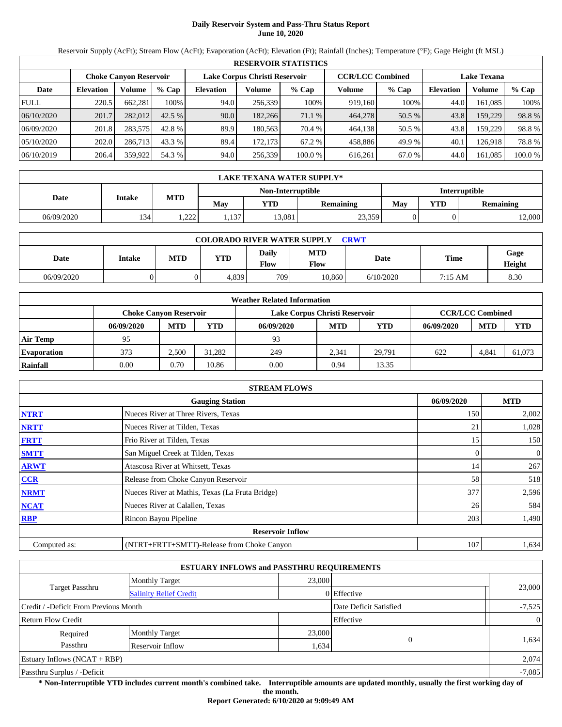# **Daily Reservoir System and Pass-Thru Status Report June 10, 2020**

Reservoir Supply (AcFt); Stream Flow (AcFt); Evaporation (AcFt); Elevation (Ft); Rainfall (Inches); Temperature (°F); Gage Height (ft MSL)

|             | <b>RESERVOIR STATISTICS</b>                             |         |         |                  |         |         |                         |         |                    |               |         |  |  |
|-------------|---------------------------------------------------------|---------|---------|------------------|---------|---------|-------------------------|---------|--------------------|---------------|---------|--|--|
|             | Lake Corpus Christi Reservoir<br>Choke Canvon Reservoir |         |         |                  |         |         | <b>CCR/LCC Combined</b> |         | <b>Lake Texana</b> |               |         |  |  |
| Date        | <b>Elevation</b>                                        | Volume  | $%$ Cap | <b>Elevation</b> | Volume  | $%$ Cap | Volume                  | $%$ Cap | <b>Elevation</b>   | <b>Volume</b> | % Cap   |  |  |
| <b>FULL</b> | 220.5                                                   | 662,281 | 100%    | 94.0             | 256,339 | 100%    | 919,160                 | 100%    | 44.0               | 161.085       | 100%    |  |  |
| 06/10/2020  | 201.7                                                   | 282,012 | 42.5%   | 90.0             | 182,266 | 71.1 %  | 464,278                 | 50.5 %  | 43.8               | 159,229       | 98.8%   |  |  |
| 06/09/2020  | 201.8                                                   | 283,575 | 42.8 %  | 89.9             | 180,563 | 70.4 %  | 464.138                 | 50.5 %  | 43.8               | 159.229       | 98.8%   |  |  |
| 05/10/2020  | 202.0                                                   | 286,713 | 43.3 %  | 89.4             | 172,173 | 67.2 %  | 458,886                 | 49.9 %  | 40.1               | 126.9181      | 78.8%   |  |  |
| 06/10/2019  | 206.4                                                   | 359,922 | 54.3 %  | 94.0             | 256,339 | 100.0 % | 616.261                 | 67.0 %  | 44.0               | 161,085       | 100.0 % |  |  |

|            | LAKE TEXANA WATER SUPPLY* |              |       |                   |                  |               |     |           |  |  |  |  |
|------------|---------------------------|--------------|-------|-------------------|------------------|---------------|-----|-----------|--|--|--|--|
|            |                           |              |       | Non-Interruptible |                  | Interruptible |     |           |  |  |  |  |
| Date       | Intake                    | <b>MTD</b>   | May   | YTD               | <b>Remaining</b> | May           | YTD | Remaining |  |  |  |  |
| 06/09/2020 | 134                       | 222<br>كككور | 1,137 | 13.081            | 23,359           |               |     | 2,000     |  |  |  |  |

| <b>COLORADO RIVER WATER SUPPLY</b><br><b>CRWT</b> |               |     |       |               |                           |           |         |                |  |  |  |
|---------------------------------------------------|---------------|-----|-------|---------------|---------------------------|-----------|---------|----------------|--|--|--|
| Date                                              | <b>Intake</b> | MTD | YTD   | Daily<br>Flow | <b>MTD</b><br><b>Flow</b> | Date      | Time    | Gage<br>Height |  |  |  |
| 06/09/2020                                        |               |     | 4.839 | 709           | 10.860                    | 6/10/2020 | 7:15 AM | 8.30           |  |  |  |

| <b>Weather Related Information</b> |                               |            |            |                               |                         |        |            |            |            |  |  |
|------------------------------------|-------------------------------|------------|------------|-------------------------------|-------------------------|--------|------------|------------|------------|--|--|
|                                    | <b>Choke Canvon Reservoir</b> |            |            | Lake Corpus Christi Reservoir | <b>CCR/LCC Combined</b> |        |            |            |            |  |  |
|                                    | 06/09/2020                    | <b>MTD</b> | <b>YTD</b> | 06/09/2020                    | <b>MTD</b>              | YTD    | 06/09/2020 | <b>MTD</b> | <b>YTD</b> |  |  |
| <b>Air Temp</b>                    | 95                            |            |            | 93                            |                         |        |            |            |            |  |  |
| <b>Evaporation</b>                 | 373                           | 2.500      | 31.282     | 249                           | 2.341                   | 29.791 | 622        | 4,841      | 61.073     |  |  |
| Rainfall                           | 0.00                          | 0.70       | 10.86      | 0.00                          | 0.94                    | 13.35  |            |            |            |  |  |

|              | <b>STREAM FLOWS</b>                             |            |       |  |  |  |  |  |  |
|--------------|-------------------------------------------------|------------|-------|--|--|--|--|--|--|
|              | 06/09/2020                                      | <b>MTD</b> |       |  |  |  |  |  |  |
| <b>NTRT</b>  | Nueces River at Three Rivers, Texas             | 150        | 2,002 |  |  |  |  |  |  |
| <b>NRTT</b>  | Nueces River at Tilden, Texas                   | 21         | 1,028 |  |  |  |  |  |  |
| <b>FRTT</b>  | Frio River at Tilden, Texas                     | 15         | 150   |  |  |  |  |  |  |
| <b>SMTT</b>  | San Miguel Creek at Tilden, Texas               |            | 0     |  |  |  |  |  |  |
| <b>ARWT</b>  | Atascosa River at Whitsett, Texas               | 14         | 267   |  |  |  |  |  |  |
| <b>CCR</b>   | Release from Choke Canyon Reservoir             | 58         | 518   |  |  |  |  |  |  |
| <b>NRMT</b>  | Nueces River at Mathis, Texas (La Fruta Bridge) | 377        | 2,596 |  |  |  |  |  |  |
| <b>NCAT</b>  | Nueces River at Calallen, Texas                 | 26         | 584   |  |  |  |  |  |  |
| <b>RBP</b>   | Rincon Bayou Pipeline                           | 203        | 1,490 |  |  |  |  |  |  |
|              | <b>Reservoir Inflow</b>                         |            |       |  |  |  |  |  |  |
| Computed as: | (NTRT+FRTT+SMTT)-Release from Choke Canyon      | 107        | 1,634 |  |  |  |  |  |  |

|                                       |                               | <b>ESTUARY INFLOWS and PASSTHRU REQUIREMENTS</b> |                        |                |
|---------------------------------------|-------------------------------|--------------------------------------------------|------------------------|----------------|
|                                       | <b>Monthly Target</b>         | 23,000                                           |                        |                |
| <b>Target Passthru</b>                | <b>Salinity Relief Credit</b> |                                                  | 0 Effective            | 23,000         |
| Credit / -Deficit From Previous Month |                               |                                                  | Date Deficit Satisfied | $-7,525$       |
| <b>Return Flow Credit</b>             |                               |                                                  | Effective              | $\overline{0}$ |
| Required                              | <b>Monthly Target</b>         | 23,000                                           |                        |                |
| Passthru                              | Reservoir Inflow              | 1,634                                            |                        | 1,634          |
| Estuary Inflows $(NCAT + RBP)$        |                               |                                                  |                        | 2,074          |
| Passthru Surplus / -Deficit           |                               |                                                  |                        | $-7,085$       |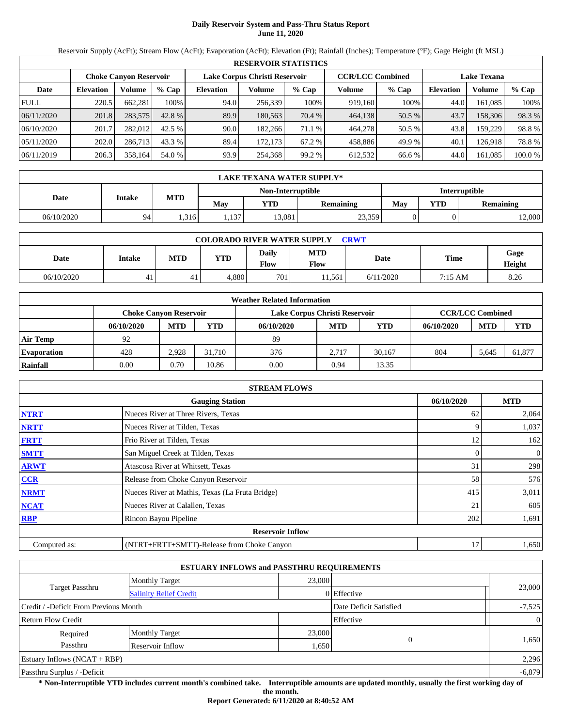# **Daily Reservoir System and Pass-Thru Status Report June 11, 2020**

Reservoir Supply (AcFt); Stream Flow (AcFt); Evaporation (AcFt); Elevation (Ft); Rainfall (Inches); Temperature (°F); Gage Height (ft MSL)

| <b>RESERVOIR STATISTICS</b> |                  |                               |         |                  |                               |         |         |                         |                    |         |         |  |
|-----------------------------|------------------|-------------------------------|---------|------------------|-------------------------------|---------|---------|-------------------------|--------------------|---------|---------|--|
|                             |                  | <b>Choke Canvon Reservoir</b> |         |                  | Lake Corpus Christi Reservoir |         |         | <b>CCR/LCC Combined</b> | <b>Lake Texana</b> |         |         |  |
| Date                        | <b>Elevation</b> | Volume                        | $%$ Cap | <b>Elevation</b> | Volume                        | $%$ Cap | Volume  | $%$ Cap                 | <b>Elevation</b>   | Volume  | % Cap   |  |
| <b>FULL</b>                 | 220.5            | 662.281                       | 100%    | 94.0             | 256,339                       | 100%    | 919.160 | 100%                    | 44.0               | 161.085 | 100%    |  |
| 06/11/2020                  | 201.8            | 283,575                       | 42.8 %  | 89.9             | 180.563                       | 70.4 %  | 464,138 | 50.5 %                  | 43.7               | 158,306 | 98.3 %  |  |
| 06/10/2020                  | 201.7            | 282,012                       | 42.5 %  | 90.0             | 182.266                       | 71.1 %  | 464,278 | 50.5 %                  | 43.8               | 159.229 | 98.8%   |  |
| 05/11/2020                  | 202.0            | 286,713                       | 43.3 %  | 89.4             | 172.173                       | 67.2 %  | 458,886 | 49.9 %                  | 40.1               | 126.918 | 78.8%   |  |
| 06/11/2019                  | 206.3            | 358,164                       | 54.0 %  | 93.9             | 254,368                       | 99.2 %  | 612,532 | 66.6 %                  | 44.0               | 161.085 | 100.0 % |  |

| <b>LAKE TEXANA WATER SUPPLY*</b> |               |            |      |                   |           |               |     |                  |  |  |
|----------------------------------|---------------|------------|------|-------------------|-----------|---------------|-----|------------------|--|--|
|                                  |               |            |      | Non-Interruptible |           | Interruptible |     |                  |  |  |
| Date                             | <b>Intake</b> | <b>MTD</b> | Mav  | YTD               | Remaining | May           | YTD | <b>Remaining</b> |  |  |
| 06/10/2020                       | 94            | .316       | .137 | 13.081            | 23,359    |               |     | 12,000           |  |  |

| <b>COLORADO RIVER WATER SUPPLY</b><br><b>CRWT</b> |        |     |       |               |                           |           |         |                |  |  |
|---------------------------------------------------|--------|-----|-------|---------------|---------------------------|-----------|---------|----------------|--|--|
| Date                                              | Intake | MTD | YTD   | Daily<br>Flow | <b>MTD</b><br><b>Flow</b> | Date      | Time    | Gage<br>Height |  |  |
| 06/10/2020                                        | 41     | 41  | 4.880 | 701           | 11.561                    | 6/11/2020 | 7:15 AM | 8.26           |  |  |

| <b>Weather Related Information</b> |            |                        |            |                               |                         |            |            |            |            |  |  |
|------------------------------------|------------|------------------------|------------|-------------------------------|-------------------------|------------|------------|------------|------------|--|--|
|                                    |            | Choke Canvon Reservoir |            | Lake Corpus Christi Reservoir | <b>CCR/LCC Combined</b> |            |            |            |            |  |  |
|                                    | 06/10/2020 | <b>MTD</b>             | <b>YTD</b> | 06/10/2020                    | <b>MTD</b>              | <b>YTD</b> | 06/10/2020 | <b>MTD</b> | <b>YTD</b> |  |  |
| <b>Air Temp</b>                    | 92         |                        |            | 89                            |                         |            |            |            |            |  |  |
| <b>Evaporation</b>                 | 428        | 2.928                  | 31.710     | 376                           | 2.717                   | 30.167     | 804        | 5.645      | 61,877     |  |  |
| Rainfall                           | 0.00       | 0.70                   | 10.86      | 0.00                          | 0.94                    | 13.35      |            |            |            |  |  |

|              | <b>STREAM FLOWS</b>                             |            |            |              |  |  |  |  |  |
|--------------|-------------------------------------------------|------------|------------|--------------|--|--|--|--|--|
|              |                                                 | 06/10/2020 | <b>MTD</b> |              |  |  |  |  |  |
| <b>NTRT</b>  | Nueces River at Three Rivers, Texas             |            | 62         | 2,064        |  |  |  |  |  |
| <b>NRTT</b>  | Nueces River at Tilden, Texas                   |            |            | 1,037        |  |  |  |  |  |
| <b>FRTT</b>  | Frio River at Tilden, Texas                     |            | 12         | 162          |  |  |  |  |  |
| <b>SMTT</b>  | San Miguel Creek at Tilden, Texas               |            |            | $\mathbf{0}$ |  |  |  |  |  |
| <b>ARWT</b>  | Atascosa River at Whitsett, Texas               |            | 31         | 298          |  |  |  |  |  |
| <b>CCR</b>   | Release from Choke Canyon Reservoir             |            | 58         | 576          |  |  |  |  |  |
| <b>NRMT</b>  | Nueces River at Mathis, Texas (La Fruta Bridge) |            | 415        | 3,011        |  |  |  |  |  |
| <b>NCAT</b>  | Nueces River at Calallen, Texas                 |            | 21         | 605          |  |  |  |  |  |
| <b>RBP</b>   | Rincon Bayou Pipeline                           |            | 202        | 1,691        |  |  |  |  |  |
|              | <b>Reservoir Inflow</b>                         |            |            |              |  |  |  |  |  |
| Computed as: | (NTRT+FRTT+SMTT)-Release from Choke Canyon      |            | 17         | 1,650        |  |  |  |  |  |

|                                       |                               | <b>ESTUARY INFLOWS and PASSTHRU REQUIREMENTS</b> |                        |                |
|---------------------------------------|-------------------------------|--------------------------------------------------|------------------------|----------------|
|                                       | <b>Monthly Target</b>         | 23,000                                           |                        |                |
| <b>Target Passthru</b>                | <b>Salinity Relief Credit</b> |                                                  | $0$ Effective          | 23,000         |
| Credit / -Deficit From Previous Month |                               |                                                  | Date Deficit Satisfied | $-7,525$       |
| <b>Return Flow Credit</b>             |                               |                                                  | Effective              | $\overline{0}$ |
| Required                              | <b>Monthly Target</b>         | 23,000                                           |                        |                |
| Passthru                              | Reservoir Inflow              | 1,650                                            | $\Omega$               | 1,650          |
| Estuary Inflows $(NCAT + RBP)$        |                               |                                                  |                        | 2,296          |
| Passthru Surplus / -Deficit           |                               |                                                  |                        | $-6,879$       |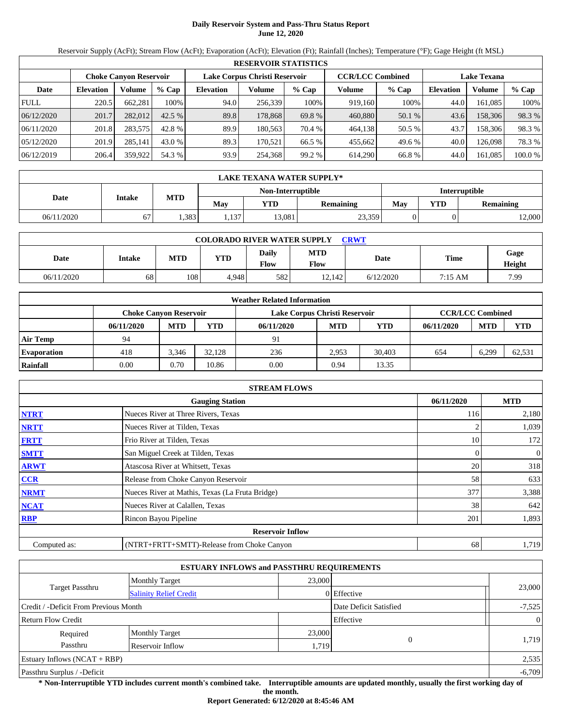# **Daily Reservoir System and Pass-Thru Status Report June 12, 2020**

Reservoir Supply (AcFt); Stream Flow (AcFt); Evaporation (AcFt); Elevation (Ft); Rainfall (Inches); Temperature (°F); Gage Height (ft MSL)

|             | <b>RESERVOIR STATISTICS</b> |                               |         |                               |         |         |                         |         |                    |         |         |  |  |
|-------------|-----------------------------|-------------------------------|---------|-------------------------------|---------|---------|-------------------------|---------|--------------------|---------|---------|--|--|
|             |                             | <b>Choke Canvon Reservoir</b> |         | Lake Corpus Christi Reservoir |         |         | <b>CCR/LCC Combined</b> |         | <b>Lake Texana</b> |         |         |  |  |
| Date        | <b>Elevation</b>            | Volume                        | $%$ Cap | <b>Elevation</b>              | Volume  | $%$ Cap | Volume                  | $%$ Cap | <b>Elevation</b>   | Volume  | % Cap   |  |  |
| <b>FULL</b> | 220.5                       | 662.281                       | 100%    | 94.0                          | 256,339 | 100%    | 919.160                 | 100%    | 44.0               | 161.085 | 100%    |  |  |
| 06/12/2020  | 201.7                       | 282,012                       | 42.5%   | 89.8                          | 178.868 | 69.8 %  | 460,880                 | 50.1 %  | 43.6               | 158,306 | 98.3 %  |  |  |
| 06/11/2020  | 201.8                       | 283,575                       | 42.8 %  | 89.9                          | 180.563 | 70.4 %  | 464.138                 | 50.5 %  | 43.7               | 158.306 | 98.3 %  |  |  |
| 05/12/2020  | 201.9                       | 285,141                       | 43.0 %  | 89.3                          | 170.521 | 66.5 %  | 455.662                 | 49.6 %  | 40.0               | 126.098 | 78.3 %  |  |  |
| 06/12/2019  | 206.4                       | 359,922                       | 54.3 %  | 93.9                          | 254,368 | 99.2 %  | 614,290                 | 66.8 %  | 44.0               | 161.085 | 100.0 % |  |  |

|            | <b>LAKE TEXANA WATER SUPPLY*</b> |            |      |                   |                  |               |     |           |  |  |  |
|------------|----------------------------------|------------|------|-------------------|------------------|---------------|-----|-----------|--|--|--|
|            |                                  | <b>MTD</b> |      | Non-Interruptible |                  | Interruptible |     |           |  |  |  |
| Date       | <b>Intake</b>                    |            | Mav  | YTD               | <b>Remaining</b> | May           | YTD | Remaining |  |  |  |
| 06/11/2020 | 67                               | .383       | .137 | 13,081            | 23,359           |               |     | 12,000    |  |  |  |

| <b>COLORADO RIVER WATER SUPPLY</b><br><b>CRWT</b> |        |            |            |                             |                           |           |         |                |  |  |
|---------------------------------------------------|--------|------------|------------|-----------------------------|---------------------------|-----------|---------|----------------|--|--|
| Date                                              | Intake | <b>MTD</b> | <b>YTD</b> | <b>Daily</b><br><b>Flow</b> | <b>MTD</b><br><b>Flow</b> | Date      | Time    | Gage<br>Height |  |  |
| 06/11/2020                                        | 68     | 108        | 4.948      | 582                         | 12.142                    | 6/12/2020 | 7:15 AM | 7.99           |  |  |

| <b>Weather Related Information</b> |                                                                                           |            |            |            |            |        |            |            |            |  |  |
|------------------------------------|-------------------------------------------------------------------------------------------|------------|------------|------------|------------|--------|------------|------------|------------|--|--|
|                                    | <b>CCR/LCC Combined</b><br>Lake Corpus Christi Reservoir<br><b>Choke Canvon Reservoir</b> |            |            |            |            |        |            |            |            |  |  |
|                                    | 06/11/2020                                                                                | <b>MTD</b> | <b>YTD</b> | 06/11/2020 | <b>MTD</b> | YTD    | 06/11/2020 | <b>MTD</b> | <b>YTD</b> |  |  |
| <b>Air Temp</b>                    | 94                                                                                        |            |            | 91         |            |        |            |            |            |  |  |
| <b>Evaporation</b>                 | 418                                                                                       | 3.346      | 32.128     | 236        | 2.953      | 30.403 | 654        | 6.299      | 62,531     |  |  |
| Rainfall                           | 0.00                                                                                      | 0.70       | 10.86      | 0.00       | 0.94       | 13.35  |            |            |            |  |  |

| <b>STREAM FLOWS</b> |                                                 |            |              |  |  |  |  |  |
|---------------------|-------------------------------------------------|------------|--------------|--|--|--|--|--|
|                     | 06/11/2020                                      | <b>MTD</b> |              |  |  |  |  |  |
| <b>NTRT</b>         | Nueces River at Three Rivers, Texas             | 116        | 2,180        |  |  |  |  |  |
| <b>NRTT</b>         | Nueces River at Tilden, Texas                   |            | 1,039        |  |  |  |  |  |
| <b>FRTT</b>         | Frio River at Tilden, Texas                     | 10         | 172          |  |  |  |  |  |
| <b>SMTT</b>         | San Miguel Creek at Tilden, Texas               | 0          | $\mathbf{0}$ |  |  |  |  |  |
| <b>ARWT</b>         | Atascosa River at Whitsett, Texas               | 20         | 318          |  |  |  |  |  |
| <b>CCR</b>          | Release from Choke Canyon Reservoir             | 58         | 633          |  |  |  |  |  |
| <b>NRMT</b>         | Nueces River at Mathis, Texas (La Fruta Bridge) | 377        | 3,388        |  |  |  |  |  |
| <b>NCAT</b>         | Nueces River at Calallen, Texas                 | 38         | 642          |  |  |  |  |  |
| <b>RBP</b>          | Rincon Bayou Pipeline                           | 201        | 1,893        |  |  |  |  |  |
|                     | <b>Reservoir Inflow</b>                         |            |              |  |  |  |  |  |
| Computed as:        | (NTRT+FRTT+SMTT)-Release from Choke Canyon      | 68         | 1,719        |  |  |  |  |  |

|                                       |                               | <b>ESTUARY INFLOWS and PASSTHRU REQUIREMENTS</b> |                        |                |
|---------------------------------------|-------------------------------|--------------------------------------------------|------------------------|----------------|
|                                       | <b>Monthly Target</b>         | 23,000                                           |                        |                |
| <b>Target Passthru</b>                | <b>Salinity Relief Credit</b> |                                                  | 0 Effective            | 23,000         |
| Credit / -Deficit From Previous Month |                               |                                                  | Date Deficit Satisfied | $-7,525$       |
| <b>Return Flow Credit</b>             |                               |                                                  | Effective              | $\overline{0}$ |
| Required                              | <b>Monthly Target</b>         | 23,000                                           |                        |                |
| Passthru                              | Reservoir Inflow              | 1,719                                            | $\Omega$               | 1,719          |
| Estuary Inflows $(NCAT + RBP)$        |                               |                                                  |                        | 2,535          |
| Passthru Surplus / -Deficit           |                               |                                                  |                        | $-6,709$       |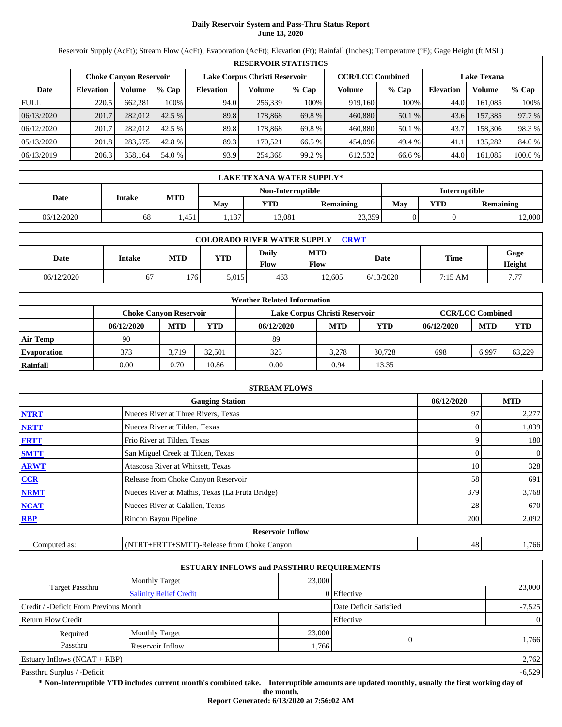# **Daily Reservoir System and Pass-Thru Status Report June 13, 2020**

Reservoir Supply (AcFt); Stream Flow (AcFt); Evaporation (AcFt); Elevation (Ft); Rainfall (Inches); Temperature (°F); Gage Height (ft MSL)

|             | <b>RESERVOIR STATISTICS</b> |                               |         |                               |         |         |                         |         |                    |         |         |  |  |
|-------------|-----------------------------|-------------------------------|---------|-------------------------------|---------|---------|-------------------------|---------|--------------------|---------|---------|--|--|
|             |                             | <b>Choke Canvon Reservoir</b> |         | Lake Corpus Christi Reservoir |         |         | <b>CCR/LCC Combined</b> |         | <b>Lake Texana</b> |         |         |  |  |
| Date        | <b>Elevation</b>            | Volume                        | $%$ Cap | <b>Elevation</b>              | Volume  | $%$ Cap | Volume                  | $%$ Cap | <b>Elevation</b>   | Volume  | % Cap   |  |  |
| <b>FULL</b> | 220.5                       | 662.281                       | 100%    | 94.0                          | 256,339 | 100%    | 919.160                 | 100%    | 44.0               | 161.085 | 100%    |  |  |
| 06/13/2020  | 201.7                       | 282,012                       | 42.5%   | 89.8                          | 178.868 | 69.8 %  | 460,880                 | 50.1 %  | 43.6               | 157,385 | 97.7 %  |  |  |
| 06/12/2020  | 201.7                       | 282,012                       | 42.5 %  | 89.8                          | 178.868 | 69.8 %  | 460,880                 | 50.1 %  | 43.7               | 158.306 | 98.3 %  |  |  |
| 05/13/2020  | 201.8                       | 283,575                       | 42.8 %  | 89.3                          | 170.521 | 66.5 %  | 454,096                 | 49.4 %  | 41.1               | 135.282 | 84.0 %  |  |  |
| 06/13/2019  | 206.3                       | 358,164                       | 54.0 %  | 93.9                          | 254,368 | 99.2 %  | 612.532                 | 66.6 %  | 44.0               | 161.085 | 100.0 % |  |  |

| <b>LAKE TEXANA WATER SUPPLY*</b> |               |            |      |                   |                  |               |     |                  |  |  |
|----------------------------------|---------------|------------|------|-------------------|------------------|---------------|-----|------------------|--|--|
|                                  |               |            |      | Non-Interruptible |                  | Interruptible |     |                  |  |  |
| Date                             | <b>Intake</b> | <b>MTD</b> | May  | YTD               | <b>Remaining</b> | May           | YTD | <b>Remaining</b> |  |  |
| 06/12/2020                       | 68            | .451       | .137 | 13,081            | 23,359           |               |     | 12,000           |  |  |

| <b>COLORADO RIVER WATER SUPPLY</b><br><b>CRWT</b> |        |            |            |                             |                           |           |         |                |  |  |
|---------------------------------------------------|--------|------------|------------|-----------------------------|---------------------------|-----------|---------|----------------|--|--|
| Date                                              | Intake | <b>MTD</b> | <b>YTD</b> | <b>Daily</b><br><b>Flow</b> | <b>MTD</b><br><b>Flow</b> | Date      | Time    | Gage<br>Height |  |  |
| 06/12/2020                                        | 67     | 176.       | 5.015      | 463                         | 12.605                    | 6/13/2020 | 7:15 AM | 7 77           |  |  |

| <b>Weather Related Information</b> |                               |            |            |                               |                         |        |            |            |            |  |  |
|------------------------------------|-------------------------------|------------|------------|-------------------------------|-------------------------|--------|------------|------------|------------|--|--|
|                                    | <b>Choke Canvon Reservoir</b> |            |            | Lake Corpus Christi Reservoir | <b>CCR/LCC Combined</b> |        |            |            |            |  |  |
|                                    | 06/12/2020                    | <b>MTD</b> | <b>YTD</b> | 06/12/2020                    | <b>MTD</b>              | YTD    | 06/12/2020 | <b>MTD</b> | <b>YTD</b> |  |  |
| <b>Air Temp</b>                    | 90                            |            |            | 89                            |                         |        |            |            |            |  |  |
| <b>Evaporation</b>                 | 373                           | 3.719      | 32.501     | 325                           | 3.278                   | 30.728 | 698        | 6.997      | 63,229     |  |  |
| Rainfall                           | 0.00                          | 0.70       | 10.86      | 0.00                          | 0.94                    | 13.35  |            |            |            |  |  |

| <b>STREAM FLOWS</b> |                                                 |            |              |  |  |  |  |  |
|---------------------|-------------------------------------------------|------------|--------------|--|--|--|--|--|
|                     | 06/12/2020                                      | <b>MTD</b> |              |  |  |  |  |  |
| <b>NTRT</b>         | Nueces River at Three Rivers, Texas             | 97         | 2,277        |  |  |  |  |  |
| <b>NRTT</b>         | Nueces River at Tilden, Texas                   |            | 1,039        |  |  |  |  |  |
| <b>FRTT</b>         | Frio River at Tilden, Texas                     | 9          | 180          |  |  |  |  |  |
| <b>SMTT</b>         | San Miguel Creek at Tilden, Texas               | 0          | $\mathbf{0}$ |  |  |  |  |  |
| <b>ARWT</b>         | Atascosa River at Whitsett, Texas               | 10         | 328          |  |  |  |  |  |
| <b>CCR</b>          | Release from Choke Canyon Reservoir             | 58         | 691          |  |  |  |  |  |
| <b>NRMT</b>         | Nueces River at Mathis, Texas (La Fruta Bridge) | 379        | 3,768        |  |  |  |  |  |
| <b>NCAT</b>         | Nueces River at Calallen, Texas                 | 28         | 670          |  |  |  |  |  |
| <b>RBP</b>          | Rincon Bayou Pipeline                           | 200        | 2,092        |  |  |  |  |  |
|                     | <b>Reservoir Inflow</b>                         |            |              |  |  |  |  |  |
| Computed as:        | (NTRT+FRTT+SMTT)-Release from Choke Canyon      | 48         | 1,766        |  |  |  |  |  |

|                                       |                               | <b>ESTUARY INFLOWS and PASSTHRU REQUIREMENTS</b> |             |                |
|---------------------------------------|-------------------------------|--------------------------------------------------|-------------|----------------|
|                                       | <b>Monthly Target</b>         | 23,000                                           |             |                |
| Target Passthru                       | <b>Salinity Relief Credit</b> |                                                  | 0 Effective | 23,000         |
| Credit / -Deficit From Previous Month |                               | Date Deficit Satisfied                           | $-7,525$    |                |
| <b>Return Flow Credit</b>             |                               |                                                  | Effective   | $\overline{0}$ |
| Required                              | <b>Monthly Target</b>         | 23,000                                           |             |                |
| Passthru                              | Reservoir Inflow              | 1,766                                            | $\Omega$    | 1,766          |
| Estuary Inflows $(NCAT + RBP)$        |                               |                                                  |             | 2,762          |
| Passthru Surplus / -Deficit           |                               |                                                  |             | $-6,529$       |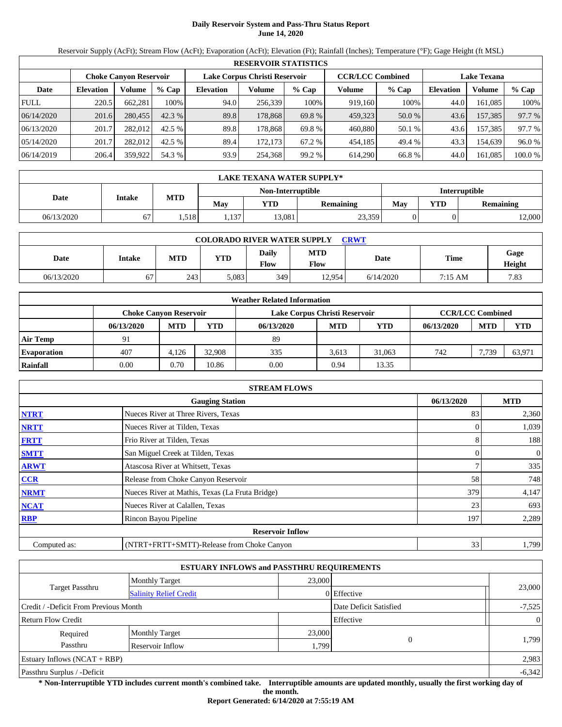# **Daily Reservoir System and Pass-Thru Status Report June 14, 2020**

Reservoir Supply (AcFt); Stream Flow (AcFt); Evaporation (AcFt); Elevation (Ft); Rainfall (Inches); Temperature (°F); Gage Height (ft MSL)

| <b>RESERVOIR STATISTICS</b> |                  |                               |         |                               |         |         |                         |        |                    |         |         |  |
|-----------------------------|------------------|-------------------------------|---------|-------------------------------|---------|---------|-------------------------|--------|--------------------|---------|---------|--|
|                             |                  | <b>Choke Canvon Reservoir</b> |         | Lake Corpus Christi Reservoir |         |         | <b>CCR/LCC Combined</b> |        | <b>Lake Texana</b> |         |         |  |
| Date                        | <b>Elevation</b> | Volume                        | $%$ Cap | <b>Elevation</b>              | Volume  | $%$ Cap | Volume                  | % Cap  | <b>Elevation</b>   | Volume  | $%$ Cap |  |
| <b>FULL</b>                 | 220.5            | 662.281                       | 100%    | 94.0                          | 256.339 | 100%    | 919,160                 | 100%   | 44.0               | 161.085 | 100%    |  |
| 06/14/2020                  | 201.6            | 280,455                       | 42.3%   | 89.8                          | 178,868 | 69.8 %  | 459,323                 | 50.0 % | 43.6               | 157,385 | 97.7 %  |  |
| 06/13/2020                  | 201.7            | 282,012                       | 42.5 %  | 89.8                          | 178.868 | 69.8 %  | 460,880                 | 50.1 % | 43.6               | 157,385 | 97.7 %  |  |
| 05/14/2020                  | 201.7            | 282.012                       | 42.5 %  | 89.4                          | 172.173 | 67.2 %  | 454,185                 | 49.4 % | 43.3               | 154,639 | 96.0 %  |  |
| 06/14/2019                  | 206.4            | 359,922                       | 54.3 %  | 93.9                          | 254.368 | 99.2%   | 614,290                 | 66.8%  | 44.0               | 161,085 | 100.0 % |  |

| LAKE TEXANA WATER SUPPLY* |               |            |       |                   |                  |               |            |           |  |  |
|---------------------------|---------------|------------|-------|-------------------|------------------|---------------|------------|-----------|--|--|
|                           |               |            |       | Non-Interruptible |                  | Interruptible |            |           |  |  |
| Date                      | <b>Intake</b> | <b>MTD</b> | Mav   | YTD               | <b>Remaining</b> | Mav           | <b>YTD</b> | Remaining |  |  |
| 06/13/2020                | 67            | .518       | 1,137 | 13,081            | 23,359           |               |            | 12,000    |  |  |

| <b>COLORADO RIVER WATER SUPPLY</b><br><b>CRWT</b> |        |     |       |                      |                           |           |             |                |  |  |  |
|---------------------------------------------------|--------|-----|-------|----------------------|---------------------------|-----------|-------------|----------------|--|--|--|
| Date                                              | Intake | MTD | YTD   | <b>Daily</b><br>Flow | <b>MTD</b><br><b>Flow</b> | Date      | <b>Time</b> | Gage<br>Height |  |  |  |
| 06/13/2020                                        | 67     | 243 | 5.083 | 349                  | 12.954                    | 6/14/2020 | 7:15 AM     | 7.83           |  |  |  |

| <b>Weather Related Information</b> |                        |            |            |                               |                         |            |            |            |            |  |  |
|------------------------------------|------------------------|------------|------------|-------------------------------|-------------------------|------------|------------|------------|------------|--|--|
|                                    | Choke Canvon Reservoir |            |            | Lake Corpus Christi Reservoir | <b>CCR/LCC Combined</b> |            |            |            |            |  |  |
|                                    | 06/13/2020             | <b>MTD</b> | <b>YTD</b> | 06/13/2020                    | <b>MTD</b>              | <b>YTD</b> | 06/13/2020 | <b>MTD</b> | <b>YTD</b> |  |  |
| <b>Air Temp</b>                    | 91                     |            |            | 89                            |                         |            |            |            |            |  |  |
| <b>Evaporation</b>                 | 407                    | 4.126      | 32.908     | 335                           | 3.613                   | 31,063     | 742        | 7.739      | 63,971     |  |  |
| Rainfall                           | 0.00                   | 0.70       | 10.86      | 0.00                          | 0.94                    | 13.35      |            |            |            |  |  |

| <b>STREAM FLOWS</b> |                                                 |            |                |  |  |  |  |  |  |
|---------------------|-------------------------------------------------|------------|----------------|--|--|--|--|--|--|
|                     | 06/13/2020                                      | <b>MTD</b> |                |  |  |  |  |  |  |
| <b>NTRT</b>         | Nueces River at Three Rivers, Texas             | 83         | 2,360          |  |  |  |  |  |  |
| <b>NRTT</b>         | Nueces River at Tilden, Texas                   |            | 1,039          |  |  |  |  |  |  |
| <b>FRTT</b>         | Frio River at Tilden, Texas                     | 8          | 188            |  |  |  |  |  |  |
| <b>SMTT</b>         | San Miguel Creek at Tilden, Texas               | $\Omega$   | $\overline{0}$ |  |  |  |  |  |  |
| <b>ARWT</b>         | Atascosa River at Whitsett, Texas               |            | 335            |  |  |  |  |  |  |
| <b>CCR</b>          | Release from Choke Canyon Reservoir             | 58         | 748            |  |  |  |  |  |  |
| <b>NRMT</b>         | Nueces River at Mathis, Texas (La Fruta Bridge) | 379        | 4,147          |  |  |  |  |  |  |
| <b>NCAT</b>         | Nueces River at Calallen, Texas                 | 23         | 693            |  |  |  |  |  |  |
| <b>RBP</b>          | Rincon Bayou Pipeline                           | 197        | 2,289          |  |  |  |  |  |  |
|                     | <b>Reservoir Inflow</b>                         |            |                |  |  |  |  |  |  |
| Computed as:        | (NTRT+FRTT+SMTT)-Release from Choke Canyon      | 33         | 1,799          |  |  |  |  |  |  |

|                                       |                               | <b>ESTUARY INFLOWS and PASSTHRU REQUIREMENTS</b> |             |                |
|---------------------------------------|-------------------------------|--------------------------------------------------|-------------|----------------|
|                                       | <b>Monthly Target</b>         | 23,000                                           |             |                |
| <b>Target Passthru</b>                | <b>Salinity Relief Credit</b> |                                                  | 0 Effective | 23,000         |
| Credit / -Deficit From Previous Month |                               | Date Deficit Satisfied                           | $-7,525$    |                |
| <b>Return Flow Credit</b>             |                               |                                                  | Effective   | $\overline{0}$ |
| Required                              | <b>Monthly Target</b>         | 23,000                                           |             |                |
| Passthru                              | Reservoir Inflow              | 1,799                                            | $\Omega$    | 1,799          |
| Estuary Inflows $(NCAT + RBP)$        |                               |                                                  |             | 2,983          |
| Passthru Surplus / -Deficit           |                               |                                                  |             | $-6,342$       |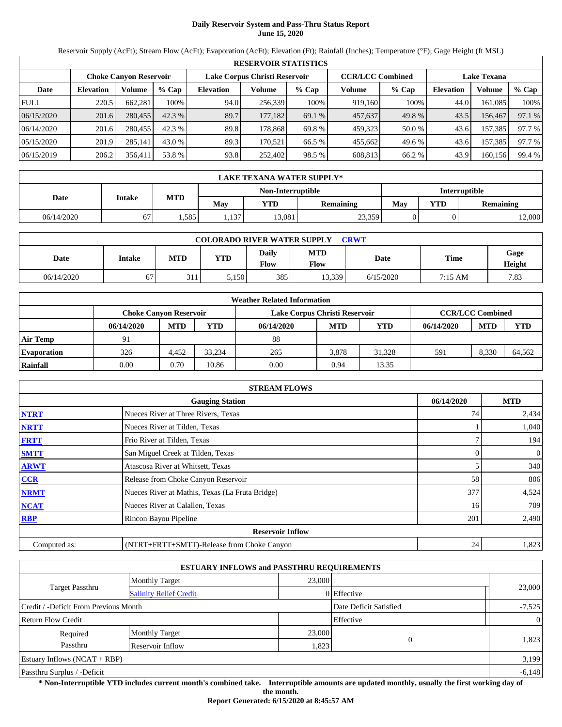# **Daily Reservoir System and Pass-Thru Status Report June 15, 2020**

Reservoir Supply (AcFt); Stream Flow (AcFt); Evaporation (AcFt); Elevation (Ft); Rainfall (Inches); Temperature (°F); Gage Height (ft MSL)

|             | <b>RESERVOIR STATISTICS</b> |                               |         |                               |         |         |                         |         |                    |         |        |  |  |
|-------------|-----------------------------|-------------------------------|---------|-------------------------------|---------|---------|-------------------------|---------|--------------------|---------|--------|--|--|
|             |                             | <b>Choke Canvon Reservoir</b> |         | Lake Corpus Christi Reservoir |         |         | <b>CCR/LCC Combined</b> |         | <b>Lake Texana</b> |         |        |  |  |
| Date        | <b>Elevation</b>            | <b>Volume</b>                 | $%$ Cap | <b>Elevation</b>              | Volume  | $%$ Cap | Volume                  | $%$ Cap | <b>Elevation</b>   | Volume  | % Cap  |  |  |
| <b>FULL</b> | 220.5                       | 662,281                       | 100%    | 94.0                          | 256,339 | 100%    | 919,160                 | 100%    | 44.0               | 161.085 | 100%   |  |  |
| 06/15/2020  | 201.6                       | 280,455                       | 42.3 %  | 89.7                          | 177.182 | 69.1 %  | 457,637                 | 49.8%   | 43.5               | 156.467 | 97.1 % |  |  |
| 06/14/2020  | 201.6                       | 280,455                       | 42.3 %  | 89.8                          | 178.868 | 69.8 %  | 459,323                 | 50.0 %  | 43.6               | 157,385 | 97.7 % |  |  |
| 05/15/2020  | 201.9                       | 285,141                       | 43.0 %  | 89.3                          | 170.521 | 66.5 %  | 455,662                 | 49.6 %  | 43.6               | 157,385 | 97.7 % |  |  |
| 06/15/2019  | 206.2                       | 356,411                       | 53.8%   | 93.8                          | 252,402 | 98.5 %  | 608,813                 | 66.2 %  | 43.9               | 160,156 | 99.4 % |  |  |

|            | LAKE TEXANA WATER SUPPLY* |            |      |                   |                  |               |            |           |  |  |  |  |
|------------|---------------------------|------------|------|-------------------|------------------|---------------|------------|-----------|--|--|--|--|
|            |                           |            |      | Non-Interruptible |                  | Interruptible |            |           |  |  |  |  |
| Date       | <b>Intake</b>             | <b>MTD</b> | May  | YTD               | <b>Remaining</b> | May           | <b>YTD</b> | Remaining |  |  |  |  |
| 06/14/2020 | 67                        | .585       | .137 | 13,081            | 23,359           |               |            | 12,000    |  |  |  |  |

| <b>COLORADO RIVER WATER SUPPLY</b><br>CRWT |        |            |            |                      |                    |           |             |                |  |  |  |
|--------------------------------------------|--------|------------|------------|----------------------|--------------------|-----------|-------------|----------------|--|--|--|
| Date                                       | Intake | <b>MTD</b> | <b>YTD</b> | Daily<br><b>Flow</b> | <b>MTD</b><br>Flow | Date      | <b>Time</b> | Gage<br>Height |  |  |  |
| 06/14/2020                                 | 67     | 311        | 5,150      | 385                  | 13.339             | 6/15/2020 | 7:15 AM     | 7.83           |  |  |  |

| <b>Weather Related Information</b> |                               |            |            |                               |                         |        |            |            |            |  |  |
|------------------------------------|-------------------------------|------------|------------|-------------------------------|-------------------------|--------|------------|------------|------------|--|--|
|                                    | <b>Choke Canvon Reservoir</b> |            |            | Lake Corpus Christi Reservoir | <b>CCR/LCC Combined</b> |        |            |            |            |  |  |
|                                    | 06/14/2020                    | <b>MTD</b> | <b>YTD</b> | 06/14/2020                    | <b>MTD</b>              | YTD    | 06/14/2020 | <b>MTD</b> | <b>YTD</b> |  |  |
| <b>Air Temp</b>                    | 91                            |            |            | 88                            |                         |        |            |            |            |  |  |
| <b>Evaporation</b>                 | 326                           | 4.452      | 33.234     | 265                           | 3.878                   | 31.328 | 591        | 8.330      | 64,562     |  |  |
| Rainfall                           | 0.00                          | 0.70       | 10.86      | 0.00                          | 0.94                    | 13.35  |            |            |            |  |  |

|              | <b>STREAM FLOWS</b>                             |            |              |  |  |  |  |  |  |
|--------------|-------------------------------------------------|------------|--------------|--|--|--|--|--|--|
|              | <b>Gauging Station</b>                          | 06/14/2020 | <b>MTD</b>   |  |  |  |  |  |  |
| <b>NTRT</b>  | Nueces River at Three Rivers, Texas             | 74         | 2,434        |  |  |  |  |  |  |
| <b>NRTT</b>  | Nueces River at Tilden, Texas                   |            | 1,040        |  |  |  |  |  |  |
| <b>FRTT</b>  | Frio River at Tilden, Texas                     |            | 194          |  |  |  |  |  |  |
| <b>SMTT</b>  | San Miguel Creek at Tilden, Texas               |            | $\mathbf{0}$ |  |  |  |  |  |  |
| <b>ARWT</b>  | Atascosa River at Whitsett, Texas               |            | 340          |  |  |  |  |  |  |
| CCR          | Release from Choke Canyon Reservoir             | 58         | 806          |  |  |  |  |  |  |
| <b>NRMT</b>  | Nueces River at Mathis, Texas (La Fruta Bridge) | 377        | 4,524        |  |  |  |  |  |  |
| <b>NCAT</b>  | Nueces River at Calallen, Texas                 | 16         | 709          |  |  |  |  |  |  |
| <b>RBP</b>   | Rincon Bayou Pipeline                           | 201        | 2,490        |  |  |  |  |  |  |
|              | <b>Reservoir Inflow</b>                         |            |              |  |  |  |  |  |  |
| Computed as: | (NTRT+FRTT+SMTT)-Release from Choke Canyon      | 24         | 1,823        |  |  |  |  |  |  |

|                                       |                               | <b>ESTUARY INFLOWS and PASSTHRU REQUIREMENTS</b> |                        |                |
|---------------------------------------|-------------------------------|--------------------------------------------------|------------------------|----------------|
|                                       | <b>Monthly Target</b>         | 23,000                                           |                        |                |
| <b>Target Passthru</b>                | <b>Salinity Relief Credit</b> |                                                  | 0 Effective            | 23,000         |
| Credit / -Deficit From Previous Month |                               |                                                  | Date Deficit Satisfied | $-7,525$       |
| <b>Return Flow Credit</b>             |                               |                                                  | Effective              | $\overline{0}$ |
| Required                              | <b>Monthly Target</b>         | 23,000                                           |                        |                |
| Passthru                              | Reservoir Inflow              | 1,823                                            | $\Omega$               | 1,823          |
| Estuary Inflows $(NCAT + RBP)$        |                               |                                                  |                        | 3,199          |
| Passthru Surplus / -Deficit           |                               |                                                  |                        | $-6,148$       |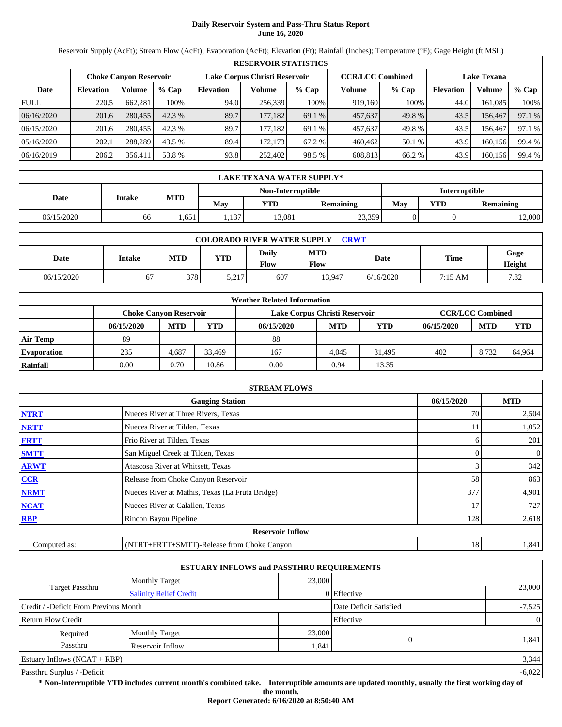# **Daily Reservoir System and Pass-Thru Status Report June 16, 2020**

Reservoir Supply (AcFt); Stream Flow (AcFt); Evaporation (AcFt); Elevation (Ft); Rainfall (Inches); Temperature (°F); Gage Height (ft MSL)

|             | <b>RESERVOIR STATISTICS</b> |                               |         |                               |         |         |                         |         |                    |         |        |  |  |
|-------------|-----------------------------|-------------------------------|---------|-------------------------------|---------|---------|-------------------------|---------|--------------------|---------|--------|--|--|
|             |                             | <b>Choke Canyon Reservoir</b> |         | Lake Corpus Christi Reservoir |         |         | <b>CCR/LCC Combined</b> |         | <b>Lake Texana</b> |         |        |  |  |
| Date        | <b>Elevation</b>            | Volume                        | $%$ Cap | <b>Elevation</b>              | Volume  | $%$ Cap | Volume                  | $%$ Cap | <b>Elevation</b>   | Volume  | % Cap  |  |  |
| <b>FULL</b> | 220.5                       | 662,281                       | 100%    | 94.0                          | 256,339 | 100%    | 919,160                 | 100%    | 44.0               | 161,085 | 100%   |  |  |
| 06/16/2020  | 201.6                       | 280,455                       | 42.3 %  | 89.7                          | 177.182 | 69.1 %  | 457,637                 | 49.8%   | 43.5               | 156.467 | 97.1 % |  |  |
| 06/15/2020  | 201.6                       | 280,455                       | 42.3 %  | 89.7                          | 177.182 | 69.1 %  | 457,637                 | 49.8%   | 43.5               | 156.467 | 97.1 % |  |  |
| 05/16/2020  | 202.1                       | 288.289                       | 43.5 %  | 89.4                          | 172.173 | 67.2 %  | 460.462                 | 50.1 %  | 43.9               | 160.156 | 99.4 % |  |  |
| 06/16/2019  | 206.2                       | 356,411                       | 53.8 %  | 93.8                          | 252,402 | 98.5 %  | 608,813                 | 66.2 %  | 43.9               | 160,156 | 99.4 % |  |  |

|            | LAKE TEXANA WATER SUPPLY* |            |      |                   |                  |               |     |           |  |  |  |  |
|------------|---------------------------|------------|------|-------------------|------------------|---------------|-----|-----------|--|--|--|--|
|            |                           |            |      | Non-Interruptible |                  | Interruptible |     |           |  |  |  |  |
| Date       | <b>Intake</b>             | <b>MTD</b> | May  | YTD               | <b>Remaining</b> | May           | YTD | Remaining |  |  |  |  |
| 06/15/2020 | 66                        | .651       | .137 | 13,081            | 23,359           |               |     | 12,000    |  |  |  |  |

| <b>COLORADO RIVER WATER SUPPLY</b><br>CRWT |        |            |            |                      |                           |           |             |                |  |  |  |
|--------------------------------------------|--------|------------|------------|----------------------|---------------------------|-----------|-------------|----------------|--|--|--|
| Date                                       | Intake | <b>MTD</b> | <b>YTD</b> | Daily<br><b>Flow</b> | <b>MTD</b><br><b>Flow</b> | Date      | <b>Time</b> | Gage<br>Height |  |  |  |
| 06/15/2020                                 | 67     | 378        | 5,217      | 607                  | 13.947                    | 6/16/2020 | 7:15 AM     | 7.82           |  |  |  |

| <b>Weather Related Information</b> |                               |            |            |                               |                         |        |            |            |            |  |  |
|------------------------------------|-------------------------------|------------|------------|-------------------------------|-------------------------|--------|------------|------------|------------|--|--|
|                                    | <b>Choke Canvon Reservoir</b> |            |            | Lake Corpus Christi Reservoir | <b>CCR/LCC Combined</b> |        |            |            |            |  |  |
|                                    | 06/15/2020                    | <b>MTD</b> | <b>YTD</b> | 06/15/2020                    | <b>MTD</b>              | YTD    | 06/15/2020 | <b>MTD</b> | <b>YTD</b> |  |  |
| <b>Air Temp</b>                    | 89                            |            |            | 88                            |                         |        |            |            |            |  |  |
| <b>Evaporation</b>                 | 235                           | 4.687      | 33.469     | 167                           | 4.045                   | 31.495 | 402        | 8.732      | 64.964     |  |  |
| Rainfall                           | 0.00                          | 0.70       | 10.86      | 0.00                          | 0.94                    | 13.35  |            |            |            |  |  |

|                                      | <b>STREAM FLOWS</b>                             |     |              |  |  |  |  |  |  |
|--------------------------------------|-------------------------------------------------|-----|--------------|--|--|--|--|--|--|
| 06/15/2020<br><b>Gauging Station</b> |                                                 |     |              |  |  |  |  |  |  |
| <b>NTRT</b>                          | Nueces River at Three Rivers, Texas             | 70  | 2,504        |  |  |  |  |  |  |
| <b>NRTT</b>                          | Nueces River at Tilden, Texas                   |     | 1,052        |  |  |  |  |  |  |
| <b>FRTT</b>                          | Frio River at Tilden, Texas                     | h   | 201          |  |  |  |  |  |  |
| <b>SMTT</b>                          | San Miguel Creek at Tilden, Texas               |     | $\mathbf{0}$ |  |  |  |  |  |  |
| <b>ARWT</b>                          | Atascosa River at Whitsett, Texas               |     | 342          |  |  |  |  |  |  |
| CCR                                  | Release from Choke Canyon Reservoir             | 58  | 863          |  |  |  |  |  |  |
| <b>NRMT</b>                          | Nueces River at Mathis, Texas (La Fruta Bridge) | 377 | 4,901        |  |  |  |  |  |  |
| <b>NCAT</b>                          | Nueces River at Calallen, Texas                 | 17  | 727          |  |  |  |  |  |  |
| <b>RBP</b>                           | Rincon Bayou Pipeline                           | 128 | 2,618        |  |  |  |  |  |  |
|                                      | <b>Reservoir Inflow</b>                         |     |              |  |  |  |  |  |  |
| Computed as:                         | (NTRT+FRTT+SMTT)-Release from Choke Canyon      | 18  | 1,841        |  |  |  |  |  |  |

|                                       |                               | <b>ESTUARY INFLOWS and PASSTHRU REQUIREMENTS</b> |                        |                |
|---------------------------------------|-------------------------------|--------------------------------------------------|------------------------|----------------|
|                                       | <b>Monthly Target</b>         | 23,000                                           |                        |                |
| <b>Target Passthru</b>                | <b>Salinity Relief Credit</b> |                                                  | 0 Effective            | 23,000         |
| Credit / -Deficit From Previous Month |                               |                                                  | Date Deficit Satisfied | $-7,525$       |
| <b>Return Flow Credit</b>             |                               |                                                  | Effective              | $\overline{0}$ |
| Required                              | <b>Monthly Target</b>         | 23,000                                           |                        |                |
| Passthru                              | Reservoir Inflow              | 1,841                                            | $\Omega$               | 1,841          |
| Estuary Inflows $(NCAT + RBP)$        |                               |                                                  |                        | 3,344          |
| Passthru Surplus / -Deficit           |                               |                                                  |                        | $-6,022$       |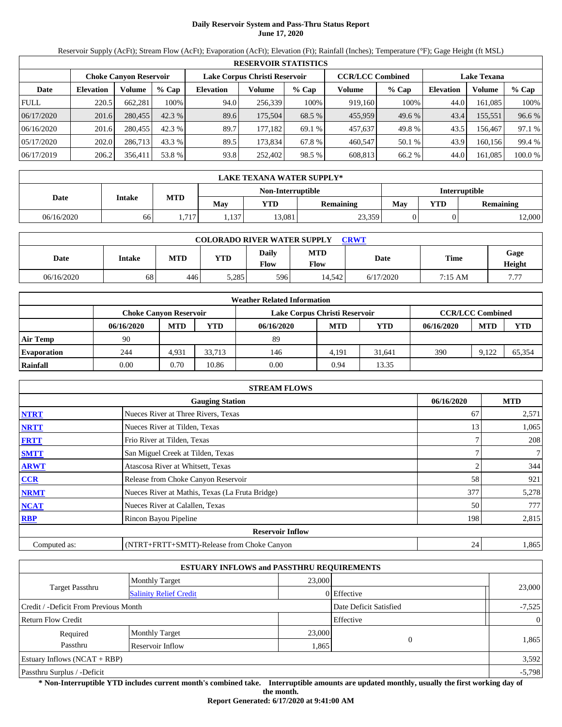# **Daily Reservoir System and Pass-Thru Status Report June 17, 2020**

Reservoir Supply (AcFt); Stream Flow (AcFt); Evaporation (AcFt); Elevation (Ft); Rainfall (Inches); Temperature (°F); Gage Height (ft MSL)

|             | <b>RESERVOIR STATISTICS</b> |                               |         |                               |          |         |                         |         |                    |               |         |  |  |
|-------------|-----------------------------|-------------------------------|---------|-------------------------------|----------|---------|-------------------------|---------|--------------------|---------------|---------|--|--|
|             |                             | <b>Choke Canvon Reservoir</b> |         | Lake Corpus Christi Reservoir |          |         | <b>CCR/LCC Combined</b> |         | <b>Lake Texana</b> |               |         |  |  |
| Date        | <b>Elevation</b>            | Volume                        | $%$ Cap | <b>Elevation</b>              | Volume   | $%$ Cap | Volume                  | $%$ Cap | <b>Elevation</b>   | <b>Volume</b> | % Cap   |  |  |
| <b>FULL</b> | 220.5                       | 662.281                       | 100%    | 94.0                          | 256,339  | 100%    | 919.160                 | 100%    | 44.0               | 161.085       | 100%    |  |  |
| 06/17/2020  | 201.6                       | 280,455                       | 42.3%   | 89.6                          | 175,504  | 68.5 %  | 455,959                 | 49.6 %  | 43.4               | 155,551       | 96.6 %  |  |  |
| 06/16/2020  | 201.6                       | 280,455                       | 42.3 %  | 89.7                          | 177.1821 | 69.1 %  | 457,637                 | 49.8 %  | 43.5               | 156.467       | 97.1 %  |  |  |
| 05/17/2020  | 202.0                       | 286.713                       | 43.3 %  | 89.5                          | 173.834  | 67.8 %  | 460,547                 | 50.1 %  | 43.9               | 160.156       | 99.4 %  |  |  |
| 06/17/2019  | 206.2                       | 356,411                       | 53.8 %  | 93.8                          | 252.402  | 98.5 %  | 608,813                 | 66.2 %  | 44.0               | 161,085       | 100.0 % |  |  |

| LAKE TEXANA WATER SUPPLY* |        |       |       |                   |                  |               |     |           |  |  |  |
|---------------------------|--------|-------|-------|-------------------|------------------|---------------|-----|-----------|--|--|--|
|                           |        |       |       | Non-Interruptible |                  | Interruptible |     |           |  |  |  |
| Date                      | Intake | MTD   | May   | YTD               | <b>Remaining</b> | May           | YTD | Remaining |  |  |  |
| 06/16/2020                | 66     | 1,717 | . 137 | 13.081            | 23,359           |               |     | 12,000    |  |  |  |

| <b>COLORADO RIVER WATER SUPPLY</b><br><b>CRWT</b> |               |     |       |               |                    |           |         |                |  |  |  |
|---------------------------------------------------|---------------|-----|-------|---------------|--------------------|-----------|---------|----------------|--|--|--|
| Date                                              | <b>Intake</b> | MTD | YTD   | Daily<br>Flow | <b>MTD</b><br>Flow | Date      | Time    | Gage<br>Height |  |  |  |
| 06/16/2020                                        | 68            | 446 | 5,285 | 596           | 14.542             | 6/17/2020 | 7:15 AM | 777            |  |  |  |

| <b>Weather Related Information</b> |                               |            |            |                               |                         |        |            |            |            |  |  |
|------------------------------------|-------------------------------|------------|------------|-------------------------------|-------------------------|--------|------------|------------|------------|--|--|
|                                    | <b>Choke Canvon Reservoir</b> |            |            | Lake Corpus Christi Reservoir | <b>CCR/LCC Combined</b> |        |            |            |            |  |  |
|                                    | 06/16/2020                    | <b>MTD</b> | <b>YTD</b> | 06/16/2020                    | <b>MTD</b>              | YTD    | 06/16/2020 | <b>MTD</b> | <b>YTD</b> |  |  |
| <b>Air Temp</b>                    | 90                            |            |            | 89                            |                         |        |            |            |            |  |  |
| <b>Evaporation</b>                 | 244                           | 4.931      | 33.713     | 146                           | 4.191                   | 31.641 | 390        | 9.122      | 65.354     |  |  |
| Rainfall                           | 0.00                          | 0.70       | 10.86      | 0.00                          | 0.94                    | 13.35  |            |            |            |  |  |

| <b>STREAM FLOWS</b> |                                                 |            |                |  |  |  |  |  |  |
|---------------------|-------------------------------------------------|------------|----------------|--|--|--|--|--|--|
|                     | 06/16/2020                                      | <b>MTD</b> |                |  |  |  |  |  |  |
| <b>NTRT</b>         | Nueces River at Three Rivers, Texas             | 67         | 2,571          |  |  |  |  |  |  |
| <b>NRTT</b>         | Nueces River at Tilden, Texas                   | 13         | 1,065          |  |  |  |  |  |  |
| <b>FRTT</b>         | Frio River at Tilden, Texas                     |            | 208            |  |  |  |  |  |  |
| <b>SMTT</b>         | San Miguel Creek at Tilden, Texas               |            | 7 <sup>1</sup> |  |  |  |  |  |  |
| <b>ARWT</b>         | Atascosa River at Whitsett, Texas               |            | 344            |  |  |  |  |  |  |
| <b>CCR</b>          | Release from Choke Canyon Reservoir             | 58         | 921            |  |  |  |  |  |  |
| <b>NRMT</b>         | Nueces River at Mathis, Texas (La Fruta Bridge) | 377        | 5,278          |  |  |  |  |  |  |
| <b>NCAT</b>         | Nueces River at Calallen, Texas                 | 50         | 777            |  |  |  |  |  |  |
| <b>RBP</b>          | Rincon Bayou Pipeline                           | 198        | 2,815          |  |  |  |  |  |  |
|                     | <b>Reservoir Inflow</b>                         |            |                |  |  |  |  |  |  |
| Computed as:        | (NTRT+FRTT+SMTT)-Release from Choke Canyon      | 24         | 1,865          |  |  |  |  |  |  |

|                                       |                               | <b>ESTUARY INFLOWS and PASSTHRU REQUIREMENTS</b> |                        |                |
|---------------------------------------|-------------------------------|--------------------------------------------------|------------------------|----------------|
|                                       | <b>Monthly Target</b>         | 23,000                                           |                        |                |
| <b>Target Passthru</b>                | <b>Salinity Relief Credit</b> |                                                  | 0 Effective            | 23,000         |
| Credit / -Deficit From Previous Month |                               |                                                  | Date Deficit Satisfied | $-7,525$       |
| <b>Return Flow Credit</b>             |                               |                                                  | Effective              | $\overline{0}$ |
| Required                              | <b>Monthly Target</b>         | 23,000                                           |                        |                |
| Passthru                              | Reservoir Inflow              |                                                  | $\Omega$<br>1,865      | 1,865          |
| Estuary Inflows $(NCAT + RBP)$        |                               |                                                  |                        | 3,592          |
| Passthru Surplus / -Deficit           |                               |                                                  |                        | $-5,798$       |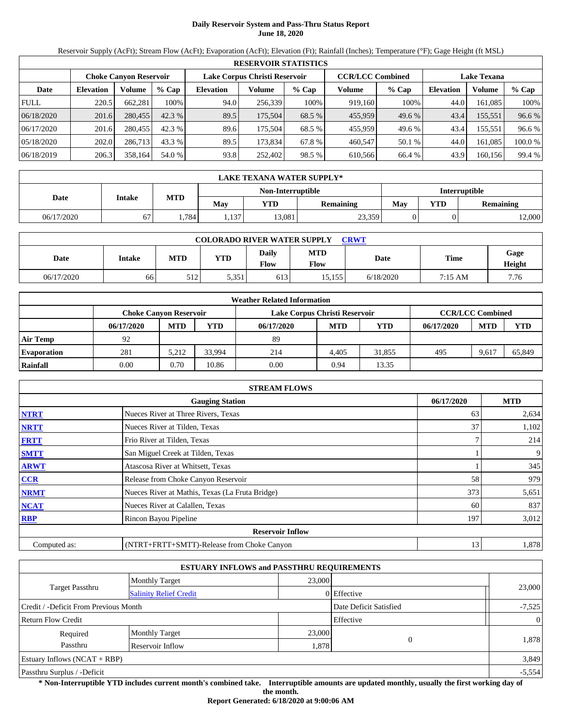# **Daily Reservoir System and Pass-Thru Status Report June 18, 2020**

Reservoir Supply (AcFt); Stream Flow (AcFt); Evaporation (AcFt); Elevation (Ft); Rainfall (Inches); Temperature (°F); Gage Height (ft MSL)

|             | <b>RESERVOIR STATISTICS</b> |                               |         |                               |         |         |                         |         |                    |               |        |  |  |
|-------------|-----------------------------|-------------------------------|---------|-------------------------------|---------|---------|-------------------------|---------|--------------------|---------------|--------|--|--|
|             |                             | <b>Choke Canvon Reservoir</b> |         | Lake Corpus Christi Reservoir |         |         | <b>CCR/LCC Combined</b> |         | <b>Lake Texana</b> |               |        |  |  |
| Date        | <b>Elevation</b>            | Volume                        | $%$ Cap | <b>Elevation</b>              | Volume  | $%$ Cap | Volume                  | $%$ Cap | <b>Elevation</b>   | <b>Volume</b> | % Cap  |  |  |
| <b>FULL</b> | 220.5                       | 662.281                       | 100%    | 94.0                          | 256.339 | 100%    | 919,160                 | 100%    | 44.0               | 161.085       | 100%   |  |  |
| 06/18/2020  | 201.6                       | 280,455                       | 42.3%   | 89.5                          | 175,504 | 68.5 %  | 455,959                 | 49.6 %  | 43.4               | 155,551       | 96.6 % |  |  |
| 06/17/2020  | 201.6                       | 280,455                       | 42.3 %  | 89.6                          | 175.504 | 68.5 %  | 455,959                 | 49.6 %  | 43.4               | 155.551       | 96.6 % |  |  |
| 05/18/2020  | 202.0                       | 286,713                       | 43.3 %  | 89.5                          | 173,834 | 67.8 %  | 460,547                 | 50.1 %  | 44.0               | 161.085       | 100.0% |  |  |
| 06/18/2019  | 206.3                       | 358,164                       | 54.0 %  | 93.8                          | 252,402 | 98.5 %  | 610.566                 | 66.4 %  | 43.9               | 160,156       | 99.4 % |  |  |

|            | LAKE TEXANA WATER SUPPLY* |            |       |                   |           |               |     |                  |  |  |  |  |
|------------|---------------------------|------------|-------|-------------------|-----------|---------------|-----|------------------|--|--|--|--|
|            |                           |            |       | Non-Interruptible |           | Interruptible |     |                  |  |  |  |  |
| Date       | <b>Intake</b>             | <b>MTD</b> | Mav   | YTD               | Remaining | May           | YTD | <b>Remaining</b> |  |  |  |  |
| 06/17/2020 | 67                        | .784       | .,137 | 3,081             | 23,359    |               |     | 12,000           |  |  |  |  |

| <b>COLORADO RIVER WATER SUPPLY</b><br><b>CRWT</b> |        |     |       |               |                    |           |             |                |  |  |  |
|---------------------------------------------------|--------|-----|-------|---------------|--------------------|-----------|-------------|----------------|--|--|--|
| Date                                              | Intake | MTD | YTD   | Daily<br>Flow | <b>MTD</b><br>Flow | Date      | <b>Time</b> | Gage<br>Height |  |  |  |
| 06/17/2020                                        | 66     | 512 | 5.351 | 613           | 15.155             | 6/18/2020 | 7:15 AM     | 7.76           |  |  |  |

| <b>Weather Related Information</b> |            |                        |            |                               |                         |            |            |            |            |  |  |
|------------------------------------|------------|------------------------|------------|-------------------------------|-------------------------|------------|------------|------------|------------|--|--|
|                                    |            | Choke Canvon Reservoir |            | Lake Corpus Christi Reservoir | <b>CCR/LCC Combined</b> |            |            |            |            |  |  |
|                                    | 06/17/2020 | <b>MTD</b>             | <b>YTD</b> | 06/17/2020                    | <b>MTD</b>              | <b>YTD</b> | 06/17/2020 | <b>MTD</b> | <b>YTD</b> |  |  |
| <b>Air Temp</b>                    | 92         |                        |            | 89                            |                         |            |            |            |            |  |  |
| <b>Evaporation</b>                 | 281        | 5.212                  | 33.994     | 214                           | 4.405                   | 31,855     | 495        | 9.617      | 65,849     |  |  |
| Rainfall                           | 0.00       | 0.70                   | 10.86      | 0.00                          | 0.94                    | 13.35      |            |            |            |  |  |

| <b>STREAM FLOWS</b> |                                                 |            |       |  |  |  |  |  |
|---------------------|-------------------------------------------------|------------|-------|--|--|--|--|--|
|                     | 06/17/2020                                      | <b>MTD</b> |       |  |  |  |  |  |
| <b>NTRT</b>         | Nueces River at Three Rivers, Texas             | 63         | 2,634 |  |  |  |  |  |
| <b>NRTT</b>         | Nueces River at Tilden, Texas                   | 37         | 1,102 |  |  |  |  |  |
| <b>FRTT</b>         | Frio River at Tilden, Texas                     |            | 214   |  |  |  |  |  |
| <b>SMTT</b>         | San Miguel Creek at Tilden, Texas               |            | 9     |  |  |  |  |  |
| <b>ARWT</b>         | Atascosa River at Whitsett, Texas               |            | 345   |  |  |  |  |  |
| <b>CCR</b>          | Release from Choke Canyon Reservoir             | 58         | 979   |  |  |  |  |  |
| <b>NRMT</b>         | Nueces River at Mathis, Texas (La Fruta Bridge) | 373        | 5,651 |  |  |  |  |  |
| <b>NCAT</b>         | Nueces River at Calallen, Texas                 | 60         | 837   |  |  |  |  |  |
| <b>RBP</b>          | Rincon Bayou Pipeline                           | 197        | 3,012 |  |  |  |  |  |
|                     | <b>Reservoir Inflow</b>                         |            |       |  |  |  |  |  |
| Computed as:        | (NTRT+FRTT+SMTT)-Release from Choke Canyon      | 13         | 1,878 |  |  |  |  |  |

|                                       |                               | <b>ESTUARY INFLOWS and PASSTHRU REQUIREMENTS</b> |                        |                |
|---------------------------------------|-------------------------------|--------------------------------------------------|------------------------|----------------|
|                                       | <b>Monthly Target</b>         | 23,000                                           |                        |                |
| <b>Target Passthru</b>                | <b>Salinity Relief Credit</b> |                                                  | 0 Effective            | 23,000         |
| Credit / -Deficit From Previous Month |                               |                                                  | Date Deficit Satisfied | $-7,525$       |
| <b>Return Flow Credit</b>             |                               |                                                  | Effective              | $\overline{0}$ |
| Required                              | <b>Monthly Target</b>         | 23,000                                           |                        |                |
| Passthru                              | Reservoir Inflow              | 1,878                                            |                        | 1,878          |
| Estuary Inflows $(NCAT + RBP)$        |                               |                                                  |                        | 3,849          |
| Passthru Surplus / -Deficit           |                               |                                                  |                        | $-5,554$       |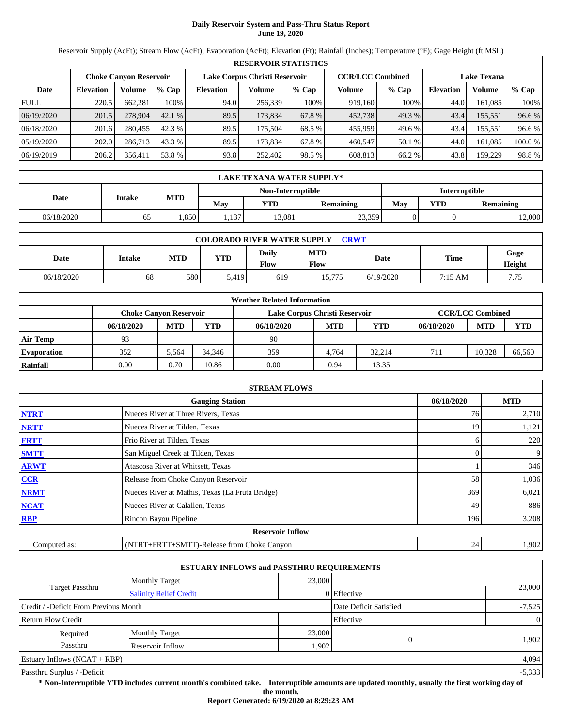# **Daily Reservoir System and Pass-Thru Status Report June 19, 2020**

Reservoir Supply (AcFt); Stream Flow (AcFt); Evaporation (AcFt); Elevation (Ft); Rainfall (Inches); Temperature (°F); Gage Height (ft MSL)

|             | <b>RESERVOIR STATISTICS</b> |                               |         |                               |         |         |                         |        |                    |         |         |  |  |
|-------------|-----------------------------|-------------------------------|---------|-------------------------------|---------|---------|-------------------------|--------|--------------------|---------|---------|--|--|
|             |                             | <b>Choke Canvon Reservoir</b> |         | Lake Corpus Christi Reservoir |         |         | <b>CCR/LCC Combined</b> |        | <b>Lake Texana</b> |         |         |  |  |
| Date        | <b>Elevation</b>            | Volume                        | $%$ Cap | <b>Elevation</b>              | Volume  | $%$ Cap | Volume                  | % Cap  | <b>Elevation</b>   | Volume  | % Cap   |  |  |
| <b>FULL</b> | 220.5                       | 662.281                       | 100%    | 94.0                          | 256,339 | 100%    | 919.160                 | 100%   | 44.0               | 161.085 | 100%    |  |  |
| 06/19/2020  | 201.5                       | 278,904                       | 42.1%   | 89.5                          | 173,834 | 67.8 %  | 452,738                 | 49.3 % | 43.4               | 155,551 | 96.6 %  |  |  |
| 06/18/2020  | 201.6                       | 280,455                       | 42.3 %  | 89.5                          | 175.504 | 68.5 %  | 455,959                 | 49.6 % | 43.4               | 155,551 | 96.6 %  |  |  |
| 05/19/2020  | 202.0                       | 286.713                       | 43.3 %  | 89.5                          | 173.834 | 67.8 %  | 460,547                 | 50.1 % | 44.0               | 161.085 | 100.0 % |  |  |
| 06/19/2019  | 206.2                       | 356.411                       | 53.8 %  | 93.8                          | 252.402 | 98.5 %  | 608.813                 | 66.2 % | 43.8               | 159,229 | 98.8%   |  |  |

| <b>LAKE TEXANA WATER SUPPLY*</b> |               |            |       |                   |           |               |     |                  |  |  |
|----------------------------------|---------------|------------|-------|-------------------|-----------|---------------|-----|------------------|--|--|
|                                  |               |            |       | Non-Interruptible |           | Interruptible |     |                  |  |  |
| Date                             | <b>Intake</b> | <b>MTD</b> | Mav   | YTD               | Remaining | May           | YTD | <b>Remaining</b> |  |  |
| 06/18/2020                       | 65            | .850       | .,137 | 13.081            | 23,359    |               |     | 12,000           |  |  |

| <b>COLORADO RIVER WATER SUPPLY</b><br><b>CRWT</b> |        |     |            |                      |                    |           |         |                |  |  |  |
|---------------------------------------------------|--------|-----|------------|----------------------|--------------------|-----------|---------|----------------|--|--|--|
| Date                                              | Intake | MTD | <b>YTD</b> | Daily<br><b>Flow</b> | <b>MTD</b><br>Flow | Date      | Time    | Gage<br>Height |  |  |  |
| 06/18/2020                                        | 68     | 580 | 5.419      | 619                  | 15,775             | 6/19/2020 | 7:15 AM | 7.75           |  |  |  |

| <b>Weather Related Information</b> |                               |            |        |                               |                         |            |            |            |            |  |  |
|------------------------------------|-------------------------------|------------|--------|-------------------------------|-------------------------|------------|------------|------------|------------|--|--|
|                                    | <b>Choke Canvon Reservoir</b> |            |        | Lake Corpus Christi Reservoir | <b>CCR/LCC Combined</b> |            |            |            |            |  |  |
|                                    | 06/18/2020                    | <b>MTD</b> | YTD    | 06/18/2020                    | <b>MTD</b>              | <b>YTD</b> | 06/18/2020 | <b>MTD</b> | <b>YTD</b> |  |  |
| <b>Air Temp</b>                    | 93                            |            |        | 90                            |                         |            |            |            |            |  |  |
| <b>Evaporation</b>                 | 352                           | 5.564      | 34.346 | 359                           | 4.764                   | 32.214     | 711        | 10.328     | 66,560     |  |  |
| Rainfall                           | 0.00                          | 0.70       | 10.86  | 0.00                          | 0.94                    | 13.35      |            |            |            |  |  |

| <b>STREAM FLOWS</b>                                |                                                 |     |       |  |  |  |  |  |
|----------------------------------------------------|-------------------------------------------------|-----|-------|--|--|--|--|--|
| 06/18/2020<br><b>MTD</b><br><b>Gauging Station</b> |                                                 |     |       |  |  |  |  |  |
| <b>NTRT</b>                                        | Nueces River at Three Rivers, Texas             | 76  | 2,710 |  |  |  |  |  |
| <b>NRTT</b>                                        | Nueces River at Tilden, Texas                   | 19  | 1,121 |  |  |  |  |  |
| <b>FRTT</b>                                        | Frio River at Tilden, Texas                     | h.  | 220   |  |  |  |  |  |
| <b>SMTT</b>                                        | San Miguel Creek at Tilden, Texas               |     | 9     |  |  |  |  |  |
| <b>ARWT</b>                                        | Atascosa River at Whitsett, Texas               |     | 346   |  |  |  |  |  |
| CCR                                                | Release from Choke Canyon Reservoir             | 58  | 1,036 |  |  |  |  |  |
| <b>NRMT</b>                                        | Nueces River at Mathis, Texas (La Fruta Bridge) | 369 | 6,021 |  |  |  |  |  |
| <b>NCAT</b>                                        | Nueces River at Calallen, Texas                 | 49  | 886   |  |  |  |  |  |
| <b>RBP</b>                                         | Rincon Bayou Pipeline                           | 196 | 3,208 |  |  |  |  |  |
|                                                    | <b>Reservoir Inflow</b>                         |     |       |  |  |  |  |  |
| Computed as:                                       | (NTRT+FRTT+SMTT)-Release from Choke Canyon      | 24  | 1,902 |  |  |  |  |  |

|                                       |                               | <b>ESTUARY INFLOWS and PASSTHRU REQUIREMENTS</b> |             |                |
|---------------------------------------|-------------------------------|--------------------------------------------------|-------------|----------------|
|                                       | <b>Monthly Target</b>         | 23,000                                           |             |                |
| <b>Target Passthru</b>                | <b>Salinity Relief Credit</b> |                                                  | 0 Effective | 23,000         |
| Credit / -Deficit From Previous Month |                               | Date Deficit Satisfied                           | $-7,525$    |                |
| <b>Return Flow Credit</b>             |                               |                                                  | Effective   | $\overline{0}$ |
| Required                              | <b>Monthly Target</b>         | 23,000                                           |             |                |
| Passthru                              | Reservoir Inflow              | 1,902                                            | $\Omega$    | 1,902          |
| Estuary Inflows $(NCAT + RBP)$        |                               |                                                  |             | 4,094          |
| Passthru Surplus / -Deficit           |                               |                                                  |             | $-5,333$       |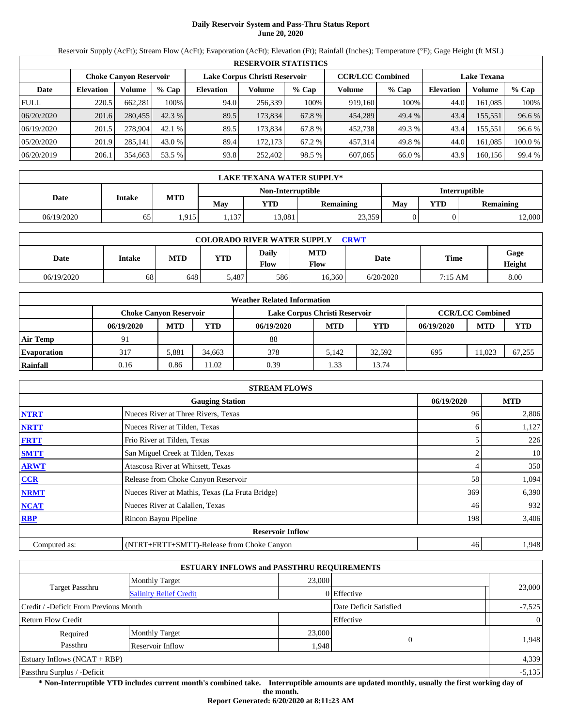# **Daily Reservoir System and Pass-Thru Status Report June 20, 2020**

Reservoir Supply (AcFt); Stream Flow (AcFt); Evaporation (AcFt); Elevation (Ft); Rainfall (Inches); Temperature (°F); Gage Height (ft MSL)

|             | <b>RESERVOIR STATISTICS</b> |                               |         |                               |         |         |                         |         |                    |         |         |  |  |
|-------------|-----------------------------|-------------------------------|---------|-------------------------------|---------|---------|-------------------------|---------|--------------------|---------|---------|--|--|
|             |                             | <b>Choke Canvon Reservoir</b> |         | Lake Corpus Christi Reservoir |         |         | <b>CCR/LCC Combined</b> |         | <b>Lake Texana</b> |         |         |  |  |
| Date        | <b>Elevation</b>            | Volume                        | $%$ Cap | <b>Elevation</b>              | Volume  | $%$ Cap | Volume                  | $%$ Cap | <b>Elevation</b>   | Volume  | % Cap   |  |  |
| <b>FULL</b> | 220.5                       | 662.281                       | 100%    | 94.0                          | 256,339 | 100%    | 919.160                 | 100%    | 44.0               | 161.085 | 100%    |  |  |
| 06/20/2020  | 201.6                       | 280,455                       | 42.3%   | 89.5                          | 173,834 | 67.8 %  | 454,289                 | 49.4 %  | 43.4               | 155,551 | 96.6 %  |  |  |
| 06/19/2020  | 201.5                       | 278,904                       | 42.1 %  | 89.5                          | 173.834 | 67.8 %  | 452,738                 | 49.3 %  | 43.4               | 155,551 | 96.6 %  |  |  |
| 05/20/2020  | 201.9                       | 285,141                       | 43.0 %  | 89.4                          | 172.173 | 67.2 %  | 457,314                 | 49.8 %  | 44.0               | 161.085 | 100.0 % |  |  |
| 06/20/2019  | 206.1                       | 354,663                       | 53.5 %  | 93.8                          | 252.402 | 98.5 %  | 607,065                 | 66.0 %  | 43.9               | 160,156 | 99.4 %  |  |  |

| <b>LAKE TEXANA WATER SUPPLY*</b> |               |            |      |                   |           |               |     |                  |  |  |
|----------------------------------|---------------|------------|------|-------------------|-----------|---------------|-----|------------------|--|--|
|                                  |               |            |      | Non-Interruptible |           | Interruptible |     |                  |  |  |
| Date                             | <b>Intake</b> | <b>MTD</b> | Mav  | YTD               | Remaining | May           | YTD | <b>Remaining</b> |  |  |
| 06/19/2020                       | 65            | 1,915      | .137 | 13.081            | 23,359    |               |     | 12,000           |  |  |

| <b>COLORADO RIVER WATER SUPPLY</b><br>CRWT |        |            |            |                             |                           |           |         |                |  |  |  |
|--------------------------------------------|--------|------------|------------|-----------------------------|---------------------------|-----------|---------|----------------|--|--|--|
| Date                                       | Intake | <b>MTD</b> | <b>YTD</b> | <b>Daily</b><br><b>Flow</b> | <b>MTD</b><br><b>Flow</b> | Date      | Time    | Gage<br>Height |  |  |  |
| 06/19/2020                                 | 68     | 648        | 487ء د     | 586                         | 16.360                    | 6/20/2020 | 7:15 AM | 8.00           |  |  |  |

| <b>Weather Related Information</b> |                               |            |        |                               |            |                         |            |            |            |  |  |
|------------------------------------|-------------------------------|------------|--------|-------------------------------|------------|-------------------------|------------|------------|------------|--|--|
|                                    | <b>Choke Canvon Reservoir</b> |            |        | Lake Corpus Christi Reservoir |            | <b>CCR/LCC Combined</b> |            |            |            |  |  |
|                                    | 06/19/2020                    | <b>MTD</b> | YTD    | 06/19/2020                    | <b>MTD</b> | YTD                     | 06/19/2020 | <b>MTD</b> | <b>YTD</b> |  |  |
| <b>Air Temp</b>                    | 91                            |            |        | 88                            |            |                         |            |            |            |  |  |
| <b>Evaporation</b>                 | 317                           | 5.881      | 34.663 | 378                           | 5.142      | 32.592                  | 695        | 11.023     | 67,255     |  |  |
| Rainfall                           | 0.16                          | 0.86       | 1.02   | 0.39                          | . 33       | 13.74                   |            |            |            |  |  |

| <b>STREAM FLOWS</b> |                                                 |            |       |  |  |  |  |  |  |
|---------------------|-------------------------------------------------|------------|-------|--|--|--|--|--|--|
|                     | 06/19/2020                                      | <b>MTD</b> |       |  |  |  |  |  |  |
| <b>NTRT</b>         | Nueces River at Three Rivers, Texas             | 96         | 2,806 |  |  |  |  |  |  |
| <b>NRTT</b>         | Nueces River at Tilden, Texas                   | h.         | 1,127 |  |  |  |  |  |  |
| <b>FRTT</b>         | Frio River at Tilden, Texas                     |            | 226   |  |  |  |  |  |  |
| <b>SMTT</b>         | San Miguel Creek at Tilden, Texas               |            | 10    |  |  |  |  |  |  |
| <b>ARWT</b>         | Atascosa River at Whitsett, Texas               | 4          | 350   |  |  |  |  |  |  |
| <b>CCR</b>          | Release from Choke Canyon Reservoir             | 58         | 1,094 |  |  |  |  |  |  |
| <b>NRMT</b>         | Nueces River at Mathis, Texas (La Fruta Bridge) | 369        | 6,390 |  |  |  |  |  |  |
| <b>NCAT</b>         | Nueces River at Calallen, Texas                 | 46         | 932   |  |  |  |  |  |  |
| <b>RBP</b>          | Rincon Bayou Pipeline                           | 198        | 3,406 |  |  |  |  |  |  |
|                     | <b>Reservoir Inflow</b>                         |            |       |  |  |  |  |  |  |
| Computed as:        | (NTRT+FRTT+SMTT)-Release from Choke Canyon      | 46         | 1,948 |  |  |  |  |  |  |

| <b>ESTUARY INFLOWS and PASSTHRU REQUIREMENTS</b> |                               |                        |               |                |  |  |  |  |
|--------------------------------------------------|-------------------------------|------------------------|---------------|----------------|--|--|--|--|
|                                                  | <b>Monthly Target</b>         | 23,000                 |               |                |  |  |  |  |
| Target Passthru                                  | <b>Salinity Relief Credit</b> |                        | $0$ Effective | 23,000         |  |  |  |  |
| Credit / -Deficit From Previous Month            |                               | Date Deficit Satisfied | $-7,525$      |                |  |  |  |  |
| <b>Return Flow Credit</b>                        |                               |                        | Effective     | $\overline{0}$ |  |  |  |  |
| Required                                         | <b>Monthly Target</b>         | 23,000                 |               |                |  |  |  |  |
| Passthru                                         | Reservoir Inflow              | 1,948                  | $\Omega$      | 1.948          |  |  |  |  |
| Estuary Inflows $(NCAT + RBP)$                   |                               |                        |               | 4,339          |  |  |  |  |
| Passthru Surplus / -Deficit                      |                               |                        |               | $-5,135$       |  |  |  |  |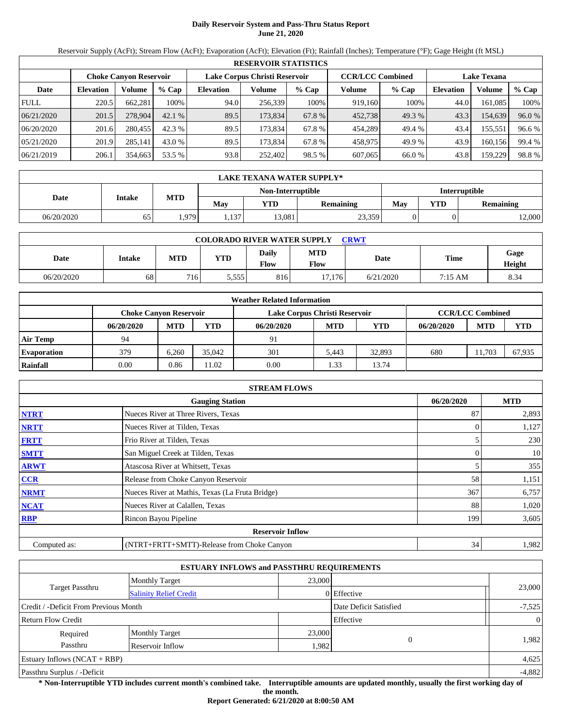# **Daily Reservoir System and Pass-Thru Status Report June 21, 2020**

Reservoir Supply (AcFt); Stream Flow (AcFt); Evaporation (AcFt); Elevation (Ft); Rainfall (Inches); Temperature (°F); Gage Height (ft MSL)

|             | <b>RESERVOIR STATISTICS</b> |                               |         |                               |         |         |                         |         |                    |         |        |  |  |
|-------------|-----------------------------|-------------------------------|---------|-------------------------------|---------|---------|-------------------------|---------|--------------------|---------|--------|--|--|
|             |                             | <b>Choke Canvon Reservoir</b> |         | Lake Corpus Christi Reservoir |         |         | <b>CCR/LCC Combined</b> |         | <b>Lake Texana</b> |         |        |  |  |
| Date        | <b>Elevation</b>            | Volume                        | $%$ Cap | <b>Elevation</b>              | Volume  | $%$ Cap | Volume                  | $%$ Cap | <b>Elevation</b>   | Volume  | % Cap  |  |  |
| <b>FULL</b> | 220.5                       | 662,281                       | 100%    | 94.0                          | 256,339 | 100%    | 919,160                 | 100%    | 44.0               | 161.085 | 100%   |  |  |
| 06/21/2020  | 201.5                       | 278,904                       | 42.1%   | 89.5                          | 173,834 | 67.8 %  | 452,738                 | 49.3 %  | 43.3               | 154,639 | 96.0 % |  |  |
| 06/20/2020  | 201.6                       | 280,455                       | 42.3%   | 89.5                          | 173.834 | 67.8 %  | 454,289                 | 49.4 %  | 43.4               | 155,551 | 96.6 % |  |  |
| 05/21/2020  | 201.9                       | 285,141                       | 43.0 %  | 89.5                          | 173,834 | 67.8 %  | 458,975                 | 49.9 %  | 43.9               | 160.156 | 99.4 % |  |  |
| 06/21/2019  | 206.1                       | 354,663                       | 53.5 %  | 93.8                          | 252,402 | 98.5 %  | 607,065                 | 66.0 %  | 43.8               | 159,229 | 98.8%  |  |  |

| <b>LAKE TEXANA WATER SUPPLY*</b> |               |            |     |                   |                  |               |     |                  |  |  |  |
|----------------------------------|---------------|------------|-----|-------------------|------------------|---------------|-----|------------------|--|--|--|
|                                  |               |            |     | Non-Interruptible |                  | Interruptible |     |                  |  |  |  |
| Date                             | <b>Intake</b> | <b>MTD</b> | Mav | YTD               | <b>Remaining</b> | May           | YTD | <b>Remaining</b> |  |  |  |
| 06/20/2020                       | 65            | .979       | 137 | 13,081            | 23,359           |               |     | 2,000            |  |  |  |

| <b>COLORADO RIVER WATER SUPPLY</b><br><b>CRWT</b> |        |                  |            |                      |                    |           |         |                |  |  |  |
|---------------------------------------------------|--------|------------------|------------|----------------------|--------------------|-----------|---------|----------------|--|--|--|
| Date                                              | Intake | MTD              | <b>YTD</b> | Daily<br><b>Flow</b> | <b>MTD</b><br>Flow | Date      | Time    | Gage<br>Height |  |  |  |
| 06/20/2020                                        | 68     | 716 <sub>1</sub> | 5.555      | 816                  | 17.176             | 6/21/2020 | 7:15 AM | 8.34           |  |  |  |

| <b>Weather Related Information</b> |            |                        |        |                               |                         |        |            |            |            |  |  |
|------------------------------------|------------|------------------------|--------|-------------------------------|-------------------------|--------|------------|------------|------------|--|--|
|                                    |            | Choke Canvon Reservoir |        | Lake Corpus Christi Reservoir | <b>CCR/LCC Combined</b> |        |            |            |            |  |  |
|                                    | 06/20/2020 | <b>MTD</b>             | YTD    | 06/20/2020                    | <b>MTD</b>              | YTD    | 06/20/2020 | <b>MTD</b> | <b>YTD</b> |  |  |
| <b>Air Temp</b>                    | 94         |                        |        | 91                            |                         |        |            |            |            |  |  |
| <b>Evaporation</b>                 | 379        | 6.260                  | 35,042 | 301                           | 5.443                   | 32,893 | 680        | 11.703     | 67.935     |  |  |
| Rainfall                           | 0.00       | 0.86                   | 1.02   | 0.00                          | .33                     | 13.74  |            |            |            |  |  |

|              | <b>STREAM FLOWS</b>                             |            |       |  |  |  |  |  |  |
|--------------|-------------------------------------------------|------------|-------|--|--|--|--|--|--|
|              | 06/20/2020                                      | <b>MTD</b> |       |  |  |  |  |  |  |
| <b>NTRT</b>  | Nueces River at Three Rivers, Texas             | 87         | 2,893 |  |  |  |  |  |  |
| <b>NRTT</b>  | Nueces River at Tilden, Texas                   |            | 1,127 |  |  |  |  |  |  |
| <b>FRTT</b>  | Frio River at Tilden, Texas                     |            | 230   |  |  |  |  |  |  |
| <b>SMTT</b>  | San Miguel Creek at Tilden, Texas               | 0          | 10    |  |  |  |  |  |  |
| <b>ARWT</b>  | Atascosa River at Whitsett, Texas               |            | 355   |  |  |  |  |  |  |
| <b>CCR</b>   | Release from Choke Canyon Reservoir             | 58         | 1,151 |  |  |  |  |  |  |
| <b>NRMT</b>  | Nueces River at Mathis, Texas (La Fruta Bridge) | 367        | 6,757 |  |  |  |  |  |  |
| <b>NCAT</b>  | Nueces River at Calallen, Texas                 | 88         | 1,020 |  |  |  |  |  |  |
| <b>RBP</b>   | Rincon Bayou Pipeline                           | 199        | 3,605 |  |  |  |  |  |  |
|              | <b>Reservoir Inflow</b>                         |            |       |  |  |  |  |  |  |
| Computed as: | (NTRT+FRTT+SMTT)-Release from Choke Canyon      | 34         | 1,982 |  |  |  |  |  |  |

|                                       |                               | <b>ESTUARY INFLOWS and PASSTHRU REQUIREMENTS</b> |                        |                |
|---------------------------------------|-------------------------------|--------------------------------------------------|------------------------|----------------|
|                                       | <b>Monthly Target</b>         | 23,000                                           |                        |                |
| <b>Target Passthru</b>                | <b>Salinity Relief Credit</b> |                                                  | 0 Effective            | 23,000         |
| Credit / -Deficit From Previous Month |                               |                                                  | Date Deficit Satisfied | $-7,525$       |
| <b>Return Flow Credit</b>             |                               |                                                  | Effective              | $\overline{0}$ |
| Required                              | <b>Monthly Target</b>         | 23,000                                           |                        |                |
| Passthru                              | Reservoir Inflow              |                                                  | $\Omega$<br>1,982      | 1,982          |
| Estuary Inflows $(NCAT + RBP)$        |                               |                                                  |                        | 4,625          |
| Passthru Surplus / -Deficit           |                               |                                                  |                        | $-4,882$       |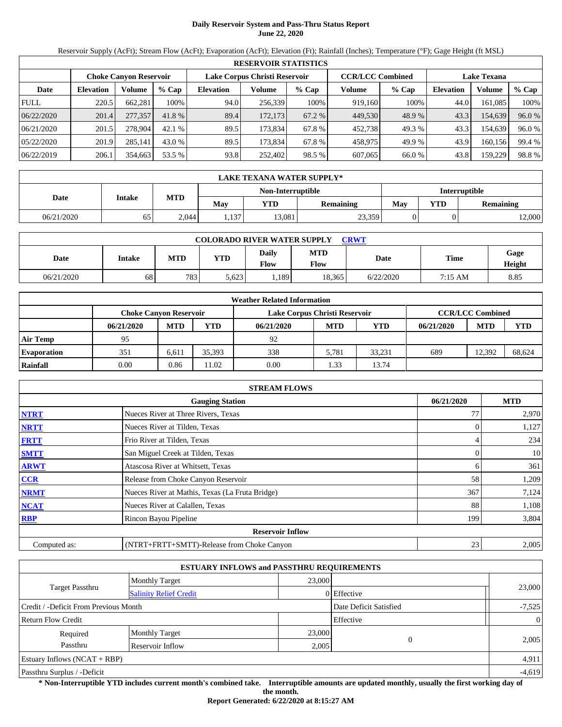# **Daily Reservoir System and Pass-Thru Status Report June 22, 2020**

Reservoir Supply (AcFt); Stream Flow (AcFt); Evaporation (AcFt); Elevation (Ft); Rainfall (Inches); Temperature (°F); Gage Height (ft MSL)

|             | <b>RESERVOIR STATISTICS</b> |                        |         |                               |         |         |                         |         |                    |         |        |  |  |
|-------------|-----------------------------|------------------------|---------|-------------------------------|---------|---------|-------------------------|---------|--------------------|---------|--------|--|--|
|             |                             | Choke Canvon Reservoir |         | Lake Corpus Christi Reservoir |         |         | <b>CCR/LCC Combined</b> |         | <b>Lake Texana</b> |         |        |  |  |
| Date        | <b>Elevation</b>            | Volume                 | $%$ Cap | <b>Elevation</b>              | Volume  | $%$ Cap | Volume                  | $%$ Cap | Elevation          | Volume  | % Cap  |  |  |
| <b>FULL</b> | 220.5                       | 662,281                | 100%    | 94.0                          | 256,339 | 100%    | 919.160                 | 100%    | 44.0               | 161,085 | 100%   |  |  |
| 06/22/2020  | 201.4                       | 277,357                | 41.8 %  | 89.4                          | 172,173 | 67.2 %  | 449,530                 | 48.9%   | 43.3               | 154,639 | 96.0 % |  |  |
| 06/21/2020  | 201.5                       | 278,904                | 42.1%   | 89.5                          | 173.834 | 67.8 %  | 452.738                 | 49.3 %  | 43.3               | 154.639 | 96.0 % |  |  |
| 05/22/2020  | 201.9                       | 285,141                | 43.0 %  | 89.5                          | 173,834 | 67.8 %  | 458,975                 | 49.9 %  | 43.9               | 160,156 | 99.4 % |  |  |
| 06/22/2019  | 206.1                       | 354,663                | 53.5 %  | 93.8                          | 252,402 | 98.5 %  | 607,065                 | 66.0%   | 43.8               | 159,229 | 98.8%  |  |  |

| LAKE TEXANA WATER SUPPLY* |               |            |      |                   |                  |               |            |                  |  |  |  |
|---------------------------|---------------|------------|------|-------------------|------------------|---------------|------------|------------------|--|--|--|
|                           |               |            |      | Non-Interruptible |                  | Interruptible |            |                  |  |  |  |
| Date                      | <b>Intake</b> | <b>MTD</b> | May  | YTD               | <b>Remaining</b> | May           | <b>YTD</b> | <b>Remaining</b> |  |  |  |
| 06/21/2020                | 65            | 2,044      | .137 | 13,081            | 23,359           |               |            | 12,000           |  |  |  |

| <b>COLORADO RIVER WATER SUPPLY</b><br>CRWT |        |            |            |                      |                    |           |         |                |  |  |  |
|--------------------------------------------|--------|------------|------------|----------------------|--------------------|-----------|---------|----------------|--|--|--|
| Date                                       | Intake | <b>MTD</b> | <b>YTD</b> | Daily<br><b>Flow</b> | <b>MTD</b><br>Flow | Date      | Time    | Gage<br>Height |  |  |  |
| 06/21/2020                                 | 68     | 783        | 5,623      | .189                 | 18,365             | 6/22/2020 | 7:15 AM | 8.85           |  |  |  |

| <b>Weather Related Information</b> |                               |            |        |                               |                         |            |            |            |            |  |  |
|------------------------------------|-------------------------------|------------|--------|-------------------------------|-------------------------|------------|------------|------------|------------|--|--|
|                                    | <b>Choke Canvon Reservoir</b> |            |        | Lake Corpus Christi Reservoir | <b>CCR/LCC Combined</b> |            |            |            |            |  |  |
|                                    | 06/21/2020                    | <b>MTD</b> | YTD    | 06/21/2020                    | <b>MTD</b>              | <b>YTD</b> | 06/21/2020 | <b>MTD</b> | <b>YTD</b> |  |  |
| <b>Air Temp</b>                    | 95                            |            |        | 92                            |                         |            |            |            |            |  |  |
| <b>Evaporation</b>                 | 351                           | 6.611      | 35.393 | 338                           | 5.781                   | 33.231     | 689        | 12.392     | 68.624     |  |  |
| Rainfall                           | 0.00                          | 0.86       | 1.02   | 0.00                          | .33                     | 13.74      |            |            |            |  |  |

| <b>STREAM FLOWS</b> |                                                 |            |       |  |  |  |  |  |
|---------------------|-------------------------------------------------|------------|-------|--|--|--|--|--|
|                     | 06/21/2020                                      | <b>MTD</b> |       |  |  |  |  |  |
| <b>NTRT</b>         | Nueces River at Three Rivers, Texas             | 77         | 2,970 |  |  |  |  |  |
| <b>NRTT</b>         | Nueces River at Tilden, Texas                   |            | 1,127 |  |  |  |  |  |
| <b>FRTT</b>         | Frio River at Tilden, Texas                     |            | 234   |  |  |  |  |  |
| <b>SMTT</b>         | San Miguel Creek at Tilden, Texas               |            | 10    |  |  |  |  |  |
| <b>ARWT</b>         | Atascosa River at Whitsett, Texas               |            | 361   |  |  |  |  |  |
| <b>CCR</b>          | Release from Choke Canyon Reservoir             | 58         | 1,209 |  |  |  |  |  |
| <b>NRMT</b>         | Nueces River at Mathis, Texas (La Fruta Bridge) | 367        | 7,124 |  |  |  |  |  |
| <b>NCAT</b>         | Nueces River at Calallen, Texas                 | 88         | 1,108 |  |  |  |  |  |
| <b>RBP</b>          | Rincon Bayou Pipeline                           | 199        | 3,804 |  |  |  |  |  |
|                     | <b>Reservoir Inflow</b>                         |            |       |  |  |  |  |  |
| Computed as:        | (NTRT+FRTT+SMTT)-Release from Choke Canyon      | 23         | 2,005 |  |  |  |  |  |

|                                       |                                 | <b>ESTUARY INFLOWS and PASSTHRU REQUIREMENTS</b> |                        |                |
|---------------------------------------|---------------------------------|--------------------------------------------------|------------------------|----------------|
|                                       | 23,000<br><b>Monthly Target</b> |                                                  |                        |                |
| <b>Target Passthru</b>                | <b>Salinity Relief Credit</b>   |                                                  | 0 Effective            | 23,000         |
| Credit / -Deficit From Previous Month |                                 |                                                  | Date Deficit Satisfied | $-7,525$       |
| <b>Return Flow Credit</b>             |                                 |                                                  | Effective              | $\overline{0}$ |
| Required                              | <b>Monthly Target</b>           | 23,000                                           |                        |                |
| Passthru                              | Reservoir Inflow                |                                                  | 2,005                  | 2,005          |
| Estuary Inflows $(NCAT + RBP)$        |                                 |                                                  |                        | 4,911          |
| Passthru Surplus / -Deficit           |                                 |                                                  |                        | $-4,619$       |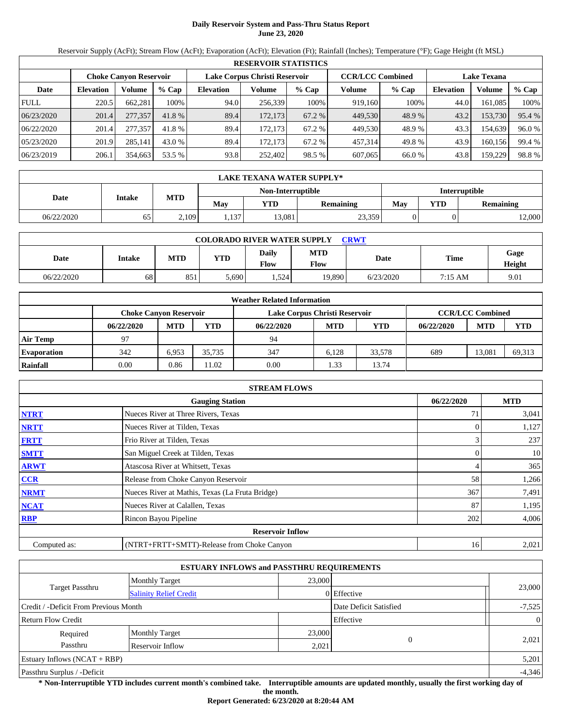# **Daily Reservoir System and Pass-Thru Status Report June 23, 2020**

Reservoir Supply (AcFt); Stream Flow (AcFt); Evaporation (AcFt); Elevation (Ft); Rainfall (Inches); Temperature (°F); Gage Height (ft MSL)

|             | <b>RESERVOIR STATISTICS</b>   |         |         |                               |         |         |                         |         |                    |         |        |  |  |
|-------------|-------------------------------|---------|---------|-------------------------------|---------|---------|-------------------------|---------|--------------------|---------|--------|--|--|
|             | <b>Choke Canyon Reservoir</b> |         |         | Lake Corpus Christi Reservoir |         |         | <b>CCR/LCC Combined</b> |         | <b>Lake Texana</b> |         |        |  |  |
| Date        | <b>Elevation</b>              | Volume  | $%$ Cap | <b>Elevation</b>              | Volume  | $%$ Cap | Volume                  | $%$ Cap | <b>Elevation</b>   | Volume  | % Cap  |  |  |
| <b>FULL</b> | 220.5                         | 662,281 | 100%    | 94.0                          | 256,339 | 100%    | 919,160                 | 100%    | 44.0               | 161.085 | 100%   |  |  |
| 06/23/2020  | 201.4                         | 277,357 | 41.8 %  | 89.4                          | 172,173 | 67.2 %  | 449,530                 | 48.9%   | 43.2               | 153,730 | 95.4 % |  |  |
| 06/22/2020  | 201.4                         | 277,357 | 41.8 %  | 89.4                          | 172.173 | 67.2 %  | 449,530                 | 48.9%   | 43.3               | 154,639 | 96.0%  |  |  |
| 05/23/2020  | 201.9                         | 285,141 | 43.0 %  | 89.4                          | 172,173 | 67.2 %  | 457,314                 | 49.8%   | 43.9               | 160,156 | 99.4 % |  |  |
| 06/23/2019  | 206.1                         | 354,663 | 53.5 %  | 93.8                          | 252,402 | 98.5 %  | 607,065                 | 66.0 %  | 43.8               | 159,229 | 98.8%  |  |  |

|            | LAKE TEXANA WATER SUPPLY* |            |       |                   |           |               |            |                  |  |  |  |
|------------|---------------------------|------------|-------|-------------------|-----------|---------------|------------|------------------|--|--|--|
|            |                           |            |       | Non-Interruptible |           | Interruptible |            |                  |  |  |  |
| Date       | <b>Intake</b>             | <b>MTD</b> | May   | YTD               | Remaining | May           | <b>YTD</b> | <b>Remaining</b> |  |  |  |
| 06/22/2020 | 65                        | 2,109      | .,137 | 13,081            | 23,359    |               |            | 12,000           |  |  |  |

| <b>COLORADO RIVER WATER SUPPLY</b><br><b>CRWT</b> |        |            |            |                             |                    |           |         |                |  |  |  |
|---------------------------------------------------|--------|------------|------------|-----------------------------|--------------------|-----------|---------|----------------|--|--|--|
| Date                                              | Intake | <b>MTD</b> | <b>YTD</b> | <b>Daily</b><br><b>Flow</b> | <b>MTD</b><br>Flow | Date      | Time    | Gage<br>Height |  |  |  |
| 06/22/2020                                        | 68     | 851        | 5,690      | . 524                       | 19.890             | 6/23/2020 | 7:15 AM | 9.01           |  |  |  |

| <b>Weather Related Information</b> |                               |            |        |                               |                         |            |            |            |            |  |  |
|------------------------------------|-------------------------------|------------|--------|-------------------------------|-------------------------|------------|------------|------------|------------|--|--|
|                                    | <b>Choke Canvon Reservoir</b> |            |        | Lake Corpus Christi Reservoir | <b>CCR/LCC Combined</b> |            |            |            |            |  |  |
|                                    | 06/22/2020                    | <b>MTD</b> | YTD    | 06/22/2020                    | <b>MTD</b>              | <b>YTD</b> | 06/22/2020 | <b>MTD</b> | <b>YTD</b> |  |  |
| <b>Air Temp</b>                    | 97                            |            |        | 94                            |                         |            |            |            |            |  |  |
| <b>Evaporation</b>                 | 342                           | 6.953      | 35.735 | 347                           | 6.128                   | 33.578     | 689        | 13.081     | 69,313     |  |  |
| Rainfall                           | 0.00                          | 0.86       | 1.02   | 0.00                          | .33                     | 13.74      |            |            |            |  |  |

| <b>STREAM FLOWS</b> |                                                 |            |            |  |  |  |  |  |
|---------------------|-------------------------------------------------|------------|------------|--|--|--|--|--|
|                     | <b>Gauging Station</b>                          | 06/22/2020 | <b>MTD</b> |  |  |  |  |  |
| <b>NTRT</b>         | Nueces River at Three Rivers, Texas             |            | 3,041      |  |  |  |  |  |
| <b>NRTT</b>         | Nueces River at Tilden, Texas                   |            | 1,127      |  |  |  |  |  |
| <b>FRTT</b>         | Frio River at Tilden, Texas                     |            | 237        |  |  |  |  |  |
| <b>SMTT</b>         | San Miguel Creek at Tilden, Texas               |            | 10         |  |  |  |  |  |
| <b>ARWT</b>         | Atascosa River at Whitsett, Texas               |            | 365        |  |  |  |  |  |
| CCR                 | Release from Choke Canyon Reservoir             | 58         | 1,266      |  |  |  |  |  |
| <b>NRMT</b>         | Nueces River at Mathis, Texas (La Fruta Bridge) | 367        | 7,491      |  |  |  |  |  |
| <b>NCAT</b>         | Nueces River at Calallen, Texas                 | 87         | 1,195      |  |  |  |  |  |
| <b>RBP</b>          | Rincon Bayou Pipeline                           | 202        | 4,006      |  |  |  |  |  |
|                     | <b>Reservoir Inflow</b>                         |            |            |  |  |  |  |  |
| Computed as:        | (NTRT+FRTT+SMTT)-Release from Choke Canyon      | 16         | 2,021      |  |  |  |  |  |

| <b>ESTUARY INFLOWS and PASSTHRU REQUIREMENTS</b> |                               |                        |               |                |  |  |  |  |
|--------------------------------------------------|-------------------------------|------------------------|---------------|----------------|--|--|--|--|
|                                                  | <b>Monthly Target</b>         | 23,000                 |               |                |  |  |  |  |
| <b>Target Passthru</b>                           | <b>Salinity Relief Credit</b> |                        | $0$ Effective | 23,000         |  |  |  |  |
| Credit / -Deficit From Previous Month            |                               | Date Deficit Satisfied | $-7,525$      |                |  |  |  |  |
| <b>Return Flow Credit</b>                        |                               |                        | Effective     | $\overline{0}$ |  |  |  |  |
| Required                                         | <b>Monthly Target</b>         | 23,000                 |               |                |  |  |  |  |
| Passthru                                         | Reservoir Inflow              | 2,021                  | $\Omega$      | 2,021          |  |  |  |  |
| Estuary Inflows $(NCAT + RBP)$                   |                               |                        |               | 5,201          |  |  |  |  |
| Passthru Surplus / -Deficit                      |                               |                        |               | $-4,346$       |  |  |  |  |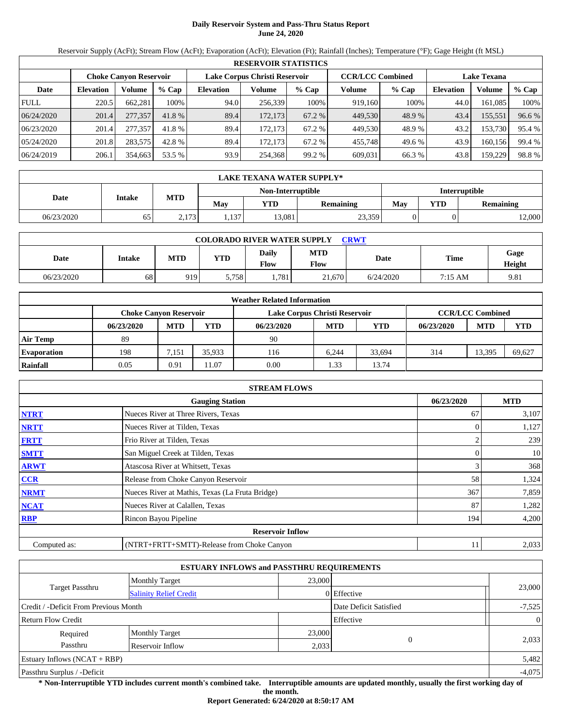# **Daily Reservoir System and Pass-Thru Status Report June 24, 2020**

Reservoir Supply (AcFt); Stream Flow (AcFt); Evaporation (AcFt); Elevation (Ft); Rainfall (Inches); Temperature (°F); Gage Height (ft MSL)

|             | <b>RESERVOIR STATISTICS</b> |         |         |                               |         |         |                         |         |                    |         |        |  |  |
|-------------|-----------------------------|---------|---------|-------------------------------|---------|---------|-------------------------|---------|--------------------|---------|--------|--|--|
|             | Choke Canvon Reservoir      |         |         | Lake Corpus Christi Reservoir |         |         | <b>CCR/LCC Combined</b> |         | <b>Lake Texana</b> |         |        |  |  |
| Date        | <b>Elevation</b>            | Volume  | $%$ Cap | <b>Elevation</b>              | Volume  | $%$ Cap | Volume                  | $%$ Cap | Elevation          | Volume  | % Cap  |  |  |
| <b>FULL</b> | 220.5                       | 662,281 | 100%    | 94.0                          | 256,339 | 100%    | 919.160                 | 100%    | 44.0               | 161,085 | 100%   |  |  |
| 06/24/2020  | 201.4                       | 277,357 | 41.8 %  | 89.4                          | 172,173 | 67.2 %  | 449,530                 | 48.9%   | 43.4               | 155,551 | 96.6 % |  |  |
| 06/23/2020  | 201.4                       | 277,357 | 41.8 %  | 89.4                          | 172.173 | 67.2 %  | 449.530                 | 48.9%   | 43.2               | 153,730 | 95.4 % |  |  |
| 05/24/2020  | 201.8                       | 283,575 | 42.8 %  | 89.4                          | 172.173 | 67.2 %  | 455,748                 | 49.6 %  | 43.9               | 160,156 | 99.4 % |  |  |
| 06/24/2019  | 206.1                       | 354,663 | 53.5 %  | 93.9                          | 254,368 | 99.2 %  | 609,031                 | 66.3 %  | 43.8               | 159,229 | 98.8%  |  |  |

|            | <b>LAKE TEXANA WATER SUPPLY*</b> |            |       |                   |                  |               |     |                  |  |  |  |
|------------|----------------------------------|------------|-------|-------------------|------------------|---------------|-----|------------------|--|--|--|
|            |                                  |            |       | Non-Interruptible |                  | Interruptible |     |                  |  |  |  |
| Date       | <b>Intake</b>                    | <b>MTD</b> | Mav   | YTD               | <b>Remaining</b> | May           | YTD | <b>Remaining</b> |  |  |  |
| 06/23/2020 | 65                               | 2.173      | 1,137 | 13,081            | 23,359           |               |     | 12,000           |  |  |  |

| <b>COLORADO RIVER WATER SUPPLY</b><br><b>CRWT</b> |        |            |            |                      |                    |           |         |                |  |  |  |
|---------------------------------------------------|--------|------------|------------|----------------------|--------------------|-----------|---------|----------------|--|--|--|
| Date                                              | Intake | <b>MTD</b> | <b>YTD</b> | Daily<br><b>Flow</b> | <b>MTD</b><br>Flow | Date      | Time    | Gage<br>Height |  |  |  |
| 06/23/2020                                        | 68     | 919        | 5,758      | .781                 | 21.670             | 6/24/2020 | 7:15 AM | 9.81           |  |  |  |

| <b>Weather Related Information</b> |                               |            |        |                               |                         |            |            |            |            |  |  |
|------------------------------------|-------------------------------|------------|--------|-------------------------------|-------------------------|------------|------------|------------|------------|--|--|
|                                    | <b>Choke Canyon Reservoir</b> |            |        | Lake Corpus Christi Reservoir | <b>CCR/LCC Combined</b> |            |            |            |            |  |  |
|                                    | 06/23/2020                    | <b>MTD</b> | YTD    | 06/23/2020                    | <b>MTD</b>              | <b>YTD</b> | 06/23/2020 | <b>MTD</b> | <b>YTD</b> |  |  |
| <b>Air Temp</b>                    | 89                            |            |        | 90                            |                         |            |            |            |            |  |  |
| <b>Evaporation</b>                 | 198                           | 7.151      | 35.933 | 116                           | 6.244                   | 33.694     | 314        | 13.395     | 69.627     |  |  |
| Rainfall                           | 0.05                          | 0.91       | 1.07   | 0.00                          | .33                     | 13.74      |            |            |            |  |  |

| <b>STREAM FLOWS</b> |                                                 |            |       |  |  |  |  |  |  |
|---------------------|-------------------------------------------------|------------|-------|--|--|--|--|--|--|
|                     | 06/23/2020                                      | <b>MTD</b> |       |  |  |  |  |  |  |
| <b>NTRT</b>         | Nueces River at Three Rivers, Texas             | 67         | 3,107 |  |  |  |  |  |  |
| <b>NRTT</b>         | Nueces River at Tilden, Texas                   |            | 1,127 |  |  |  |  |  |  |
| <b>FRTT</b>         | Frio River at Tilden, Texas                     |            | 239   |  |  |  |  |  |  |
| <b>SMTT</b>         | San Miguel Creek at Tilden, Texas               | 0          | 10    |  |  |  |  |  |  |
| <b>ARWT</b>         | Atascosa River at Whitsett, Texas               |            | 368   |  |  |  |  |  |  |
| <b>CCR</b>          | Release from Choke Canyon Reservoir             | 58         | 1,324 |  |  |  |  |  |  |
| <b>NRMT</b>         | Nueces River at Mathis, Texas (La Fruta Bridge) | 367        | 7,859 |  |  |  |  |  |  |
| <b>NCAT</b>         | Nueces River at Calallen, Texas                 | 87         | 1,282 |  |  |  |  |  |  |
| <b>RBP</b>          | Rincon Bayou Pipeline                           | 194        | 4,200 |  |  |  |  |  |  |
|                     | <b>Reservoir Inflow</b>                         |            |       |  |  |  |  |  |  |
| Computed as:        | (NTRT+FRTT+SMTT)-Release from Choke Canyon      | 11         | 2,033 |  |  |  |  |  |  |

|                                       | <b>ESTUARY INFLOWS and PASSTHRU REQUIREMENTS</b> |        |                        |                |
|---------------------------------------|--------------------------------------------------|--------|------------------------|----------------|
|                                       | <b>Monthly Target</b>                            | 23,000 |                        |                |
| <b>Target Passthru</b>                | <b>Salinity Relief Credit</b>                    |        | 0 Effective            | 23,000         |
| Credit / -Deficit From Previous Month |                                                  |        | Date Deficit Satisfied | $-7,525$       |
| <b>Return Flow Credit</b>             |                                                  |        | Effective              | $\overline{0}$ |
| Required                              | <b>Monthly Target</b>                            | 23,000 |                        |                |
| Passthru                              | Reservoir Inflow                                 | 2,033  |                        | 2,033          |
| Estuary Inflows $(NCAT + RBP)$        |                                                  |        |                        | 5,482          |
| Passthru Surplus / -Deficit           |                                                  |        |                        | $-4,075$       |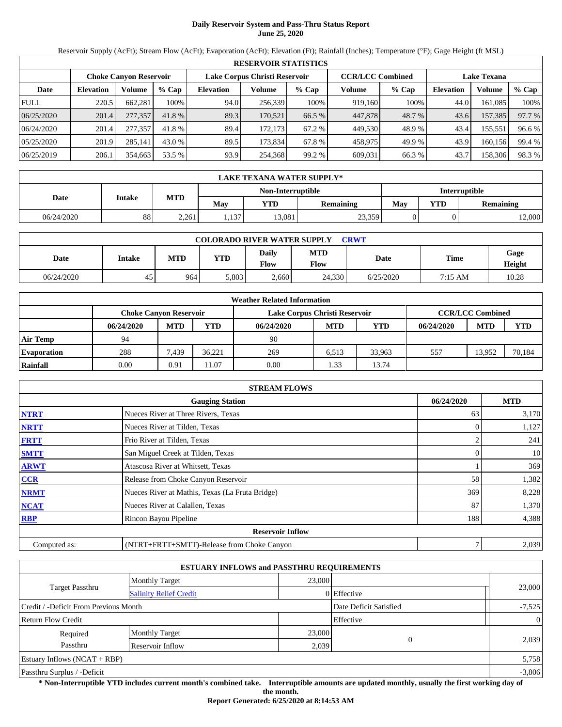# **Daily Reservoir System and Pass-Thru Status Report June 25, 2020**

Reservoir Supply (AcFt); Stream Flow (AcFt); Evaporation (AcFt); Elevation (Ft); Rainfall (Inches); Temperature (°F); Gage Height (ft MSL)

| <b>RESERVOIR STATISTICS</b> |                  |                               |         |                               |         |         |                         |         |                    |         |        |  |
|-----------------------------|------------------|-------------------------------|---------|-------------------------------|---------|---------|-------------------------|---------|--------------------|---------|--------|--|
|                             |                  | <b>Choke Canyon Reservoir</b> |         | Lake Corpus Christi Reservoir |         |         | <b>CCR/LCC Combined</b> |         | <b>Lake Texana</b> |         |        |  |
| Date                        | <b>Elevation</b> | Volume                        | $%$ Cap | <b>Elevation</b>              | Volume  | $%$ Cap | Volume                  | $%$ Cap | <b>Elevation</b>   | Volume  | % Cap  |  |
| <b>FULL</b>                 | 220.5            | 662,281                       | 100%    | 94.0                          | 256,339 | 100%    | 919,160                 | 100%    | 44.0               | 161.085 | 100%   |  |
| 06/25/2020                  | 201.4            | 277,357                       | 41.8 %  | 89.3                          | 170.521 | 66.5 %  | 447,878                 | 48.7 %  | 43.6               | 157,385 | 97.7 % |  |
| 06/24/2020                  | 201.4            | 277,357                       | 41.8 %  | 89.4                          | 172.173 | 67.2 %  | 449,530                 | 48.9%   | 43.4               | 155,551 | 96.6 % |  |
| 05/25/2020                  | 201.9            | 285,141                       | 43.0 %  | 89.5                          | 173.834 | 67.8 %  | 458,975                 | 49.9 %  | 43.9               | 160,156 | 99.4 % |  |
| 06/25/2019                  | 206.1            | 354,663                       | 53.5 %  | 93.9                          | 254,368 | 99.2 %  | 609,031                 | 66.3%   | 43.7               | 158,306 | 98.3%  |  |

| LAKE TEXANA WATER SUPPLY* |               |            |       |                   |           |               |     |                  |  |  |
|---------------------------|---------------|------------|-------|-------------------|-----------|---------------|-----|------------------|--|--|
|                           |               |            |       | Non-Interruptible |           | Interruptible |     |                  |  |  |
| Date                      | <b>Intake</b> | <b>MTD</b> | Mav   | YTD               | Remaining | May           | YTD | <b>Remaining</b> |  |  |
| 06/24/2020                | 88            | 2,261      | . 137 | 13,081            | 23,359    |               |     | 2,000            |  |  |

| <b>COLORADO RIVER WATER SUPPLY</b><br>CRWT |        |            |            |                      |                    |           |         |                |  |  |  |
|--------------------------------------------|--------|------------|------------|----------------------|--------------------|-----------|---------|----------------|--|--|--|
| Date                                       | Intake | <b>MTD</b> | <b>YTD</b> | Daily<br><b>Flow</b> | <b>MTD</b><br>Flow | Date      | Time    | Gage<br>Height |  |  |  |
| 06/24/2020                                 | 45     | 964        | 5.803      | 2.660                | 24.330             | 6/25/2020 | 7:15 AM | 10.28          |  |  |  |

| <b>Weather Related Information</b> |                               |            |        |                               |                         |        |            |            |            |  |  |
|------------------------------------|-------------------------------|------------|--------|-------------------------------|-------------------------|--------|------------|------------|------------|--|--|
|                                    | <b>Choke Canyon Reservoir</b> |            |        | Lake Corpus Christi Reservoir | <b>CCR/LCC Combined</b> |        |            |            |            |  |  |
|                                    | 06/24/2020                    | <b>MTD</b> | YTD    | 06/24/2020                    | <b>MTD</b>              | YTD    | 06/24/2020 | <b>MTD</b> | <b>YTD</b> |  |  |
| <b>Air Temp</b>                    | 94                            |            |        | 90                            |                         |        |            |            |            |  |  |
| <b>Evaporation</b>                 | 288                           | 7.439      | 36.221 | 269                           | 6.513                   | 33.963 | 557        | 13.952     | 70,184     |  |  |
| Rainfall                           | 0.00                          | 0.91       | 1.07   | 0.00                          | .33                     | 13.74  |            |            |            |  |  |

| <b>STREAM FLOWS</b> |                                                 |            |       |  |  |  |  |  |  |
|---------------------|-------------------------------------------------|------------|-------|--|--|--|--|--|--|
|                     | 06/24/2020                                      | <b>MTD</b> |       |  |  |  |  |  |  |
| <b>NTRT</b>         | Nueces River at Three Rivers, Texas             | 63         | 3,170 |  |  |  |  |  |  |
| <b>NRTT</b>         | Nueces River at Tilden, Texas                   |            | 1,127 |  |  |  |  |  |  |
| <b>FRTT</b>         | Frio River at Tilden, Texas                     |            | 241   |  |  |  |  |  |  |
| <b>SMTT</b>         | San Miguel Creek at Tilden, Texas               | 0          | 10    |  |  |  |  |  |  |
| <b>ARWT</b>         | Atascosa River at Whitsett, Texas               |            | 369   |  |  |  |  |  |  |
| <b>CCR</b>          | Release from Choke Canyon Reservoir             | 58         | 1,382 |  |  |  |  |  |  |
| <b>NRMT</b>         | Nueces River at Mathis, Texas (La Fruta Bridge) | 369        | 8,228 |  |  |  |  |  |  |
| <b>NCAT</b>         | Nueces River at Calallen, Texas                 | 87         | 1,370 |  |  |  |  |  |  |
| <b>RBP</b>          | Rincon Bayou Pipeline                           | 188        | 4,388 |  |  |  |  |  |  |
|                     | <b>Reservoir Inflow</b>                         |            |       |  |  |  |  |  |  |
| Computed as:        | (NTRT+FRTT+SMTT)-Release from Choke Canyon      |            | 2,039 |  |  |  |  |  |  |

|                                       |                               | <b>ESTUARY INFLOWS and PASSTHRU REQUIREMENTS</b> |                   |                |
|---------------------------------------|-------------------------------|--------------------------------------------------|-------------------|----------------|
|                                       | <b>Monthly Target</b>         | 23,000                                           |                   |                |
| <b>Target Passthru</b>                | <b>Salinity Relief Credit</b> |                                                  | 0 Effective       | 23,000         |
| Credit / -Deficit From Previous Month |                               | Date Deficit Satisfied                           | $-7,525$          |                |
| <b>Return Flow Credit</b>             |                               |                                                  | Effective         | $\overline{0}$ |
| Required                              | <b>Monthly Target</b>         | 23,000                                           |                   |                |
| Passthru                              | Reservoir Inflow              |                                                  | $\theta$<br>2,039 | 2,039          |
| Estuary Inflows $(NCAT + RBP)$        |                               |                                                  |                   | 5,758          |
| Passthru Surplus / -Deficit           |                               |                                                  |                   | $-3,806$       |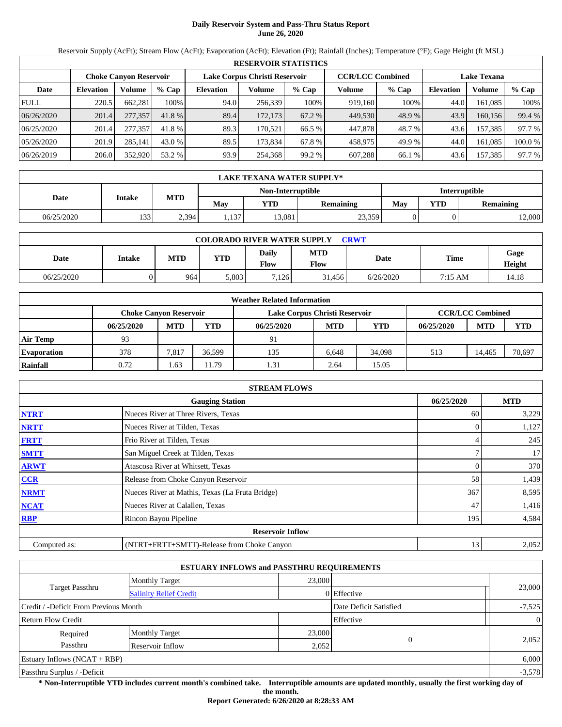# **Daily Reservoir System and Pass-Thru Status Report June 26, 2020**

Reservoir Supply (AcFt); Stream Flow (AcFt); Evaporation (AcFt); Elevation (Ft); Rainfall (Inches); Temperature (°F); Gage Height (ft MSL)

| <b>RESERVOIR STATISTICS</b> |                  |                               |         |                  |                               |         |         |                         |                    |         |         |  |
|-----------------------------|------------------|-------------------------------|---------|------------------|-------------------------------|---------|---------|-------------------------|--------------------|---------|---------|--|
|                             |                  | <b>Choke Canvon Reservoir</b> |         |                  | Lake Corpus Christi Reservoir |         |         | <b>CCR/LCC Combined</b> | <b>Lake Texana</b> |         |         |  |
| Date                        | <b>Elevation</b> | Volume                        | $%$ Cap | <b>Elevation</b> | Volume                        | $%$ Cap | Volume  | $%$ Cap                 | <b>Elevation</b>   | Volume  | % Cap   |  |
| <b>FULL</b>                 | 220.5            | 662.281                       | 100%    | 94.0             | 256,339                       | 100%    | 919.160 | 100%                    | 44.0               | 161.085 | 100%    |  |
| 06/26/2020                  | 201.4            | 277,357                       | 41.8 %  | 89.4             | 172.173                       | 67.2 %  | 449.530 | 48.9 %                  | 43.9               | 160.156 | 99.4 %  |  |
| 06/25/2020                  | 201.4            | 277,357                       | 41.8 %  | 89.3             | 170.521                       | 66.5 %  | 447.878 | 48.7 %                  | 43.6               | 157.385 | 97.7 %  |  |
| 05/26/2020                  | 201.9            | 285,141                       | 43.0 %  | 89.5             | 173.834                       | 67.8 %  | 458,975 | 49.9 %                  | 44.0               | 161.085 | 100.0 % |  |
| 06/26/2019                  | 206.0            | 352,920                       | 53.2 %  | 93.9             | 254,368                       | 99.2 %  | 607.288 | 66.1 %                  | 43.6               | 157,385 | 97.7 %  |  |

| LAKE TEXANA WATER SUPPLY* |               |            |       |                   |                  |               |            |           |  |  |
|---------------------------|---------------|------------|-------|-------------------|------------------|---------------|------------|-----------|--|--|
|                           |               |            |       | Non-Interruptible |                  | Interruptible |            |           |  |  |
| Date                      | <b>Intake</b> | <b>MTD</b> | Mav   | YTD               | <b>Remaining</b> | Mav           | <b>YTD</b> | Remaining |  |  |
| 06/25/2020                | 133           | 2,394      | 1,137 | 13,081            | 23,359           |               |            | 12,000    |  |  |

| <b>COLORADO RIVER WATER SUPPLY</b><br><b>CRWT</b> |        |            |            |                      |                    |           |         |                |  |  |  |
|---------------------------------------------------|--------|------------|------------|----------------------|--------------------|-----------|---------|----------------|--|--|--|
| Date                                              | Intake | <b>MTD</b> | <b>YTD</b> | Daily<br><b>Flow</b> | <b>MTD</b><br>Flow | Date      | Time    | Gage<br>Height |  |  |  |
| 06/25/2020                                        |        | 964        | 5.803      | 7.126                | 31.456             | 6/26/2020 | 7:15 AM | 14.18          |  |  |  |

| <b>Weather Related Information</b> |                               |            |        |                               |                         |        |            |            |            |  |  |
|------------------------------------|-------------------------------|------------|--------|-------------------------------|-------------------------|--------|------------|------------|------------|--|--|
|                                    | <b>Choke Canvon Reservoir</b> |            |        | Lake Corpus Christi Reservoir | <b>CCR/LCC Combined</b> |        |            |            |            |  |  |
|                                    | 06/25/2020                    | <b>MTD</b> | YTD    | 06/25/2020                    | <b>MTD</b>              | YTD    | 06/25/2020 | <b>MTD</b> | <b>YTD</b> |  |  |
| <b>Air Temp</b>                    | 93                            |            |        | 91                            |                         |        |            |            |            |  |  |
| <b>Evaporation</b>                 | 378                           | 7.817      | 36.599 | 135                           | 6.648                   | 34.098 | 513        | 14.465     | 70,697     |  |  |
| Rainfall                           | 0.72                          | 1.63       | 1.79   | 1.31                          | 2.64                    | 15.05  |            |            |            |  |  |

| <b>STREAM FLOWS</b> |                                                 |            |       |  |  |  |  |  |  |
|---------------------|-------------------------------------------------|------------|-------|--|--|--|--|--|--|
|                     | 06/25/2020                                      | <b>MTD</b> |       |  |  |  |  |  |  |
| <b>NTRT</b>         | Nueces River at Three Rivers, Texas             | 60         | 3,229 |  |  |  |  |  |  |
| <b>NRTT</b>         | Nueces River at Tilden, Texas                   |            | 1,127 |  |  |  |  |  |  |
| <b>FRTT</b>         | Frio River at Tilden, Texas                     |            | 245   |  |  |  |  |  |  |
| <b>SMTT</b>         | San Miguel Creek at Tilden, Texas               |            | 17    |  |  |  |  |  |  |
| <b>ARWT</b>         | Atascosa River at Whitsett, Texas               | 0          | 370   |  |  |  |  |  |  |
| <b>CCR</b>          | Release from Choke Canyon Reservoir             | 58         | 1,439 |  |  |  |  |  |  |
| <b>NRMT</b>         | Nueces River at Mathis, Texas (La Fruta Bridge) | 367        | 8,595 |  |  |  |  |  |  |
| <b>NCAT</b>         | Nueces River at Calallen, Texas                 | 47         | 1,416 |  |  |  |  |  |  |
| <b>RBP</b>          | Rincon Bayou Pipeline                           | 195        | 4,584 |  |  |  |  |  |  |
|                     | <b>Reservoir Inflow</b>                         |            |       |  |  |  |  |  |  |
| Computed as:        | (NTRT+FRTT+SMTT)-Release from Choke Canyon      | 13         | 2,052 |  |  |  |  |  |  |

|                                       |                               | <b>ESTUARY INFLOWS and PASSTHRU REQUIREMENTS</b> |                        |                |
|---------------------------------------|-------------------------------|--------------------------------------------------|------------------------|----------------|
|                                       | <b>Monthly Target</b>         | 23,000                                           |                        |                |
| <b>Target Passthru</b>                | <b>Salinity Relief Credit</b> |                                                  | 0 Effective            | 23,000         |
| Credit / -Deficit From Previous Month |                               |                                                  | Date Deficit Satisfied | $-7,525$       |
| <b>Return Flow Credit</b>             |                               |                                                  | Effective              | $\overline{0}$ |
| Required                              | <b>Monthly Target</b>         | 23,000                                           |                        |                |
| Passthru                              | Reservoir Inflow              |                                                  | $\theta$<br>2,052      | 2,052          |
| Estuary Inflows $(NCAT + RBP)$        |                               |                                                  |                        | 6,000          |
| Passthru Surplus / -Deficit           |                               |                                                  |                        | $-3,578$       |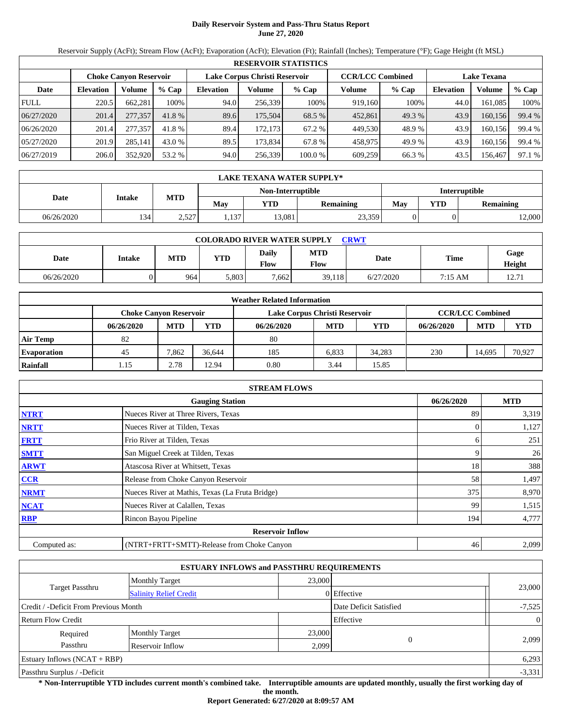## **Daily Reservoir System and Pass-Thru Status Report June 27, 2020**

Reservoir Supply (AcFt); Stream Flow (AcFt); Evaporation (AcFt); Elevation (Ft); Rainfall (Inches); Temperature (°F); Gage Height (ft MSL)

|             | <b>RESERVOIR STATISTICS</b>   |         |         |                               |         |         |                         |         |                    |         |        |  |  |
|-------------|-------------------------------|---------|---------|-------------------------------|---------|---------|-------------------------|---------|--------------------|---------|--------|--|--|
|             | <b>Choke Canyon Reservoir</b> |         |         | Lake Corpus Christi Reservoir |         |         | <b>CCR/LCC Combined</b> |         | <b>Lake Texana</b> |         |        |  |  |
| Date        | <b>Elevation</b>              | Volume  | $%$ Cap | <b>Elevation</b>              | Volume  | $%$ Cap | Volume                  | $%$ Cap | Elevation          | Volume  | % Cap  |  |  |
| <b>FULL</b> | 220.5                         | 662,281 | 100%    | 94.0                          | 256,339 | 100%    | 919.160                 | 100%    | 44.0               | 161,085 | 100%   |  |  |
| 06/27/2020  | 201.4                         | 277,357 | 41.8 %  | 89.6                          | 175,504 | 68.5 %  | 452,861                 | 49.3 %  | 43.9               | 160,156 | 99.4 % |  |  |
| 06/26/2020  | 201.4                         | 277,357 | 41.8 %  | 89.4                          | 172.173 | 67.2 %  | 449,530                 | 48.9%   | 43.9               | 160.156 | 99.4 % |  |  |
| 05/27/2020  | 201.9                         | 285,141 | 43.0 %  | 89.5                          | 173,834 | 67.8 %  | 458,975                 | 49.9 %  | 43.9               | 160,156 | 99.4 % |  |  |
| 06/27/2019  | 206.0                         | 352,920 | 53.2 %  | 94.0                          | 256,339 | 100.0 % | 609,259                 | 66.3 %  | 43.5               | 156,467 | 97.1 % |  |  |

|            | LAKE TEXANA WATER SUPPLY* |            |       |                   |                  |               |     |                  |  |  |  |
|------------|---------------------------|------------|-------|-------------------|------------------|---------------|-----|------------------|--|--|--|
|            |                           |            |       | Non-Interruptible |                  | Interruptible |     |                  |  |  |  |
| Date       | <b>Intake</b>             | <b>MTD</b> | Mav   | YTD               | <b>Remaining</b> | May           | YTD | <b>Remaining</b> |  |  |  |
| 06/26/2020 | 134                       | 2,527      | 1,137 | 13,081            | 23,359           |               |     | 12,000           |  |  |  |

| <b>COLORADO RIVER WATER SUPPLY</b><br><b>CRWT</b> |        |            |            |                             |                    |           |                   |                |  |  |
|---------------------------------------------------|--------|------------|------------|-----------------------------|--------------------|-----------|-------------------|----------------|--|--|
| Date                                              | Intake | <b>MTD</b> | <b>YTD</b> | <b>Daily</b><br><b>Flow</b> | <b>MTD</b><br>Flow | Date      | <b>Time</b>       | Gage<br>Height |  |  |
| 06/26/2020                                        |        | 964        | 5,803      | 7.662                       | 39,118             | 6/27/2020 | $7:15 \text{ AM}$ | 12.71          |  |  |

|                    | <b>Weather Related Information</b> |            |        |                               |            |            |            |                         |            |  |  |
|--------------------|------------------------------------|------------|--------|-------------------------------|------------|------------|------------|-------------------------|------------|--|--|
|                    | <b>Choke Canvon Reservoir</b>      |            |        | Lake Corpus Christi Reservoir |            |            |            | <b>CCR/LCC Combined</b> |            |  |  |
|                    | 06/26/2020                         | <b>MTD</b> | YTD    | 06/26/2020                    | <b>MTD</b> | <b>YTD</b> | 06/26/2020 | <b>MTD</b>              | <b>YTD</b> |  |  |
| <b>Air Temp</b>    | 82                                 |            |        | 80                            |            |            |            |                         |            |  |  |
| <b>Evaporation</b> | 45                                 | 7.862      | 36.644 | 185                           | 6.833      | 34.283     | 230        | 14.695                  | 70.927     |  |  |
| Rainfall           | 1.15                               | 2.78       | 12.94  | 0.80                          | 3.44       | 15.85      |            |                         |            |  |  |

|              | <b>STREAM FLOWS</b>                             |            |            |  |  |  |  |  |  |
|--------------|-------------------------------------------------|------------|------------|--|--|--|--|--|--|
|              | <b>Gauging Station</b>                          | 06/26/2020 | <b>MTD</b> |  |  |  |  |  |  |
| <b>NTRT</b>  | Nueces River at Three Rivers, Texas             | 89         | 3,319      |  |  |  |  |  |  |
| <b>NRTT</b>  | Nueces River at Tilden, Texas                   |            | 1,127      |  |  |  |  |  |  |
| <b>FRTT</b>  | Frio River at Tilden, Texas                     | 6          | 251        |  |  |  |  |  |  |
| <b>SMTT</b>  | San Miguel Creek at Tilden, Texas               | 9          | 26         |  |  |  |  |  |  |
| <b>ARWT</b>  | Atascosa River at Whitsett, Texas               | 18         | 388        |  |  |  |  |  |  |
| CCR          | Release from Choke Canyon Reservoir             | 58         | 1,497      |  |  |  |  |  |  |
| <b>NRMT</b>  | Nueces River at Mathis, Texas (La Fruta Bridge) | 375        | 8,970      |  |  |  |  |  |  |
| <b>NCAT</b>  | Nueces River at Calallen, Texas                 | 99         | 1,515      |  |  |  |  |  |  |
| <b>RBP</b>   | Rincon Bayou Pipeline                           | 194        | 4,777      |  |  |  |  |  |  |
|              | <b>Reservoir Inflow</b>                         |            |            |  |  |  |  |  |  |
| Computed as: | (NTRT+FRTT+SMTT)-Release from Choke Canyon      | 46         | 2,099      |  |  |  |  |  |  |

|                                       |                               | <b>ESTUARY INFLOWS and PASSTHRU REQUIREMENTS</b> |                        |                |
|---------------------------------------|-------------------------------|--------------------------------------------------|------------------------|----------------|
|                                       | <b>Monthly Target</b>         | 23,000                                           |                        |                |
| <b>Target Passthru</b>                | <b>Salinity Relief Credit</b> |                                                  | 0 Effective            | 23,000         |
| Credit / -Deficit From Previous Month |                               |                                                  | Date Deficit Satisfied | $-7,525$       |
| <b>Return Flow Credit</b>             |                               |                                                  | Effective              | $\overline{0}$ |
| Required                              | <b>Monthly Target</b>         | 23,000                                           |                        |                |
| Passthru                              | Reservoir Inflow              | 2,099                                            | $\theta$               | 2,099          |
| Estuary Inflows $(NCAT + RBP)$        |                               |                                                  |                        | 6,293          |
| Passthru Surplus / -Deficit           |                               |                                                  |                        | $-3,331$       |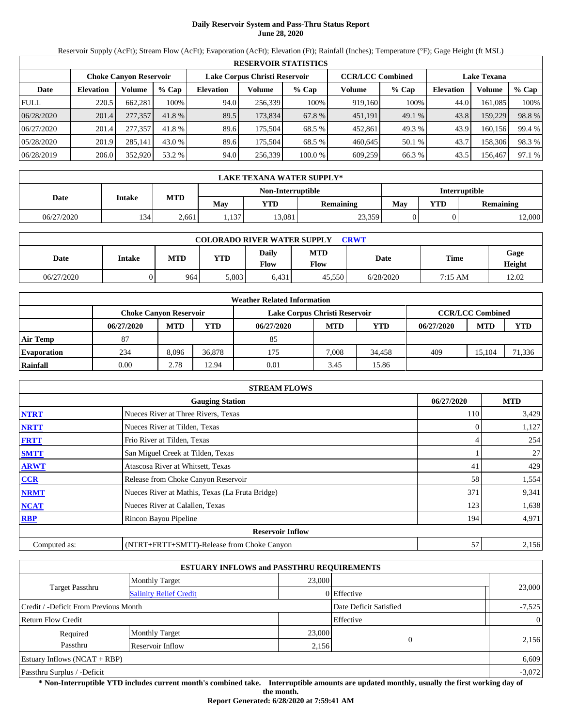# **Daily Reservoir System and Pass-Thru Status Report June 28, 2020**

Reservoir Supply (AcFt); Stream Flow (AcFt); Evaporation (AcFt); Elevation (Ft); Rainfall (Inches); Temperature (°F); Gage Height (ft MSL)

|             | <b>RESERVOIR STATISTICS</b>   |         |         |                               |         |         |                         |         |                    |         |        |  |  |
|-------------|-------------------------------|---------|---------|-------------------------------|---------|---------|-------------------------|---------|--------------------|---------|--------|--|--|
|             | <b>Choke Canyon Reservoir</b> |         |         | Lake Corpus Christi Reservoir |         |         | <b>CCR/LCC Combined</b> |         | <b>Lake Texana</b> |         |        |  |  |
| Date        | <b>Elevation</b>              | Volume  | $%$ Cap | <b>Elevation</b>              | Volume  | $%$ Cap | Volume                  | $%$ Cap | <b>Elevation</b>   | Volume  | % Cap  |  |  |
| <b>FULL</b> | 220.5                         | 662,281 | 100%    | 94.0                          | 256,339 | 100%    | 919.160                 | 100%    | 44.0               | 161,085 | 100%   |  |  |
| 06/28/2020  | 201.4                         | 277,357 | 41.8 %  | 89.5                          | 173,834 | 67.8 %  | 451.191                 | 49.1 %  | 43.8               | 159,229 | 98.8%  |  |  |
| 06/27/2020  | 201.4                         | 277,357 | 41.8%   | 89.6                          | 175.504 | 68.5 %  | 452.861                 | 49.3 %  | 43.9               | 160.156 | 99.4 % |  |  |
| 05/28/2020  | 201.9                         | 285,141 | 43.0 %  | 89.6                          | 175.504 | 68.5 %  | 460.645                 | 50.1 %  | 43.7               | 158,306 | 98.3%  |  |  |
| 06/28/2019  | 206.0                         | 352,920 | 53.2 %  | 94.0                          | 256,339 | 100.0 % | 609,259                 | 66.3 %  | 43.5               | 156.467 | 97.1 % |  |  |

|            | <b>LAKE TEXANA WATER SUPPLY*</b> |            |       |                   |                  |               |     |                  |  |  |  |
|------------|----------------------------------|------------|-------|-------------------|------------------|---------------|-----|------------------|--|--|--|
|            |                                  |            |       | Non-Interruptible |                  | Interruptible |     |                  |  |  |  |
| Date       | <b>Intake</b>                    | <b>MTD</b> | Mav   | YTD               | <b>Remaining</b> | May           | YTD | <b>Remaining</b> |  |  |  |
| 06/27/2020 | 134                              | 2,661      | 1,137 | 13,081            | 23,359           |               |     | 12,000           |  |  |  |

| <b>COLORADO RIVER WATER SUPPLY</b><br><b>CRWT</b> |        |            |            |                      |                    |           |         |                |  |  |
|---------------------------------------------------|--------|------------|------------|----------------------|--------------------|-----------|---------|----------------|--|--|
| Date                                              | Intake | <b>MTD</b> | <b>YTD</b> | Daily<br><b>Flow</b> | <b>MTD</b><br>Flow | Date      | Time    | Gage<br>Height |  |  |
| 06/27/2020                                        |        | 964        | 5.803      | 6.431                | 45.550             | 6/28/2020 | 7:15 AM | 12.02          |  |  |

|                    | <b>Weather Related Information</b> |                        |        |                               |            |        |                         |            |            |  |  |
|--------------------|------------------------------------|------------------------|--------|-------------------------------|------------|--------|-------------------------|------------|------------|--|--|
|                    |                                    | Choke Canvon Reservoir |        | Lake Corpus Christi Reservoir |            |        | <b>CCR/LCC Combined</b> |            |            |  |  |
|                    | 06/27/2020                         | <b>MTD</b>             | YTD    | 06/27/2020                    | <b>MTD</b> | YTD    | 06/27/2020              | <b>MTD</b> | <b>YTD</b> |  |  |
| <b>Air Temp</b>    | 87                                 |                        |        | 85                            |            |        |                         |            |            |  |  |
| <b>Evaporation</b> | 234                                | 8.096                  | 36,878 | 175                           | 7.008      | 34.458 | 409                     | 15.104     | 71.336     |  |  |
| Rainfall           | 0.00                               | 2.78                   | 12.94  | 0.01                          | 3.45       | 15.86  |                         |            |            |  |  |

|              | <b>STREAM FLOWS</b>                             |            |            |  |  |  |  |  |  |
|--------------|-------------------------------------------------|------------|------------|--|--|--|--|--|--|
|              | <b>Gauging Station</b>                          | 06/27/2020 | <b>MTD</b> |  |  |  |  |  |  |
| <b>NTRT</b>  | Nueces River at Three Rivers, Texas             | 110        | 3,429      |  |  |  |  |  |  |
| <b>NRTT</b>  | Nueces River at Tilden, Texas                   |            | 1,127      |  |  |  |  |  |  |
| <b>FRTT</b>  | Frio River at Tilden, Texas                     |            | 254        |  |  |  |  |  |  |
| <b>SMTT</b>  | San Miguel Creek at Tilden, Texas               |            | 27         |  |  |  |  |  |  |
| <b>ARWT</b>  | Atascosa River at Whitsett, Texas               | 41         | 429        |  |  |  |  |  |  |
| <b>CCR</b>   | Release from Choke Canyon Reservoir             | 58         | 1,554      |  |  |  |  |  |  |
| <b>NRMT</b>  | Nueces River at Mathis, Texas (La Fruta Bridge) | 371        | 9,341      |  |  |  |  |  |  |
| <b>NCAT</b>  | Nueces River at Calallen, Texas                 | 123        | 1,638      |  |  |  |  |  |  |
| <b>RBP</b>   | Rincon Bayou Pipeline                           | 194        | 4,971      |  |  |  |  |  |  |
|              | <b>Reservoir Inflow</b>                         |            |            |  |  |  |  |  |  |
| Computed as: | (NTRT+FRTT+SMTT)-Release from Choke Canyon      | 57         | 2,156      |  |  |  |  |  |  |

|                                       | <b>ESTUARY INFLOWS and PASSTHRU REQUIREMENTS</b> |        |                        |                |
|---------------------------------------|--------------------------------------------------|--------|------------------------|----------------|
|                                       | <b>Monthly Target</b>                            | 23,000 |                        |                |
| Target Passthru                       | <b>Salinity Relief Credit</b>                    |        | 0 Effective            | 23,000         |
| Credit / -Deficit From Previous Month |                                                  |        | Date Deficit Satisfied | $-7,525$       |
| Return Flow Credit                    |                                                  |        | Effective              | $\overline{0}$ |
| Required                              | <b>Monthly Target</b>                            | 23,000 |                        |                |
| Passthru                              | Reservoir Inflow                                 | 2,156  | $\Omega$               | 2,156          |
| <b>Estuary Inflows (NCAT + RBP)</b>   |                                                  |        |                        | 6,609          |
| Passthru Surplus / -Deficit           |                                                  |        |                        | $-3,072$       |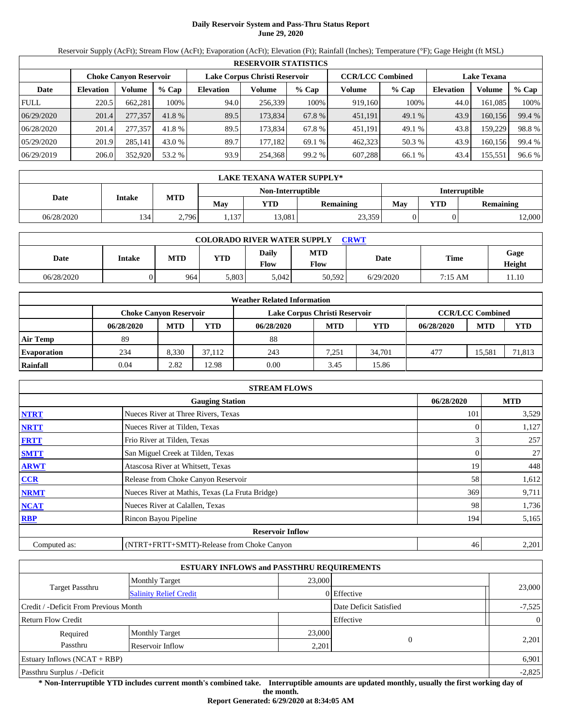# **Daily Reservoir System and Pass-Thru Status Report June 29, 2020**

Reservoir Supply (AcFt); Stream Flow (AcFt); Evaporation (AcFt); Elevation (Ft); Rainfall (Inches); Temperature (°F); Gage Height (ft MSL)

| <b>RESERVOIR STATISTICS</b> |                  |                        |         |                               |         |         |                         |         |                    |         |        |
|-----------------------------|------------------|------------------------|---------|-------------------------------|---------|---------|-------------------------|---------|--------------------|---------|--------|
|                             |                  | Choke Canvon Reservoir |         | Lake Corpus Christi Reservoir |         |         | <b>CCR/LCC Combined</b> |         | <b>Lake Texana</b> |         |        |
| Date                        | <b>Elevation</b> | Volume                 | $%$ Cap | <b>Elevation</b>              | Volume  | $%$ Cap | Volume                  | $%$ Cap | <b>Elevation</b>   | Volume  | % Cap  |
| <b>FULL</b>                 | 220.5            | 662,281                | 100%    | 94.0                          | 256,339 | 100%    | 919.160                 | 100%    | 44.0               | 161,085 | 100%   |
| 06/29/2020                  | 201.4            | 277,357                | 41.8 %  | 89.5                          | 173,834 | 67.8 %  | 451,191                 | 49.1 %  | 43.9               | 160,156 | 99.4 % |
| 06/28/2020                  | 201.4            | 277,357                | 41.8 %  | 89.5                          | 173.834 | 67.8%   | 451,191                 | 49.1 %  | 43.8               | 159,229 | 98.8%  |
| 05/29/2020                  | 201.9            | 285,141                | 43.0 %  | 89.7                          | 177.182 | 69.1 %  | 462,323                 | 50.3 %  | 43.9               | 160,156 | 99.4 % |
| 06/29/2019                  | 206.0            | 352,920                | 53.2 %  | 93.9                          | 254,368 | 99.2 %  | 607,288                 | 66.1 %  | 43.4               | 155,551 | 96.6 % |

| <b>LAKE TEXANA WATER SUPPLY*</b> |               |            |       |                   |                  |               |     |                  |  |  |
|----------------------------------|---------------|------------|-------|-------------------|------------------|---------------|-----|------------------|--|--|
|                                  |               |            |       | Non-Interruptible |                  | Interruptible |     |                  |  |  |
| Date                             | <b>Intake</b> | <b>MTD</b> | Mav   | YTD               | <b>Remaining</b> | May           | YTD | <b>Remaining</b> |  |  |
| 06/28/2020                       | 134           | 2,796      | 1,137 | 13,081            | 23,359           |               |     | 12,000           |  |  |

| <b>COLORADO RIVER WATER SUPPLY</b><br>CRWT |        |            |            |                      |                    |           |         |                |  |  |
|--------------------------------------------|--------|------------|------------|----------------------|--------------------|-----------|---------|----------------|--|--|
| Date                                       | Intake | <b>MTD</b> | <b>YTD</b> | Daily<br><b>Flow</b> | <b>MTD</b><br>Flow | Date      | Time    | Gage<br>Height |  |  |
| 06/28/2020                                 |        | 964        | 5.803      | 5.042                | 50,592             | 6/29/2020 | 7:15 AM | 11.10          |  |  |

| <b>Weather Related Information</b> |                               |            |        |                               |                         |            |            |            |            |  |
|------------------------------------|-------------------------------|------------|--------|-------------------------------|-------------------------|------------|------------|------------|------------|--|
|                                    | <b>Choke Canyon Reservoir</b> |            |        | Lake Corpus Christi Reservoir | <b>CCR/LCC Combined</b> |            |            |            |            |  |
|                                    | 06/28/2020                    | <b>MTD</b> | YTD    | 06/28/2020                    | <b>MTD</b>              | <b>YTD</b> | 06/28/2020 | <b>MTD</b> | <b>YTD</b> |  |
| <b>Air Temp</b>                    | 89                            |            |        | 88                            |                         |            |            |            |            |  |
| <b>Evaporation</b>                 | 234                           | 8.330      | 37.112 | 243                           | 7.251                   | 34.701     | 477        | 15.581     | 71,813     |  |
| Rainfall                           | 0.04                          | 2.82       | 12.98  | 0.00                          | 3.45                    | 15.86      |            |            |            |  |

| <b>STREAM FLOWS</b> |                                                 |            |       |  |  |  |  |  |  |
|---------------------|-------------------------------------------------|------------|-------|--|--|--|--|--|--|
|                     | 06/28/2020                                      | <b>MTD</b> |       |  |  |  |  |  |  |
| <b>NTRT</b>         | Nueces River at Three Rivers, Texas             | 101        | 3,529 |  |  |  |  |  |  |
| <b>NRTT</b>         | Nueces River at Tilden, Texas                   |            | 1,127 |  |  |  |  |  |  |
| <b>FRTT</b>         | Frio River at Tilden, Texas                     | 3          | 257   |  |  |  |  |  |  |
| <b>SMTT</b>         | San Miguel Creek at Tilden, Texas               | $\Omega$   | 27    |  |  |  |  |  |  |
| <b>ARWT</b>         | Atascosa River at Whitsett, Texas               | 19         | 448   |  |  |  |  |  |  |
| CCR                 | Release from Choke Canyon Reservoir             | 58         | 1,612 |  |  |  |  |  |  |
| <b>NRMT</b>         | Nueces River at Mathis, Texas (La Fruta Bridge) | 369        | 9,711 |  |  |  |  |  |  |
| <b>NCAT</b>         | Nueces River at Calallen, Texas                 | 98         | 1,736 |  |  |  |  |  |  |
| <b>RBP</b>          | Rincon Bayou Pipeline                           | 194        | 5,165 |  |  |  |  |  |  |
|                     | <b>Reservoir Inflow</b>                         |            |       |  |  |  |  |  |  |
| Computed as:        | (NTRT+FRTT+SMTT)-Release from Choke Canyon      | 46         | 2,201 |  |  |  |  |  |  |

|                                       |                               | <b>ESTUARY INFLOWS and PASSTHRU REQUIREMENTS</b> |             |                |
|---------------------------------------|-------------------------------|--------------------------------------------------|-------------|----------------|
|                                       | <b>Monthly Target</b>         | 23,000                                           |             |                |
| <b>Target Passthru</b>                | <b>Salinity Relief Credit</b> |                                                  | 0 Effective | 23,000         |
| Credit / -Deficit From Previous Month |                               | Date Deficit Satisfied                           | $-7,525$    |                |
| <b>Return Flow Credit</b>             |                               |                                                  | Effective   | $\overline{0}$ |
| Required                              | <b>Monthly Target</b>         | 23,000                                           |             |                |
| Passthru<br>Reservoir Inflow          |                               | 2,201                                            | $\theta$    | 2,201          |
| Estuary Inflows $(NCAT + RBP)$        |                               |                                                  |             | 6,901          |
| Passthru Surplus / -Deficit           |                               |                                                  |             | $-2,825$       |